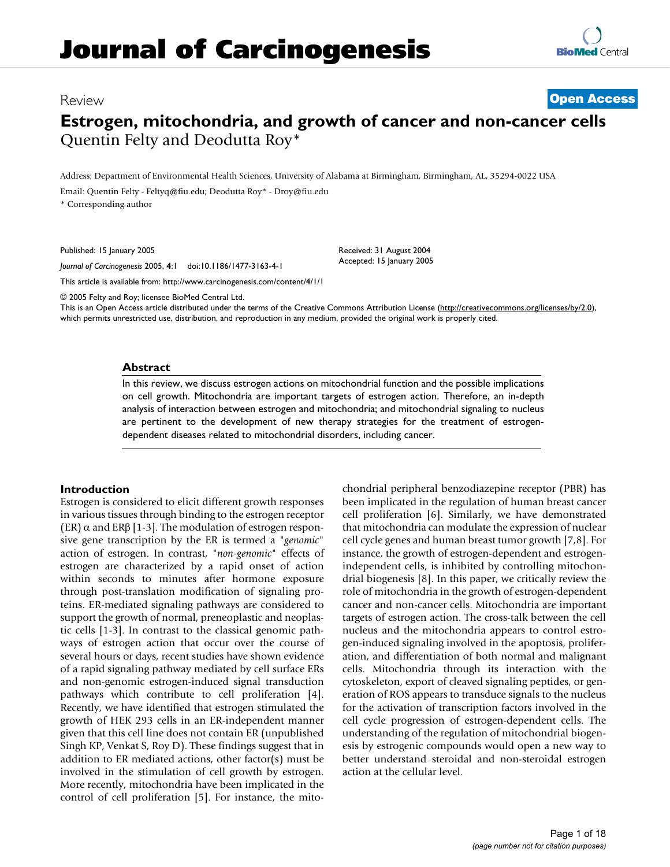## Review **[Open Access](http://www.biomedcentral.com/info/about/charter/)**

# **Estrogen, mitochondria, and growth of cancer and non-cancer cells** Quentin Felty and Deodutta Roy\*

Address: Department of Environmental Health Sciences, University of Alabama at Birmingham, Birmingham, AL, 35294-0022 USA Email: Quentin Felty - Feltyq@fiu.edu; Deodutta Roy\* - Droy@fiu.edu \* Corresponding author

Published: 15 January 2005

*Journal of Carcinogenesis* 2005, **4**:1 doi:10.1186/1477-3163-4-1

[This article is available from: http://www.carcinogenesis.com/content/4/1/1](http://www.carcinogenesis.com/content/4/1/1)

© 2005 Felty and Roy; licensee BioMed Central Ltd.

This is an Open Access article distributed under the terms of the Creative Commons Attribution License [\(http://creativecommons.org/licenses/by/2.0\)](http://creativecommons.org/licenses/by/2.0), which permits unrestricted use, distribution, and reproduction in any medium, provided the original work is properly cited.

Received: 31 August 2004 Accepted: 15 January 2005

#### **Abstract**

In this review, we discuss estrogen actions on mitochondrial function and the possible implications on cell growth. Mitochondria are important targets of estrogen action. Therefore, an in-depth analysis of interaction between estrogen and mitochondria; and mitochondrial signaling to nucleus are pertinent to the development of new therapy strategies for the treatment of estrogendependent diseases related to mitochondrial disorders, including cancer.

## **Introduction**

Estrogen is considered to elicit different growth responses in various tissues through binding to the estrogen receptor (ER) α and ERβ [1-3]. The modulation of estrogen responsive gene transcription by the ER is termed a "*genomic*" action of estrogen. In contrast, "*non-genomic*" effects of estrogen are characterized by a rapid onset of action within seconds to minutes after hormone exposure through post-translation modification of signaling proteins. ER-mediated signaling pathways are considered to support the growth of normal, preneoplastic and neoplastic cells [1-3]. In contrast to the classical genomic pathways of estrogen action that occur over the course of several hours or days, recent studies have shown evidence of a rapid signaling pathway mediated by cell surface ERs and non-genomic estrogen-induced signal transduction pathways which contribute to cell proliferation [4]. Recently, we have identified that estrogen stimulated the growth of HEK 293 cells in an ER-independent manner given that this cell line does not contain ER (unpublished Singh KP, Venkat S, Roy D). These findings suggest that in addition to ER mediated actions, other factor(s) must be involved in the stimulation of cell growth by estrogen. More recently, mitochondria have been implicated in the control of cell proliferation [5]. For instance, the mitochondrial peripheral benzodiazepine receptor (PBR) has been implicated in the regulation of human breast cancer cell proliferation [6]. Similarly, we have demonstrated that mitochondria can modulate the expression of nuclear cell cycle genes and human breast tumor growth [7,8]. For instance, the growth of estrogen-dependent and estrogenindependent cells, is inhibited by controlling mitochondrial biogenesis [8]. In this paper, we critically review the role of mitochondria in the growth of estrogen-dependent cancer and non-cancer cells. Mitochondria are important targets of estrogen action. The cross-talk between the cell nucleus and the mitochondria appears to control estrogen-induced signaling involved in the apoptosis, proliferation, and differentiation of both normal and malignant cells. Mitochondria through its interaction with the cytoskeleton, export of cleaved signaling peptides, or generation of ROS appears to transduce signals to the nucleus for the activation of transcription factors involved in the cell cycle progression of estrogen-dependent cells. The understanding of the regulation of mitochondrial biogenesis by estrogenic compounds would open a new way to better understand steroidal and non-steroidal estrogen action at the cellular level.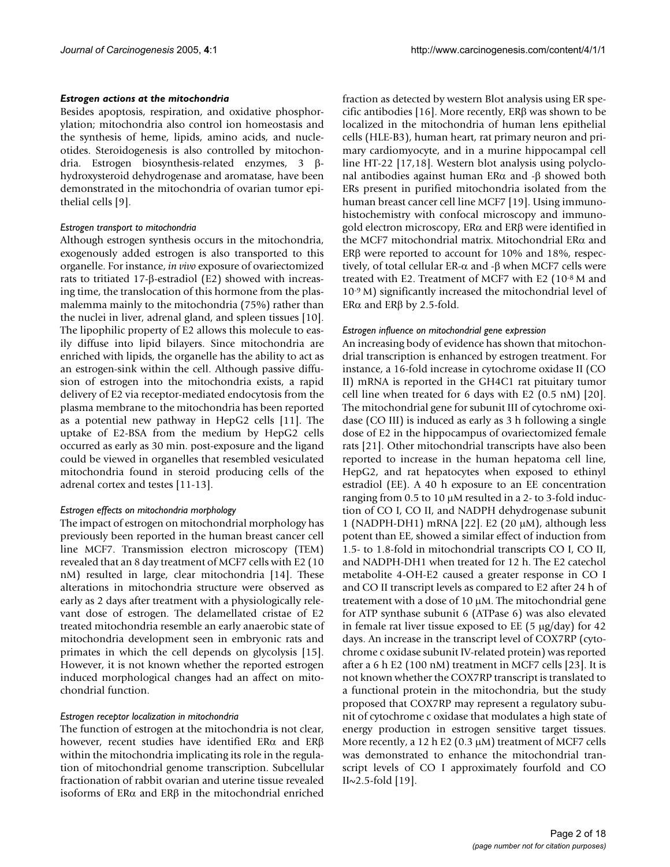#### *Estrogen actions at the mitochondria*

Besides apoptosis, respiration, and oxidative phosphorylation; mitochondria also control ion homeostasis and the synthesis of heme, lipids, amino acids, and nucleotides. Steroidogenesis is also controlled by mitochondria. Estrogen biosynthesis-related enzymes, 3 βhydroxysteroid dehydrogenase and aromatase, have been demonstrated in the mitochondria of ovarian tumor epithelial cells [9].

#### *Estrogen transport to mitochondria*

Although estrogen synthesis occurs in the mitochondria, exogenously added estrogen is also transported to this organelle. For instance, *in vivo* exposure of ovariectomized rats to tritiated 17-β-estradiol (E2) showed with increasing time, the translocation of this hormone from the plasmalemma mainly to the mitochondria (75%) rather than the nuclei in liver, adrenal gland, and spleen tissues [10]. The lipophilic property of E2 allows this molecule to easily diffuse into lipid bilayers. Since mitochondria are enriched with lipids, the organelle has the ability to act as an estrogen-sink within the cell. Although passive diffusion of estrogen into the mitochondria exists, a rapid delivery of E2 via receptor-mediated endocytosis from the plasma membrane to the mitochondria has been reported as a potential new pathway in HepG2 cells [11]. The uptake of E2-BSA from the medium by HepG2 cells occurred as early as 30 min. post-exposure and the ligand could be viewed in organelles that resembled vesiculated mitochondria found in steroid producing cells of the adrenal cortex and testes [11-13].

#### *Estrogen effects on mitochondria morphology*

The impact of estrogen on mitochondrial morphology has previously been reported in the human breast cancer cell line MCF7. Transmission electron microscopy (TEM) revealed that an 8 day treatment of MCF7 cells with E2 (10 nM) resulted in large, clear mitochondria [14]. These alterations in mitochondria structure were observed as early as 2 days after treatment with a physiologically relevant dose of estrogen. The delamellated cristae of E2 treated mitochondria resemble an early anaerobic state of mitochondria development seen in embryonic rats and primates in which the cell depends on glycolysis [15]. However, it is not known whether the reported estrogen induced morphological changes had an affect on mitochondrial function.

#### *Estrogen receptor localization in mitochondria*

The function of estrogen at the mitochondria is not clear, however, recent studies have identified ERα and ERβ within the mitochondria implicating its role in the regulation of mitochondrial genome transcription. Subcellular fractionation of rabbit ovarian and uterine tissue revealed isoforms of ERα and ERβ in the mitochondrial enriched

fraction as detected by western Blot analysis using ER specific antibodies [16]. More recently, ERβ was shown to be localized in the mitochondria of human lens epithelial cells (HLE-B3), human heart, rat primary neuron and primary cardiomyocyte, and in a murine hippocampal cell line HT-22 [17,18]. Western blot analysis using polyclonal antibodies against human ERα and -β showed both ERs present in purified mitochondria isolated from the human breast cancer cell line MCF7 [19]. Using immunohistochemistry with confocal microscopy and immunogold electron microscopy, ERα and ERβ were identified in the MCF7 mitochondrial matrix. Mitochondrial ERα and ERβ were reported to account for 10% and 18%, respectively, of total cellular ER-α and -β when MCF7 cells were treated with E2. Treatment of MCF7 with E2 (10-8 M and 10-9 M) significantly increased the mitochondrial level of ERα and ERβ by 2.5-fold.

#### *Estrogen influence on mitochondrial gene expression*

An increasing body of evidence has shown that mitochondrial transcription is enhanced by estrogen treatment. For instance, a 16-fold increase in cytochrome oxidase II (CO II) mRNA is reported in the GH4C1 rat pituitary tumor cell line when treated for 6 days with E2 (0.5 nM) [20]. The mitochondrial gene for subunit III of cytochrome oxidase (CO III) is induced as early as 3 h following a single dose of E2 in the hippocampus of ovariectomized female rats [21]. Other mitochondrial transcripts have also been reported to increase in the human hepatoma cell line, HepG2, and rat hepatocytes when exposed to ethinyl estradiol (EE). A 40 h exposure to an EE concentration ranging from 0.5 to 10 µM resulted in a 2- to 3-fold induction of CO I, CO II, and NADPH dehydrogenase subunit 1 (NADPH-DH1) mRNA [22]. E2 (20 µM), although less potent than EE, showed a similar effect of induction from 1.5- to 1.8-fold in mitochondrial transcripts CO I, CO II, and NADPH-DH1 when treated for 12 h. The E2 catechol metabolite 4-OH-E2 caused a greater response in CO I and CO II transcript levels as compared to E2 after 24 h of treatement with a dose of 10 µM. The mitochondrial gene for ATP synthase subunit 6 (ATPase 6) was also elevated in female rat liver tissue exposed to EE  $(5 \mu g/day)$  for 42 days. An increase in the transcript level of COX7RP (cytochrome c oxidase subunit IV-related protein) was reported after a 6 h E2 (100 nM) treatment in MCF7 cells [23]. It is not known whether the COX7RP transcript is translated to a functional protein in the mitochondria, but the study proposed that COX7RP may represent a regulatory subunit of cytochrome c oxidase that modulates a high state of energy production in estrogen sensitive target tissues. More recently, a 12 h E2 (0.3  $\mu$ M) treatment of MCF7 cells was demonstrated to enhance the mitochondrial transcript levels of CO I approximately fourfold and CO  $II \sim 2.5$ -fold [19].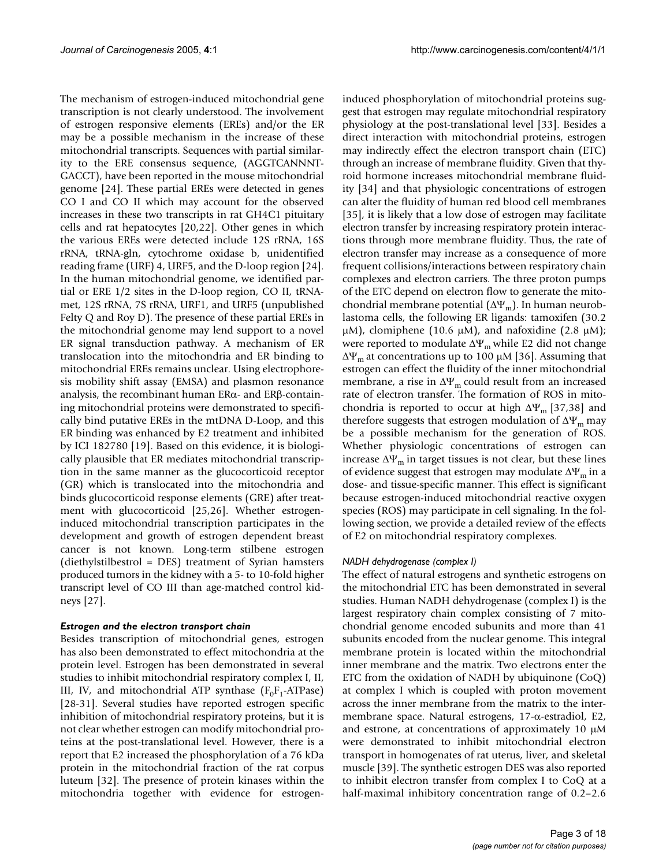The mechanism of estrogen-induced mitochondrial gene transcription is not clearly understood. The involvement of estrogen responsive elements (EREs) and/or the ER may be a possible mechanism in the increase of these mitochondrial transcripts. Sequences with partial similarity to the ERE consensus sequence, (AGGTCANNNT-GACCT), have been reported in the mouse mitochondrial genome [24]. These partial EREs were detected in genes CO I and CO II which may account for the observed increases in these two transcripts in rat GH4C1 pituitary cells and rat hepatocytes [20,22]. Other genes in which the various EREs were detected include 12S rRNA, 16S rRNA, tRNA-gln, cytochrome oxidase b, unidentified reading frame (URF) 4, URF5, and the D-loop region [24]. In the human mitochondrial genome, we identified partial or ERE 1/2 sites in the D-loop region, CO II, tRNAmet, 12S rRNA, 7S rRNA, URF1, and URF5 (unpublished Felty Q and Roy D). The presence of these partial EREs in the mitochondrial genome may lend support to a novel ER signal transduction pathway. A mechanism of ER translocation into the mitochondria and ER binding to mitochondrial EREs remains unclear. Using electrophoresis mobility shift assay (EMSA) and plasmon resonance analysis, the recombinant human ERα- and ERβ-containing mitochondrial proteins were demonstrated to specifically bind putative EREs in the mtDNA D-Loop, and this ER binding was enhanced by E2 treatment and inhibited by ICI 182780 [19]. Based on this evidence, it is biologically plausible that ER mediates mitochondrial transcription in the same manner as the glucocorticoid receptor (GR) which is translocated into the mitochondria and binds glucocorticoid response elements (GRE) after treatment with glucocorticoid [25,26]. Whether estrogeninduced mitochondrial transcription participates in the development and growth of estrogen dependent breast cancer is not known. Long-term stilbene estrogen (diethylstilbestrol = DES) treatment of Syrian hamsters produced tumors in the kidney with a 5- to 10-fold higher transcript level of CO III than age-matched control kidneys [27].

## *Estrogen and the electron transport chain*

Besides transcription of mitochondrial genes, estrogen has also been demonstrated to effect mitochondria at the protein level. Estrogen has been demonstrated in several studies to inhibit mitochondrial respiratory complex I, II, III, IV, and mitochondrial ATP synthase  $(F_0F_1$ -ATPase) [28-31]. Several studies have reported estrogen specific inhibition of mitochondrial respiratory proteins, but it is not clear whether estrogen can modify mitochondrial proteins at the post-translational level. However, there is a report that E2 increased the phosphorylation of a 76 kDa protein in the mitochondrial fraction of the rat corpus luteum [32]. The presence of protein kinases within the mitochondria together with evidence for estrogeninduced phosphorylation of mitochondrial proteins suggest that estrogen may regulate mitochondrial respiratory physiology at the post-translational level [33]. Besides a direct interaction with mitochondrial proteins, estrogen may indirectly effect the electron transport chain (ETC) through an increase of membrane fluidity. Given that thyroid hormone increases mitochondrial membrane fluidity [34] and that physiologic concentrations of estrogen can alter the fluidity of human red blood cell membranes [35], it is likely that a low dose of estrogen may facilitate electron transfer by increasing respiratory protein interactions through more membrane fluidity. Thus, the rate of electron transfer may increase as a consequence of more frequent collisions/interactions between respiratory chain complexes and electron carriers. The three proton pumps of the ETC depend on electron flow to generate the mitochondrial membrane potential  $(\Delta \Psi_m)$ . In human neuroblastoma cells, the following ER ligands: tamoxifen (30.2  $\mu$ M), clomiphene (10.6  $\mu$ M), and nafoxidine (2.8  $\mu$ M); were reported to modulate  $\Delta \Psi_m$  while E2 did not change  $Δ\Psi_m$  at concentrations up to 100 μM [36]. Assuming that estrogen can effect the fluidity of the inner mitochondrial membrane, a rise in  $\Delta\Psi_m$  could result from an increased rate of electron transfer. The formation of ROS in mitochondria is reported to occur at high  $\Delta \Psi_{\text{m}}$  [37,38] and therefore suggests that estrogen modulation of  $\Delta \Psi_m$  may be a possible mechanism for the generation of ROS. Whether physiologic concentrations of estrogen can increase  $\Delta \Psi_m$  in target tissues is not clear, but these lines of evidence suggest that estrogen may modulate  $\Delta \Psi_m$  in a dose- and tissue-specific manner. This effect is significant because estrogen-induced mitochondrial reactive oxygen species (ROS) may participate in cell signaling. In the following section, we provide a detailed review of the effects of E2 on mitochondrial respiratory complexes.

## *NADH dehydrogenase (complex I)*

The effect of natural estrogens and synthetic estrogens on the mitochondrial ETC has been demonstrated in several studies. Human NADH dehydrogenase (complex I) is the largest respiratory chain complex consisting of 7 mitochondrial genome encoded subunits and more than 41 subunits encoded from the nuclear genome. This integral membrane protein is located within the mitochondrial inner membrane and the matrix. Two electrons enter the ETC from the oxidation of NADH by ubiquinone (CoQ) at complex I which is coupled with proton movement across the inner membrane from the matrix to the intermembrane space. Natural estrogens, 17-α-estradiol, E2, and estrone, at concentrations of approximately 10  $\mu$ M were demonstrated to inhibit mitochondrial electron transport in homogenates of rat uterus, liver, and skeletal muscle [39]. The synthetic estrogen DES was also reported to inhibit electron transfer from complex I to CoQ at a half-maximal inhibitory concentration range of 0.2–2.6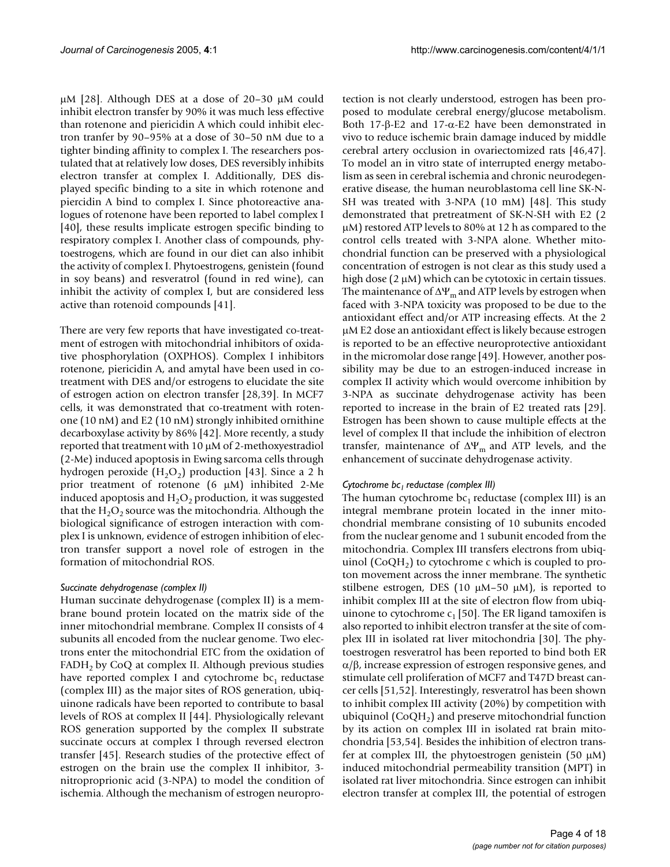µM [28]. Although DES at a dose of 20–30 µM could inhibit electron transfer by 90% it was much less effective than rotenone and piericidin A which could inhibit electron tranfer by 90–95% at a dose of 30–50 nM due to a tighter binding affinity to complex I. The researchers postulated that at relatively low doses, DES reversibly inhibits electron transfer at complex I. Additionally, DES displayed specific binding to a site in which rotenone and piercidin A bind to complex I. Since photoreactive analogues of rotenone have been reported to label complex I [40], these results implicate estrogen specific binding to respiratory complex I. Another class of compounds, phytoestrogens, which are found in our diet can also inhibit the activity of complex I. Phytoestrogens, genistein (found in soy beans) and resveratrol (found in red wine), can inhibit the activity of complex I, but are considered less active than rotenoid compounds [41].

There are very few reports that have investigated co-treatment of estrogen with mitochondrial inhibitors of oxidative phosphorylation (OXPHOS). Complex I inhibitors rotenone, piericidin A, and amytal have been used in cotreatment with DES and/or estrogens to elucidate the site of estrogen action on electron transfer [28,39]. In MCF7 cells, it was demonstrated that co-treatment with rotenone (10 nM) and E2 (10 nM) strongly inhibited ornithine decarboxylase activity by 86% [42]. More recently, a study reported that treatment with 10 µM of 2-methoxyestradiol (2-Me) induced apoptosis in Ewing sarcoma cells through hydrogen peroxide  $(H<sub>2</sub>O<sub>2</sub>)$  production [43]. Since a 2 h prior treatment of rotenone  $(6 \mu M)$  inhibited 2-Me induced apoptosis and  $H_2O_2$  production, it was suggested that the  $H_2O_2$  source was the mitochondria. Although the biological significance of estrogen interaction with complex I is unknown, evidence of estrogen inhibition of electron transfer support a novel role of estrogen in the formation of mitochondrial ROS.

#### *Succinate dehydrogenase (complex II)*

Human succinate dehydrogenase (complex II) is a membrane bound protein located on the matrix side of the inner mitochondrial membrane. Complex II consists of 4 subunits all encoded from the nuclear genome. Two electrons enter the mitochondrial ETC from the oxidation of  $FADH<sub>2</sub>$  by CoQ at complex II. Although previous studies have reported complex I and cytochrome  $bc_1$  reductase (complex III) as the major sites of ROS generation, ubiquinone radicals have been reported to contribute to basal levels of ROS at complex II [44]. Physiologically relevant ROS generation supported by the complex II substrate succinate occurs at complex I through reversed electron transfer [45]. Research studies of the protective effect of estrogen on the brain use the complex II inhibitor, 3 nitroproprionic acid (3-NPA) to model the condition of ischemia. Although the mechanism of estrogen neuroprotection is not clearly understood, estrogen has been proposed to modulate cerebral energy/glucose metabolism. Both 17-β-E2 and 17-α-E2 have been demonstrated in vivo to reduce ischemic brain damage induced by middle cerebral artery occlusion in ovariectomized rats [46,47]. To model an in vitro state of interrupted energy metabolism as seen in cerebral ischemia and chronic neurodegenerative disease, the human neuroblastoma cell line SK-N-SH was treated with 3-NPA (10 mM) [48]. This study demonstrated that pretreatment of SK-N-SH with E2 (2 µM) restored ATP levels to 80% at 12 h as compared to the control cells treated with 3-NPA alone. Whether mitochondrial function can be preserved with a physiological concentration of estrogen is not clear as this study used a high dose  $(2 \mu M)$  which can be cytotoxic in certain tissues. The maintenance of  $\Delta \Psi_m$  and ATP levels by estrogen when faced with 3-NPA toxicity was proposed to be due to the antioxidant effect and/or ATP increasing effects. At the 2 µM E2 dose an antioxidant effect is likely because estrogen is reported to be an effective neuroprotective antioxidant in the micromolar dose range [49]. However, another possibility may be due to an estrogen-induced increase in complex II activity which would overcome inhibition by 3-NPA as succinate dehydrogenase activity has been reported to increase in the brain of E2 treated rats [29]. Estrogen has been shown to cause multiple effects at the level of complex II that include the inhibition of electron transfer, maintenance of  $\Delta \Psi_m$  and ATP levels, and the enhancement of succinate dehydrogenase activity.

## *Cytochrome bc1 reductase (complex III)*

The human cytochrome  $bc_1$  reductase (complex III) is an integral membrane protein located in the inner mitochondrial membrane consisting of 10 subunits encoded from the nuclear genome and 1 subunit encoded from the mitochondria. Complex III transfers electrons from ubiquinol  $(CoQH<sub>2</sub>)$  to cytochrome c which is coupled to proton movement across the inner membrane. The synthetic stilbene estrogen, DES (10  $\mu$ M-50  $\mu$ M), is reported to inhibit complex III at the site of electron flow from ubiquinone to cytochrome  $c_1$  [50]. The ER ligand tamoxifen is also reported to inhibit electron transfer at the site of complex III in isolated rat liver mitochondria [30]. The phytoestrogen resveratrol has been reported to bind both ER  $\alpha/\beta$ , increase expression of estrogen responsive genes, and stimulate cell proliferation of MCF7 and T47D breast cancer cells [51,52]. Interestingly, resveratrol has been shown to inhibit complex III activity (20%) by competition with ubiquinol  $(CoQH<sub>2</sub>)$  and preserve mitochondrial function by its action on complex III in isolated rat brain mitochondria [53,54]. Besides the inhibition of electron transfer at complex III, the phytoestrogen genistein  $(50 \mu M)$ induced mitochondrial permeability transition (MPT) in isolated rat liver mitochondria. Since estrogen can inhibit electron transfer at complex III, the potential of estrogen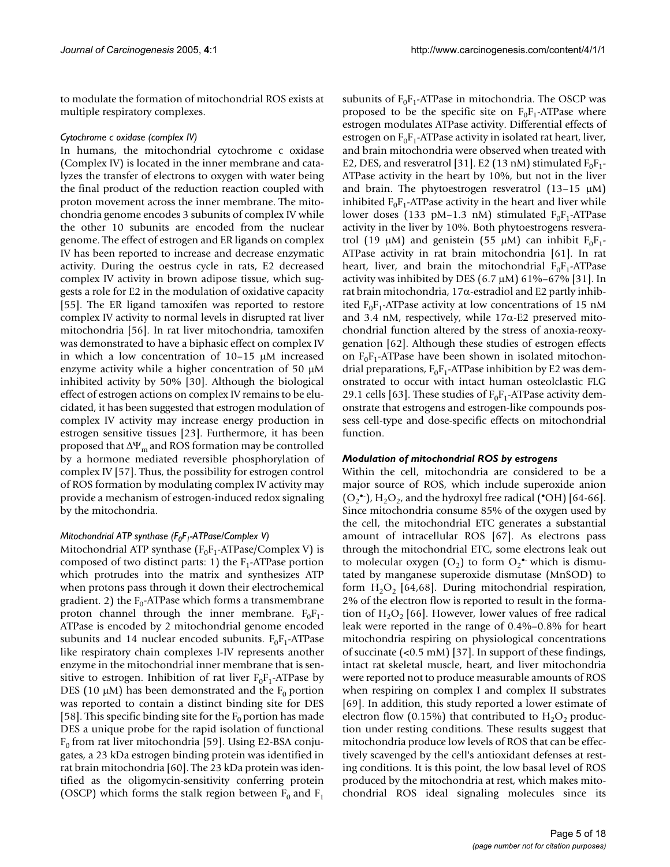to modulate the formation of mitochondrial ROS exists at multiple respiratory complexes.

## *Cytochrome c oxidase (complex IV)*

In humans, the mitochondrial cytochrome c oxidase (Complex IV) is located in the inner membrane and catalyzes the transfer of electrons to oxygen with water being the final product of the reduction reaction coupled with proton movement across the inner membrane. The mitochondria genome encodes 3 subunits of complex IV while the other 10 subunits are encoded from the nuclear genome. The effect of estrogen and ER ligands on complex IV has been reported to increase and decrease enzymatic activity. During the oestrus cycle in rats, E2 decreased complex IV activity in brown adipose tissue, which suggests a role for E2 in the modulation of oxidative capacity [55]. The ER ligand tamoxifen was reported to restore complex IV activity to normal levels in disrupted rat liver mitochondria [56]. In rat liver mitochondria, tamoxifen was demonstrated to have a biphasic effect on complex IV in which a low concentration of 10–15 µM increased enzyme activity while a higher concentration of 50 µM inhibited activity by 50% [30]. Although the biological effect of estrogen actions on complex IV remains to be elucidated, it has been suggested that estrogen modulation of complex IV activity may increase energy production in estrogen sensitive tissues [23]. Furthermore, it has been proposed that  $\Delta \Psi_m$  and ROS formation may be controlled by a hormone mediated reversible phosphorylation of complex IV [57]. Thus, the possibility for estrogen control of ROS formation by modulating complex IV activity may provide a mechanism of estrogen-induced redox signaling by the mitochondria.

## *Mitochondrial ATP synthase (F<sub>0</sub>F<sub>1</sub>-ATPase/Complex V)*

Mitochondrial ATP synthase  $(F_0F_1$ -ATPase/Complex V) is composed of two distinct parts: 1) the  $F_1$ -ATPase portion which protrudes into the matrix and synthesizes ATP when protons pass through it down their electrochemical gradient. 2) the  $F_0$ -ATPase which forms a transmembrane proton channel through the inner membrane.  $F_0F_1$ -ATPase is encoded by 2 mitochondrial genome encoded subunits and 14 nuclear encoded subunits.  $F_0F_1$ -ATPase like respiratory chain complexes I-IV represents another enzyme in the mitochondrial inner membrane that is sensitive to estrogen. Inhibition of rat liver  $F_0F_1$ -ATPase by DES (10  $\mu$ M) has been demonstrated and the F<sub>0</sub> portion was reported to contain a distinct binding site for DES [58]. This specific binding site for the  $F_0$  portion has made DES a unique probe for the rapid isolation of functional  $F<sub>0</sub>$  from rat liver mitochondria [59]. Using E2-BSA conjugates, a 23 kDa estrogen binding protein was identified in rat brain mitochondria [60]. The 23 kDa protein was identified as the oligomycin-sensitivity conferring protein (OSCP) which forms the stalk region between  $F_0$  and  $F_1$ 

subunits of  $F_0F_1$ -ATPase in mitochondria. The OSCP was proposed to be the specific site on  $F_0F_1$ -ATPase where estrogen modulates ATPase activity. Differential effects of estrogen on  $F_0F_1$ -ATPase activity in isolated rat heart, liver, and brain mitochondria were observed when treated with E2, DES, and resveratrol [31]. E2 (13 nM) stimulated  $F_0F_1$ -ATPase activity in the heart by 10%, but not in the liver and brain. The phytoestrogen resveratrol  $(13-15 \mu M)$ inhibited  $F_0F_1$ -ATPase activity in the heart and liver while lower doses (133 pM–1.3 nM) stimulated  $F_0F_1$ -ATPase activity in the liver by 10%. Both phytoestrogens resveratrol (19  $\mu$ M) and genistein (55  $\mu$ M) can inhibit  $F_0F_1$ -ATPase activity in rat brain mitochondria [61]. In rat heart, liver, and brain the mitochondrial  $F_0F_1$ -ATPase activity was inhibited by DES (6.7  $\mu$ M) 61%–67% [31]. In rat brain mitochondria, 17α-estradiol and E2 partly inhibited  $F_0F_1$ -ATPase activity at low concentrations of 15 nM and 3.4 nM, respectively, while 17α-E2 preserved mitochondrial function altered by the stress of anoxia-reoxygenation [62]. Although these studies of estrogen effects on  $F_0F_1$ -ATPase have been shown in isolated mitochondrial preparations,  $F_0F_1$ -ATPase inhibition by E2 was demonstrated to occur with intact human osteolclastic FLG 29.1 cells [63]. These studies of  $F_0F_1$ -ATPase activity demonstrate that estrogens and estrogen-like compounds possess cell-type and dose-specific effects on mitochondrial function.

#### *Modulation of mitochondrial ROS by estrogens*

Within the cell, mitochondria are considered to be a major source of ROS, which include superoxide anion  $(O_2^{\bullet\bullet})$ , H<sub>2</sub>O<sub>2</sub>, and the hydroxyl free radical ( $\bullet$ OH) [64-66]. Since mitochondria consume 85% of the oxygen used by the cell, the mitochondrial ETC generates a substantial amount of intracellular ROS [67]. As electrons pass through the mitochondrial ETC, some electrons leak out to molecular oxygen  $(O_2)$  to form  $O_2$ <sup>\*</sup> which is dismutated by manganese superoxide dismutase (MnSOD) to form  $H_2O_2$  [64,68]. During mitochondrial respiration, 2% of the electron flow is reported to result in the formation of  $H_2O_2$  [66]. However, lower values of free radical leak were reported in the range of 0.4%–0.8% for heart mitochondria respiring on physiological concentrations of succinate (<0.5 mM) [37]. In support of these findings, intact rat skeletal muscle, heart, and liver mitochondria were reported not to produce measurable amounts of ROS when respiring on complex I and complex II substrates [69]. In addition, this study reported a lower estimate of electron flow (0.15%) that contributed to  $H_2O_2$  production under resting conditions. These results suggest that mitochondria produce low levels of ROS that can be effectively scavenged by the cell's antioxidant defenses at resting conditions. It is this point, the low basal level of ROS produced by the mitochondria at rest, which makes mitochondrial ROS ideal signaling molecules since its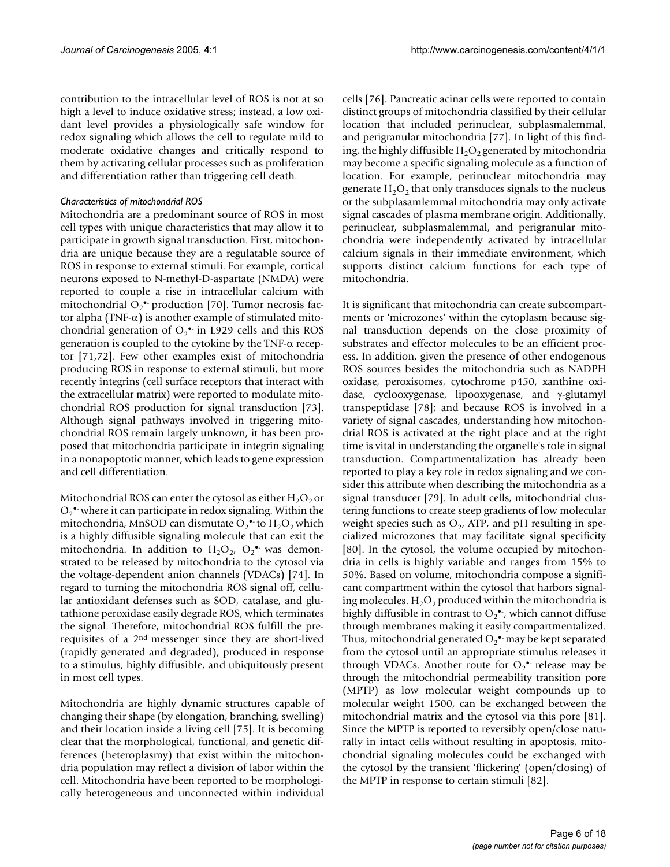contribution to the intracellular level of ROS is not at so high a level to induce oxidative stress; instead, a low oxidant level provides a physiologically safe window for redox signaling which allows the cell to regulate mild to moderate oxidative changes and critically respond to them by activating cellular processes such as proliferation and differentiation rather than triggering cell death.

## *Characteristics of mitochondrial ROS*

Mitochondria are a predominant source of ROS in most cell types with unique characteristics that may allow it to participate in growth signal transduction. First, mitochondria are unique because they are a regulatable source of ROS in response to external stimuli. For example, cortical neurons exposed to N-methyl-D-aspartate (NMDA) were reported to couple a rise in intracellular calcium with mitochondrial  $O_2$ <sup>\*</sup> production [70]. Tumor necrosis factor alpha (TNF- $\alpha$ ) is another example of stimulated mitochondrial generation of  $O_2$ <sup>\*</sup> in L929 cells and this ROS generation is coupled to the cytokine by the TNF-α receptor [71,72]. Few other examples exist of mitochondria producing ROS in response to external stimuli, but more recently integrins (cell surface receptors that interact with the extracellular matrix) were reported to modulate mitochondrial ROS production for signal transduction [73]. Although signal pathways involved in triggering mitochondrial ROS remain largely unknown, it has been proposed that mitochondria participate in integrin signaling in a nonapoptotic manner, which leads to gene expression and cell differentiation.

Mitochondrial ROS can enter the cytosol as either  $H_2O_2$  or  $O_2$ • where it can participate in redox signaling. Within the mitochondria, MnSOD can dismutate  $O_2$  • to  $H_2O_2$  which is a highly diffusible signaling molecule that can exit the mitochondria. In addition to  $H_2O_2$ ,  $O_2$ <sup>•</sup> was demonstrated to be released by mitochondria to the cytosol via the voltage-dependent anion channels (VDACs) [74]. In regard to turning the mitochondria ROS signal off, cellular antioxidant defenses such as SOD, catalase, and glutathione peroxidase easily degrade ROS, which terminates the signal. Therefore, mitochondrial ROS fulfill the prerequisites of a 2nd messenger since they are short-lived (rapidly generated and degraded), produced in response to a stimulus, highly diffusible, and ubiquitously present in most cell types.

Mitochondria are highly dynamic structures capable of changing their shape (by elongation, branching, swelling) and their location inside a living cell [75]. It is becoming clear that the morphological, functional, and genetic differences (heteroplasmy) that exist within the mitochondria population may reflect a division of labor within the cell. Mitochondria have been reported to be morphologically heterogeneous and unconnected within individual

cells [76]. Pancreatic acinar cells were reported to contain distinct groups of mitochondria classified by their cellular location that included perinuclear, subplasmalemmal, and perigranular mitochondria [77]. In light of this finding, the highly diffusible  $H_2O_2$  generated by mitochondria may become a specific signaling molecule as a function of location. For example, perinuclear mitochondria may generate  $H_2O_2$  that only transduces signals to the nucleus or the subplasamlemmal mitochondria may only activate signal cascades of plasma membrane origin. Additionally, perinuclear, subplasmalemmal, and perigranular mitochondria were independently activated by intracellular calcium signals in their immediate environment, which supports distinct calcium functions for each type of mitochondria.

It is significant that mitochondria can create subcompartments or 'microzones' within the cytoplasm because signal transduction depends on the close proximity of substrates and effector molecules to be an efficient process. In addition, given the presence of other endogenous ROS sources besides the mitochondria such as NADPH oxidase, peroxisomes, cytochrome p450, xanthine oxidase, cyclooxygenase, lipooxygenase, and γ-glutamyl transpeptidase [78]; and because ROS is involved in a variety of signal cascades, understanding how mitochondrial ROS is activated at the right place and at the right time is vital in understanding the organelle's role in signal transduction. Compartmentalization has already been reported to play a key role in redox signaling and we consider this attribute when describing the mitochondria as a signal transducer [79]. In adult cells, mitochondrial clustering functions to create steep gradients of low molecular weight species such as  $O_{2}$ , ATP, and pH resulting in specialized microzones that may facilitate signal specificity [80]. In the cytosol, the volume occupied by mitochondria in cells is highly variable and ranges from 15% to 50%. Based on volume, mitochondria compose a significant compartment within the cytosol that harbors signaling molecules.  $H_2O_2$  produced within the mitochondria is highly diffusible in contrast to  $O_2^{\bullet}$ , which cannot diffuse through membranes making it easily compartmentalized. Thus, mitochondrial generated  $\mathrm{O_{2}}^{\bullet \bullet}$  may be kept separated from the cytosol until an appropriate stimulus releases it through VDACs. Another route for  $O_2^{\bullet}$  release may be through the mitochondrial permeability transition pore (MPTP) as low molecular weight compounds up to molecular weight 1500, can be exchanged between the mitochondrial matrix and the cytosol via this pore [81]. Since the MPTP is reported to reversibly open/close naturally in intact cells without resulting in apoptosis, mitochondrial signaling molecules could be exchanged with the cytosol by the transient 'flickering' (open/closing) of the MPTP in response to certain stimuli [82].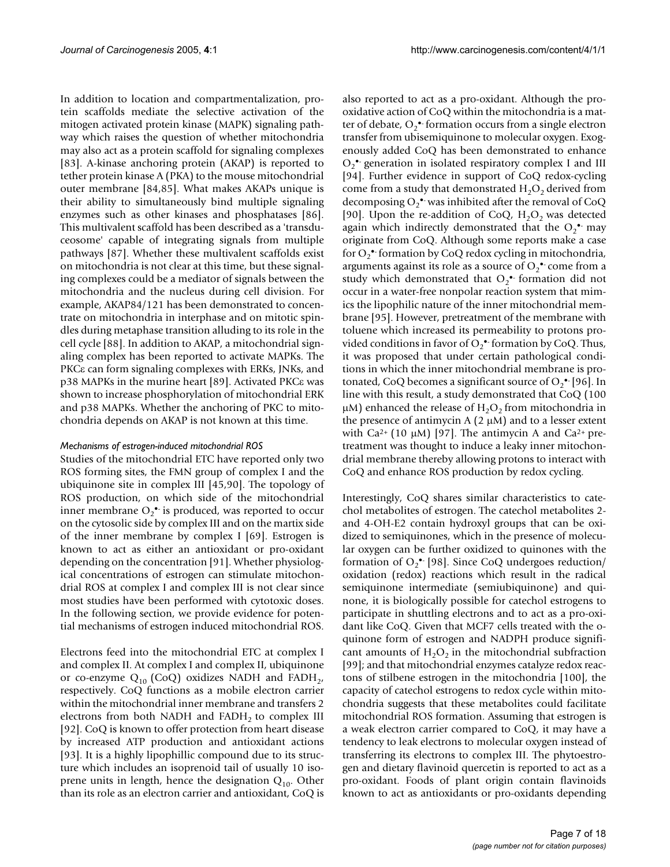In addition to location and compartmentalization, protein scaffolds mediate the selective activation of the mitogen activated protein kinase (MAPK) signaling pathway which raises the question of whether mitochondria may also act as a protein scaffold for signaling complexes [83]. A-kinase anchoring protein (AKAP) is reported to tether protein kinase A (PKA) to the mouse mitochondrial outer membrane [84,85]. What makes AKAPs unique is their ability to simultaneously bind multiple signaling enzymes such as other kinases and phosphatases [86]. This multivalent scaffold has been described as a 'transduceosome' capable of integrating signals from multiple pathways [87]. Whether these multivalent scaffolds exist on mitochondria is not clear at this time, but these signaling complexes could be a mediator of signals between the mitochondria and the nucleus during cell division. For example, AKAP84/121 has been demonstrated to concentrate on mitochondria in interphase and on mitotic spindles during metaphase transition alluding to its role in the cell cycle [88]. In addition to AKAP, a mitochondrial signaling complex has been reported to activate MAPKs. The PKCε can form signaling complexes with ERKs, JNKs, and p38 MAPKs in the murine heart [89]. Activated PKCε was shown to increase phosphorylation of mitochondrial ERK and p38 MAPKs. Whether the anchoring of PKC to mitochondria depends on AKAP is not known at this time.

#### *Mechanisms of estrogen-induced mitochondrial ROS*

Studies of the mitochondrial ETC have reported only two ROS forming sites, the FMN group of complex I and the ubiquinone site in complex III [45,90]. The topology of ROS production, on which side of the mitochondrial inner membrane  $O_2$ <sup>\*</sup> is produced, was reported to occur on the cytosolic side by complex III and on the martix side of the inner membrane by complex I [69]. Estrogen is known to act as either an antioxidant or pro-oxidant depending on the concentration [91]. Whether physiological concentrations of estrogen can stimulate mitochondrial ROS at complex I and complex III is not clear since most studies have been performed with cytotoxic doses. In the following section, we provide evidence for potential mechanisms of estrogen induced mitochondrial ROS.

Electrons feed into the mitochondrial ETC at complex I and complex II. At complex I and complex II, ubiquinone or co-enzyme  $Q_{10}$  (CoQ) oxidizes NADH and FADH<sub>2</sub>, respectively. CoQ functions as a mobile electron carrier within the mitochondrial inner membrane and transfers 2 electrons from both NADH and  $FADH<sub>2</sub>$  to complex III [92]. CoQ is known to offer protection from heart disease by increased ATP production and antioxidant actions [93]. It is a highly lipophillic compound due to its structure which includes an isoprenoid tail of usually 10 isoprene units in length, hence the designation  $Q_{10}$ . Other than its role as an electron carrier and antioxidant, CoQ is

also reported to act as a pro-oxidant. Although the prooxidative action of CoQ within the mitochondria is a matter of debate,  $O_2$  formation occurs from a single electron transfer from ubisemiquinone to molecular oxygen. Exogenously added CoQ has been demonstrated to enhance  $O_2$ • generation in isolated respiratory complex I and III [94]. Further evidence in support of CoQ redox-cycling come from a study that demonstrated  $H_2O_2$  derived from decomposing  $O_2^{\bullet}$  was inhibited after the removal of CoQ [90]. Upon the re-addition of CoQ,  $H_2O_2$  was detected again which indirectly demonstrated that the  $O_2$ <sup>\*</sup> may originate from CoQ. Although some reports make a case for  $O_2^{\bullet}$  formation by CoQ redox cycling in mitochondria, arguments against its role as a source of  $O_2$ <sup>•</sup> come from a study which demonstrated that  $O_2$  formation did not occur in a water-free nonpolar reaction system that mimics the lipophilic nature of the inner mitochondrial membrane [95]. However, pretreatment of the membrane with toluene which increased its permeability to protons provided conditions in favor of  $O_2^{\bullet}$  formation by CoQ. Thus, it was proposed that under certain pathological conditions in which the inner mitochondrial membrane is protonated, CoQ becomes a significant source of  $O_2^{\bullet -}[96]$ . In line with this result, a study demonstrated that CoQ (100  $\mu$ M) enhanced the release of H<sub>2</sub>O<sub>2</sub> from mitochondria in the presence of antimycin A  $(2 \mu M)$  and to a lesser extent with Ca<sup>2+</sup> (10  $\mu$ M) [97]. The antimycin A and Ca<sup>2+</sup> pretreatment was thought to induce a leaky inner mitochondrial membrane thereby allowing protons to interact with CoQ and enhance ROS production by redox cycling.

Interestingly, CoQ shares similar characteristics to catechol metabolites of estrogen. The catechol metabolites 2 and 4-OH-E2 contain hydroxyl groups that can be oxidized to semiquinones, which in the presence of molecular oxygen can be further oxidized to quinones with the formation of  $O_2$ <sup>\*</sup> [98]. Since CoQ undergoes reduction/ oxidation (redox) reactions which result in the radical semiquinone intermediate (semiubiquinone) and quinone, it is biologically possible for catechol estrogens to participate in shuttling electrons and to act as a pro-oxidant like CoQ. Given that MCF7 cells treated with the oquinone form of estrogen and NADPH produce significant amounts of  $H_2O_2$  in the mitochondrial subfraction [99]; and that mitochondrial enzymes catalyze redox reactons of stilbene estrogen in the mitochondria [100], the capacity of catechol estrogens to redox cycle within mitochondria suggests that these metabolites could facilitate mitochondrial ROS formation. Assuming that estrogen is a weak electron carrier compared to CoQ, it may have a tendency to leak electrons to molecular oxygen instead of transferring its electrons to complex III. The phytoestrogen and dietary flavinoid quercetin is reported to act as a pro-oxidant. Foods of plant origin contain flavinoids known to act as antioxidants or pro-oxidants depending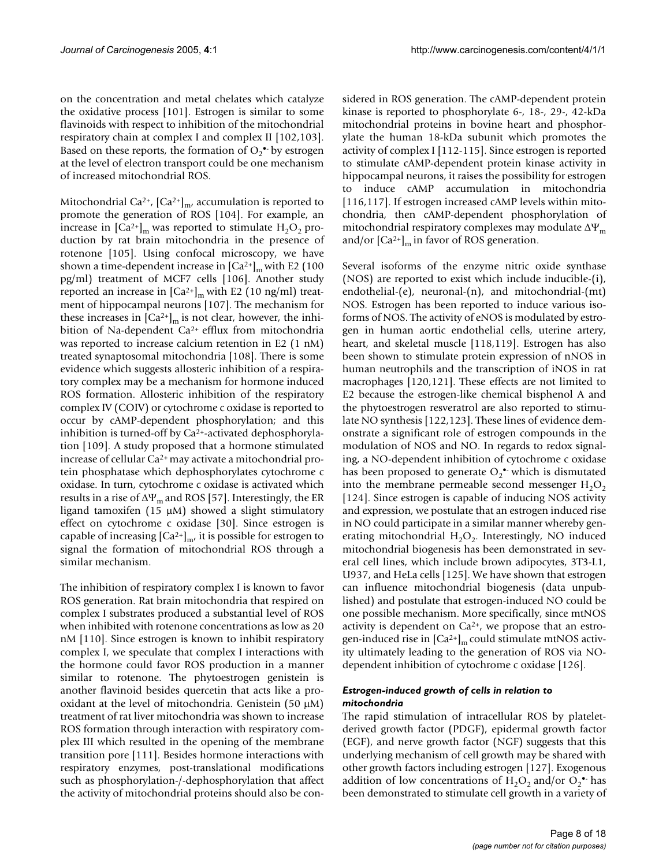on the concentration and metal chelates which catalyze the oxidative process [101]. Estrogen is similar to some flavinoids with respect to inhibition of the mitochondrial respiratory chain at complex I and complex II [102,103]. Based on these reports, the formation of  $O_2^{\bullet-}$  by estrogen at the level of electron transport could be one mechanism of increased mitochondrial ROS.

Mitochondrial Ca<sup>2+</sup>,  $\left[Ca^{2+}\right]_{m}$ , accumulation is reported to promote the generation of ROS [104]. For example, an increase in  $\left[Ca^{2+}\right]_{m}$  was reported to stimulate  $H_{2}O_{2}$  production by rat brain mitochondria in the presence of rotenone [105]. Using confocal microscopy, we have shown a time-dependent increase in  $\left[Ca^{2+}\right]_{m}$  with E2 (100 pg/ml) treatment of MCF7 cells [106]. Another study reported an increase in  $\left[Ca^{2+}\right]_m$  with E2 (10 ng/ml) treatment of hippocampal neurons [107]. The mechanism for these increases in  $\left[Ca^{2+}\right]_{m}$  is not clear, however, the inhibition of Na-dependent Ca<sup>2+</sup> efflux from mitochondria was reported to increase calcium retention in E2 (1 nM) treated synaptosomal mitochondria [108]. There is some evidence which suggests allosteric inhibition of a respiratory complex may be a mechanism for hormone induced ROS formation. Allosteric inhibition of the respiratory complex IV (COIV) or cytochrome c oxidase is reported to occur by cAMP-dependent phosphorylation; and this inhibition is turned-off by Ca2+-activated dephosphorylation [109]. A study proposed that a hormone stimulated increase of cellular Ca2+ may activate a mitochondrial protein phosphatase which dephosphorylates cytochrome c oxidase. In turn, cytochrome c oxidase is activated which results in a rise of  $\Delta \Psi_m$  and ROS [57]. Interestingly, the ER ligand tamoxifen (15  $\mu$ M) showed a slight stimulatory effect on cytochrome c oxidase [30]. Since estrogen is capable of increasing  $\left[Ca^{2+}\right]_{m}$ , it is possible for estrogen to signal the formation of mitochondrial ROS through a similar mechanism.

The inhibition of respiratory complex I is known to favor ROS generation. Rat brain mitochondria that respired on complex I substrates produced a substantial level of ROS when inhibited with rotenone concentrations as low as 20 nM [110]. Since estrogen is known to inhibit respiratory complex I, we speculate that complex I interactions with the hormone could favor ROS production in a manner similar to rotenone. The phytoestrogen genistein is another flavinoid besides quercetin that acts like a prooxidant at the level of mitochondria. Genistein (50 µM) treatment of rat liver mitochondria was shown to increase ROS formation through interaction with respiratory complex III which resulted in the opening of the membrane transition pore [111]. Besides hormone interactions with respiratory enzymes, post-translational modifications such as phosphorylation-/-dephosphorylation that affect the activity of mitochondrial proteins should also be considered in ROS generation. The cAMP-dependent protein kinase is reported to phosphorylate 6-, 18-, 29-, 42-kDa mitochondrial proteins in bovine heart and phosphorylate the human 18-kDa subunit which promotes the activity of complex I [112-115]. Since estrogen is reported to stimulate cAMP-dependent protein kinase activity in hippocampal neurons, it raises the possibility for estrogen to induce cAMP accumulation in mitochondria [116,117]. If estrogen increased cAMP levels within mitochondria, then cAMP-dependent phosphorylation of mitochondrial respiratory complexes may modulate  $\Delta \Psi_m$ and/or  $\left[Ca^{2+}\right]_{m}$  in favor of ROS generation.

Several isoforms of the enzyme nitric oxide synthase (NOS) are reported to exist which include inducible-(i), endothelial-(e), neuronal-(n), and mitochondrial-(mt) NOS. Estrogen has been reported to induce various isoforms of NOS. The activity of eNOS is modulated by estrogen in human aortic endothelial cells, uterine artery, heart, and skeletal muscle [118,119]. Estrogen has also been shown to stimulate protein expression of nNOS in human neutrophils and the transcription of iNOS in rat macrophages [120,121]. These effects are not limited to E2 because the estrogen-like chemical bisphenol A and the phytoestrogen resveratrol are also reported to stimulate NO synthesis [122,123]. These lines of evidence demonstrate a significant role of estrogen compounds in the modulation of NOS and NO. In regards to redox signaling, a NO-dependent inhibition of cytochrome c oxidase has been proposed to generate  $O_2$ <sup>•</sup> which is dismutated into the membrane permeable second messenger  $H_2O_2$ [124]. Since estrogen is capable of inducing NOS activity and expression, we postulate that an estrogen induced rise in NO could participate in a similar manner whereby generating mitochondrial  $H_2O_2$ . Interestingly, NO induced mitochondrial biogenesis has been demonstrated in several cell lines, which include brown adipocytes, 3T3-L1, U937, and HeLa cells [125]. We have shown that estrogen can influence mitochondrial biogenesis (data unpublished) and postulate that estrogen-induced NO could be one possible mechanism. More specifically, since mtNOS activity is dependent on  $Ca^{2+}$ , we propose that an estrogen-induced rise in  $\left[Ca^{2+}\right]_{m}$  could stimulate mtNOS activity ultimately leading to the generation of ROS via NOdependent inhibition of cytochrome c oxidase [126].

## *Estrogen-induced growth of cells in relation to mitochondria*

The rapid stimulation of intracellular ROS by plateletderived growth factor (PDGF), epidermal growth factor (EGF), and nerve growth factor (NGF) suggests that this underlying mechanism of cell growth may be shared with other growth factors including estrogen [127]. Exogenous addition of low concentrations of  $H_2O_2$  and/or  $O_2^{\bullet -}$  has been demonstrated to stimulate cell growth in a variety of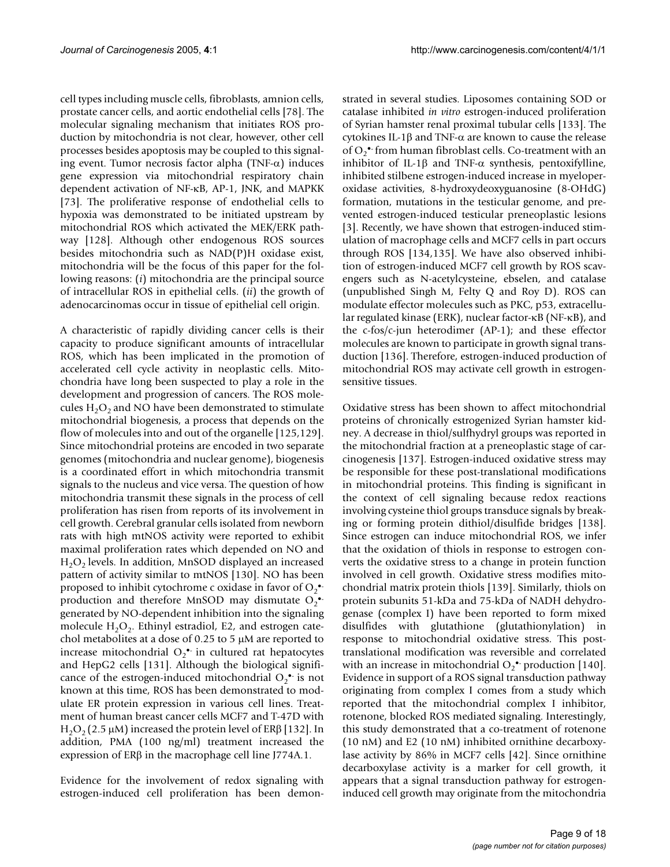cell types including muscle cells, fibroblasts, amnion cells, prostate cancer cells, and aortic endothelial cells [78]. The molecular signaling mechanism that initiates ROS production by mitochondria is not clear, however, other cell processes besides apoptosis may be coupled to this signaling event. Tumor necrosis factor alpha (TNF- $\alpha$ ) induces gene expression via mitochondrial respiratory chain dependent activation of NF-κB, AP-1, JNK, and MAPKK [73]. The proliferative response of endothelial cells to hypoxia was demonstrated to be initiated upstream by mitochondrial ROS which activated the MEK/ERK pathway [128]. Although other endogenous ROS sources besides mitochondria such as NAD(P)H oxidase exist, mitochondria will be the focus of this paper for the following reasons: (*i*) mitochondria are the principal source of intracellular ROS in epithelial cells. (*ii*) the growth of adenocarcinomas occur in tissue of epithelial cell origin.

A characteristic of rapidly dividing cancer cells is their capacity to produce significant amounts of intracellular ROS, which has been implicated in the promotion of accelerated cell cycle activity in neoplastic cells. Mitochondria have long been suspected to play a role in the development and progression of cancers. The ROS molecules  $H_2O_2$  and NO have been demonstrated to stimulate mitochondrial biogenesis, a process that depends on the flow of molecules into and out of the organelle [125,129]. Since mitochondrial proteins are encoded in two separate genomes (mitochondria and nuclear genome), biogenesis is a coordinated effort in which mitochondria transmit signals to the nucleus and vice versa. The question of how mitochondria transmit these signals in the process of cell proliferation has risen from reports of its involvement in cell growth. Cerebral granular cells isolated from newborn rats with high mtNOS activity were reported to exhibit maximal proliferation rates which depended on NO and  $H_2O_2$  levels. In addition, MnSOD displayed an increased pattern of activity similar to mtNOS [130]. NO has been proposed to inhibit cytochrome c oxidase in favor of  $O_2^{\bullet\bullet}$ production and therefore MnSOD may dismutate  $O_2^{\bullet}$ generated by NO-dependent inhibition into the signaling molecule  $H_2O_2$ . Ethinyl estradiol, E2, and estrogen catechol metabolites at a dose of 0.25 to 5 µM are reported to increase mitochondrial  $O_2^{\bullet}$  in cultured rat hepatocytes and HepG2 cells [131]. Although the biological significance of the estrogen-induced mitochondrial  $O_2$ <sup>\*</sup> is not known at this time, ROS has been demonstrated to modulate ER protein expression in various cell lines. Treatment of human breast cancer cells MCF7 and T-47D with H<sub>2</sub>O<sub>2</sub> (2.5 μM) increased the protein level of ERβ [132]. In addition, PMA (100 ng/ml) treatment increased the expression of ERβ in the macrophage cell line J774A.1.

Evidence for the involvement of redox signaling with estrogen-induced cell proliferation has been demonstrated in several studies. Liposomes containing SOD or catalase inhibited *in vitro* estrogen-induced proliferation of Syrian hamster renal proximal tubular cells [133]. The cytokines IL-1β and TNF-α are known to cause the release of  $O_2$ <sup>•</sup> from human fibroblast cells. Co-treatment with an inhibitor of IL-1 $\beta$  and TNF- $\alpha$  synthesis, pentoxifylline, inhibited stilbene estrogen-induced increase in myeloperoxidase activities, 8-hydroxydeoxyguanosine (8-OHdG) formation, mutations in the testicular genome, and prevented estrogen-induced testicular preneoplastic lesions [3]. Recently, we have shown that estrogen-induced stimulation of macrophage cells and MCF7 cells in part occurs through ROS [134,135]. We have also observed inhibition of estrogen-induced MCF7 cell growth by ROS scavengers such as N-acetylcysteine, ebselen, and catalase (unpublished Singh M, Felty Q and Roy D). ROS can modulate effector molecules such as PKC, p53, extracellular regulated kinase (ERK), nuclear factor-κB (NF-κB), and the c-fos/c-jun heterodimer (AP-1); and these effector molecules are known to participate in growth signal transduction [136]. Therefore, estrogen-induced production of mitochondrial ROS may activate cell growth in estrogensensitive tissues.

Oxidative stress has been shown to affect mitochondrial proteins of chronically estrogenized Syrian hamster kidney. A decrease in thiol/sulfhydryl groups was reported in the mitochondrial fraction at a preneoplastic stage of carcinogenesis [137]. Estrogen-induced oxidative stress may be responsible for these post-translational modifications in mitochondrial proteins. This finding is significant in the context of cell signaling because redox reactions involving cysteine thiol groups transduce signals by breaking or forming protein dithiol/disulfide bridges [138]. Since estrogen can induce mitochondrial ROS, we infer that the oxidation of thiols in response to estrogen converts the oxidative stress to a change in protein function involved in cell growth. Oxidative stress modifies mitochondrial matrix protein thiols [139]. Similarly, thiols on protein subunits 51-kDa and 75-kDa of NADH dehydrogenase (complex I) have been reported to form mixed disulfides with glutathione (glutathionylation) in response to mitochondrial oxidative stress. This posttranslational modification was reversible and correlated with an increase in mitochondrial  $O_2^{\bullet}$  production [140]. Evidence in support of a ROS signal transduction pathway originating from complex I comes from a study which reported that the mitochondrial complex I inhibitor, rotenone, blocked ROS mediated signaling. Interestingly, this study demonstrated that a co-treatment of rotenone (10 nM) and E2 (10 nM) inhibited ornithine decarboxylase activity by 86% in MCF7 cells [42]. Since ornithine decarboxylase activity is a marker for cell growth, it appears that a signal transduction pathway for estrogeninduced cell growth may originate from the mitochondria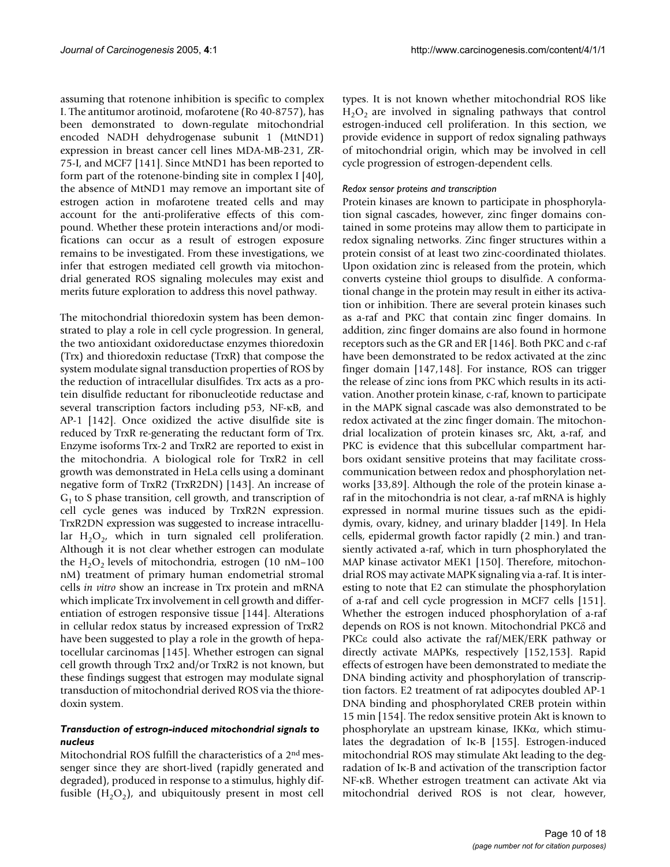assuming that rotenone inhibition is specific to complex I. The antitumor arotinoid, mofarotene (Ro 40-8757), has been demonstrated to down-regulate mitochondrial encoded NADH dehydrogenase subunit 1 (MtND1) expression in breast cancer cell lines MDA-MB-231, ZR-75-I, and MCF7 [141]. Since MtND1 has been reported to form part of the rotenone-binding site in complex I [40], the absence of MtND1 may remove an important site of estrogen action in mofarotene treated cells and may account for the anti-proliferative effects of this compound. Whether these protein interactions and/or modifications can occur as a result of estrogen exposure remains to be investigated. From these investigations, we infer that estrogen mediated cell growth via mitochondrial generated ROS signaling molecules may exist and merits future exploration to address this novel pathway.

The mitochondrial thioredoxin system has been demonstrated to play a role in cell cycle progression. In general, the two antioxidant oxidoreductase enzymes thioredoxin (Trx) and thioredoxin reductase (TrxR) that compose the system modulate signal transduction properties of ROS by the reduction of intracellular disulfides. Trx acts as a protein disulfide reductant for ribonucleotide reductase and several transcription factors including p53, NF-κB, and AP-1 [142]. Once oxidized the active disulfide site is reduced by TrxR re-generating the reductant form of Trx. Enzyme isoforms Trx-2 and TrxR2 are reported to exist in the mitochondria. A biological role for TrxR2 in cell growth was demonstrated in HeLa cells using a dominant negative form of TrxR2 (TrxR2DN) [143]. An increase of  $G<sub>1</sub>$  to S phase transition, cell growth, and transcription of cell cycle genes was induced by TrxR2N expression. TrxR2DN expression was suggested to increase intracellular  $H_2O_2$ , which in turn signaled cell proliferation. Although it is not clear whether estrogen can modulate the  $H_2O_2$  levels of mitochondria, estrogen (10 nM–100 nM) treatment of primary human endometrial stromal cells *in vitro* show an increase in Trx protein and mRNA which implicate Trx involvement in cell growth and differentiation of estrogen responsive tissue [144]. Alterations in cellular redox status by increased expression of TrxR2 have been suggested to play a role in the growth of hepatocellular carcinomas [145]. Whether estrogen can signal cell growth through Trx2 and/or TrxR2 is not known, but these findings suggest that estrogen may modulate signal transduction of mitochondrial derived ROS via the thioredoxin system.

## *Transduction of estrogn-induced mitochondrial signals to nucleus*

Mitochondrial ROS fulfill the characteristics of a 2nd messenger since they are short-lived (rapidly generated and degraded), produced in response to a stimulus, highly diffusible  $(H_2O_2)$ , and ubiquitously present in most cell types. It is not known whether mitochondrial ROS like  $H_2O_2$  are involved in signaling pathways that control estrogen-induced cell proliferation. In this section, we provide evidence in support of redox signaling pathways of mitochondrial origin, which may be involved in cell cycle progression of estrogen-dependent cells.

## *Redox sensor proteins and transcription*

Protein kinases are known to participate in phosphorylation signal cascades, however, zinc finger domains contained in some proteins may allow them to participate in redox signaling networks. Zinc finger structures within a protein consist of at least two zinc-coordinated thiolates. Upon oxidation zinc is released from the protein, which converts cysteine thiol groups to disulfide. A conformational change in the protein may result in either its activation or inhibition. There are several protein kinases such as a-raf and PKC that contain zinc finger domains. In addition, zinc finger domains are also found in hormone receptors such as the GR and ER [146]. Both PKC and c-raf have been demonstrated to be redox activated at the zinc finger domain [147,148]. For instance, ROS can trigger the release of zinc ions from PKC which results in its activation. Another protein kinase, c-raf, known to participate in the MAPK signal cascade was also demonstrated to be redox activated at the zinc finger domain. The mitochondrial localization of protein kinases src, Akt, a-raf, and PKC is evidence that this subcellular compartment harbors oxidant sensitive proteins that may facilitate crosscommunication between redox and phosphorylation networks [33,89]. Although the role of the protein kinase araf in the mitochondria is not clear, a-raf mRNA is highly expressed in normal murine tissues such as the epididymis, ovary, kidney, and urinary bladder [149]. In Hela cells, epidermal growth factor rapidly (2 min.) and transiently activated a-raf, which in turn phosphorylated the MAP kinase activator MEK1 [150]. Therefore, mitochondrial ROS may activate MAPK signaling via a-raf. It is interesting to note that E2 can stimulate the phosphorylation of a-raf and cell cycle progression in MCF7 cells [151]. Whether the estrogen induced phosphorylation of a-raf depends on ROS is not known. Mitochondrial PKCδ and PKCε could also activate the raf/MEK/ERK pathway or directly activate MAPKs, respectively [152,153]. Rapid effects of estrogen have been demonstrated to mediate the DNA binding activity and phosphorylation of transcription factors. E2 treatment of rat adipocytes doubled AP-1 DNA binding and phosphorylated CREB protein within 15 min [154]. The redox sensitive protein Akt is known to phosphorylate an upstream kinase, IKKα, which stimulates the degradation of Iκ-B [155]. Estrogen-induced mitochondrial ROS may stimulate Akt leading to the degradation of Iκ-B and activation of the transcription factor NF-κB. Whether estrogen treatment can activate Akt via mitochondrial derived ROS is not clear, however,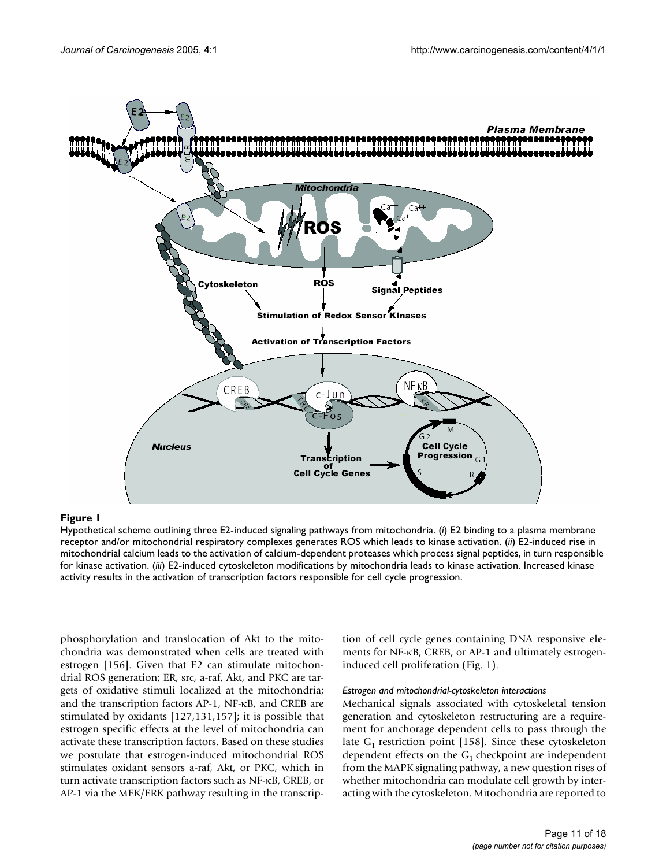

## Hypothetical scheme outlining three E2-indu **Figure 1** ced signaling pathways from mitochondria

Hypothetical scheme outlining three E2-induced signaling pathways from mitochondria. (*i*) E2 binding to a plasma membrane receptor and/or mitochondrial respiratory complexes generates ROS which leads to kinase activation. (*ii*) E2-induced rise in mitochondrial calcium leads to the activation of calcium-dependent proteases which process signal peptides, in turn responsible for kinase activation. (*iii*) E2-induced cytoskeleton modifications by mitochondria leads to kinase activation. Increased kinase activity results in the activation of transcription factors responsible for cell cycle progression.

phosphorylation and translocation of Akt to the mitochondria was demonstrated when cells are treated with estrogen [156]. Given that E2 can stimulate mitochondrial ROS generation; ER, src, a-raf, Akt, and PKC are targets of oxidative stimuli localized at the mitochondria; and the transcription factors AP-1, NF-κB, and CREB are stimulated by oxidants [127,131,157]; it is possible that estrogen specific effects at the level of mitochondria can activate these transcription factors. Based on these studies we postulate that estrogen-induced mitochondrial ROS stimulates oxidant sensors a-raf, Akt, or PKC, which in turn activate transcription factors such as NF-κB, CREB, or AP-1 via the MEK/ERK pathway resulting in the transcrip-

tion of cell cycle genes containing DNA responsive elements for NF-κB, CREB, or AP-1 and ultimately estrogeninduced cell proliferation (Fig. 1).

## *Estrogen and mitochondrial-cytoskeleton interactions*

Mechanical signals associated with cytoskeletal tension generation and cytoskeleton restructuring are a requirement for anchorage dependent cells to pass through the late  $G_1$  restriction point [158]. Since these cytoskeleton dependent effects on the  $G_1$  checkpoint are independent from the MAPK signaling pathway, a new question rises of whether mitochondria can modulate cell growth by interacting with the cytoskeleton. Mitochondria are reported to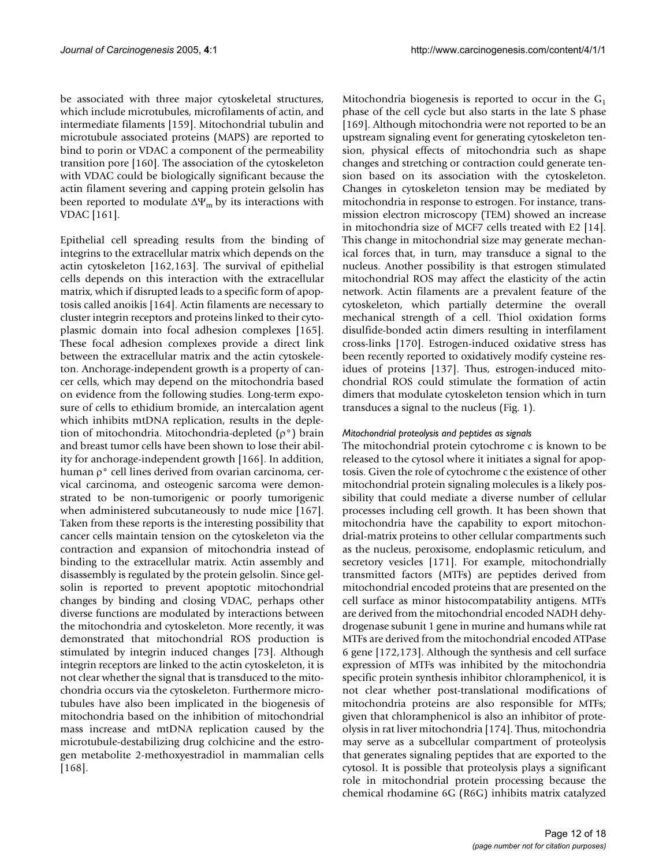be associated with three major cytoskeletal structures, which include microtubules, microfilaments of actin, and intermediate filaments [159]. Mitochondrial tubulin and microtubule associated proteins (MAPS) are reported to bind to porin or VDAC a component of the permeability transition pore [160]. The association of the cytoskeleton with VDAC could be biologically significant because the actin filament severing and capping protein gelsolin has been reported to modulate  $\Delta\Psi_m$  by its interactions with VDAC [161].

Epithelial cell spreading results from the binding of integrins to the extracellular matrix which depends on the actin cytoskeleton [162,163]. The survival of epithelial cells depends on this interaction with the extracellular matrix, which if disrupted leads to a specific form of apoptosis called anoikis [164]. Actin filaments are necessary to cluster integrin receptors and proteins linked to their cytoplasmic domain into focal adhesion complexes [165]. These focal adhesion complexes provide a direct link between the extracellular matrix and the actin cytoskeleton. Anchorage-independent growth is a property of cancer cells, which may depend on the mitochondria based on evidence from the following studies. Long-term exposure of cells to ethidium bromide, an intercalation agent which inhibits mtDNA replication, results in the depletion of mitochondria. Mitochondria-depleted (ρ°) brain and breast tumor cells have been shown to lose their ability for anchorage-independent growth [166]. In addition, human ρ° cell lines derived from ovarian carcinoma, cervical carcinoma, and osteogenic sarcoma were demonstrated to be non-tumorigenic or poorly tumorigenic when administered subcutaneously to nude mice [167]. Taken from these reports is the interesting possibility that cancer cells maintain tension on the cytoskeleton via the contraction and expansion of mitochondria instead of binding to the extracellular matrix. Actin assembly and disassembly is regulated by the protein gelsolin. Since gelsolin is reported to prevent apoptotic mitochondrial changes by binding and closing VDAC, perhaps other diverse functions are modulated by interactions between the mitochondria and cytoskeleton. More recently, it was demonstrated that mitochondrial ROS production is stimulated by integrin induced changes [73]. Although integrin receptors are linked to the actin cytoskeleton, it is not clear whether the signal that is transduced to the mitochondria occurs via the cytoskeleton. Furthermore microtubules have also been implicated in the biogenesis of mitochondria based on the inhibition of mitochondrial mass increase and mtDNA replication caused by the microtubule-destabilizing drug colchicine and the estrogen metabolite 2-methoxyestradiol in mammalian cells [168].

Mitochondria biogenesis is reported to occur in the  $G_1$ phase of the cell cycle but also starts in the late S phase [169]. Although mitochondria were not reported to be an upstream signaling event for generating cytoskeleton tension, physical effects of mitochondria such as shape changes and stretching or contraction could generate tension based on its association with the cytoskeleton. Changes in cytoskeleton tension may be mediated by mitochondria in response to estrogen. For instance, transmission electron microscopy (TEM) showed an increase in mitochondria size of MCF7 cells treated with E2 [14]. This change in mitochondrial size may generate mechanical forces that, in turn, may transduce a signal to the nucleus. Another possibility is that estrogen stimulated mitochondrial ROS may affect the elasticity of the actin network. Actin filaments are a prevalent feature of the cytoskeleton, which partially determine the overall mechanical strength of a cell. Thiol oxidation forms disulfide-bonded actin dimers resulting in interfilament cross-links [170]. Estrogen-induced oxidative stress has been recently reported to oxidatively modify cysteine residues of proteins [137]. Thus, estrogen-induced mitochondrial ROS could stimulate the formation of actin dimers that modulate cytoskeleton tension which in turn transduces a signal to the nucleus (Fig. 1).

## *Mitochondrial proteolysis and peptides as signals*

The mitochondrial protein cytochrome c is known to be released to the cytosol where it initiates a signal for apoptosis. Given the role of cytochrome c the existence of other mitochondrial protein signaling molecules is a likely possibility that could mediate a diverse number of cellular processes including cell growth. It has been shown that mitochondria have the capability to export mitochondrial-matrix proteins to other cellular compartments such as the nucleus, peroxisome, endoplasmic reticulum, and secretory vesicles [171]. For example, mitochondrially transmitted factors (MTFs) are peptides derived from mitochondrial encoded proteins that are presented on the cell surface as minor histocompatability antigens. MTFs are derived from the mitochondrial encoded NADH dehydrogenase subunit 1 gene in murine and humans while rat MTFs are derived from the mitochondrial encoded ATPase 6 gene [172,173]. Although the synthesis and cell surface expression of MTFs was inhibited by the mitochondria specific protein synthesis inhibitor chloramphenicol, it is not clear whether post-translational modifications of mitochondria proteins are also responsible for MTFs; given that chloramphenicol is also an inhibitor of proteolysis in rat liver mitochondria [174]. Thus, mitochondria may serve as a subcellular compartment of proteolysis that generates signaling peptides that are exported to the cytosol. It is possible that proteolysis plays a significant role in mitochondrial protein processing because the chemical rhodamine 6G (R6G) inhibits matrix catalyzed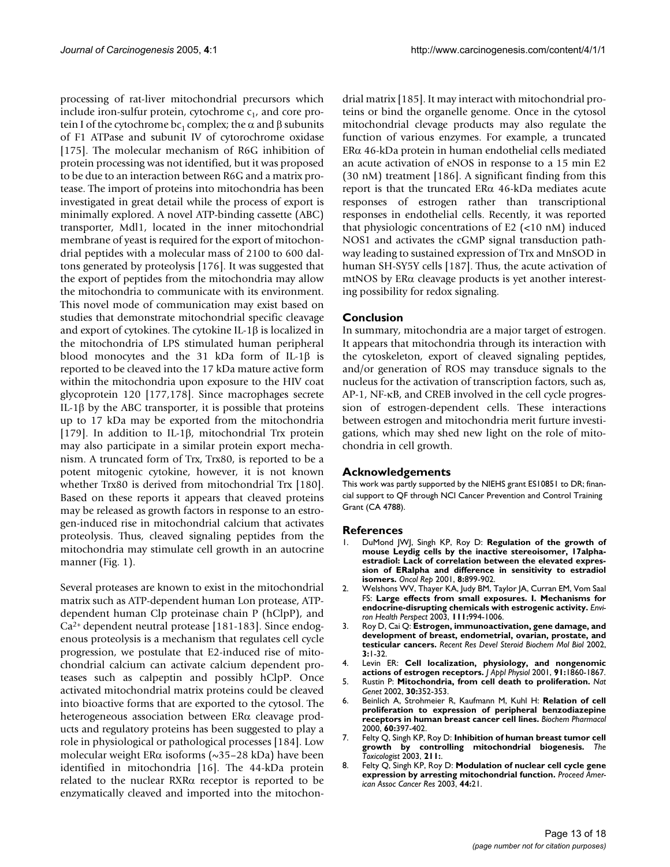processing of rat-liver mitochondrial precursors which include iron-sulfur protein, cytochrome  $c_{1}$ , and core protein I of the cytochrome bc<sub>1</sub> complex; the α and β subunits of F1 ATPase and subunit IV of cytorochrome oxidase [175]. The molecular mechanism of R6G inhibition of protein processing was not identified, but it was proposed to be due to an interaction between R6G and a matrix protease. The import of proteins into mitochondria has been investigated in great detail while the process of export is minimally explored. A novel ATP-binding cassette (ABC) transporter, Mdl1, located in the inner mitochondrial membrane of yeast is required for the export of mitochondrial peptides with a molecular mass of 2100 to 600 daltons generated by proteolysis [176]. It was suggested that the export of peptides from the mitochondria may allow the mitochondria to communicate with its environment. This novel mode of communication may exist based on studies that demonstrate mitochondrial specific cleavage and export of cytokines. The cytokine IL-1 $\beta$  is localized in the mitochondria of LPS stimulated human peripheral blood monocytes and the 31 kDa form of IL-1β is reported to be cleaved into the 17 kDa mature active form within the mitochondria upon exposure to the HIV coat glycoprotein 120 [177,178]. Since macrophages secrete IL-1β by the ABC transporter, it is possible that proteins up to 17 kDa may be exported from the mitochondria [179]. In addition to IL-1β, mitochondrial Trx protein may also participate in a similar protein export mechanism. A truncated form of Trx, Trx80, is reported to be a potent mitogenic cytokine, however, it is not known whether Trx80 is derived from mitochondrial Trx [180]. Based on these reports it appears that cleaved proteins may be released as growth factors in response to an estrogen-induced rise in mitochondrial calcium that activates proteolysis. Thus, cleaved signaling peptides from the mitochondria may stimulate cell growth in an autocrine manner (Fig. 1).

Several proteases are known to exist in the mitochondrial matrix such as ATP-dependent human Lon protease, ATPdependent human Clp proteinase chain P (hClpP), and Ca2+ dependent neutral protease [181-183]. Since endogenous proteolysis is a mechanism that regulates cell cycle progression, we postulate that E2-induced rise of mitochondrial calcium can activate calcium dependent proteases such as calpeptin and possibly hClpP. Once activated mitochondrial matrix proteins could be cleaved into bioactive forms that are exported to the cytosol. The heterogeneous association between ERα cleavage products and regulatory proteins has been suggested to play a role in physiological or pathological processes [184]. Low molecular weight ER $\alpha$  isoforms (~35–28 kDa) have been identified in mitochondria [16]. The 44-kDa protein related to the nuclear RXRα receptor is reported to be enzymatically cleaved and imported into the mitochondrial matrix [185]. It may interact with mitochondrial proteins or bind the organelle genome. Once in the cytosol mitochondrial clevage products may also regulate the function of various enzymes. For example, a truncated ERα 46-kDa protein in human endothelial cells mediated an acute activation of eNOS in response to a 15 min E2 (30 nM) treatment [186]. A significant finding from this report is that the truncated ERα 46-kDa mediates acute responses of estrogen rather than transcriptional responses in endothelial cells. Recently, it was reported that physiologic concentrations of E2 (<10 nM) induced NOS1 and activates the cGMP signal transduction pathway leading to sustained expression of Trx and MnSOD in human SH-SY5Y cells [187]. Thus, the acute activation of mtNOS by ERα cleavage products is yet another interesting possibility for redox signaling.

## **Conclusion**

In summary, mitochondria are a major target of estrogen. It appears that mitochondria through its interaction with the cytoskeleton, export of cleaved signaling peptides, and/or generation of ROS may transduce signals to the nucleus for the activation of transcription factors, such as, AP-1, NF-κB, and CREB involved in the cell cycle progression of estrogen-dependent cells. These interactions between estrogen and mitochondria merit furture investigations, which may shed new light on the role of mitochondria in cell growth.

## **Acknowledgements**

This work was partly supported by the NIEHS grant ES10851 to DR; financial support to QF through NCI Cancer Prevention and Control Training Grant (CA 4788).

#### **References**

- 1. DuMond JWJ, Singh KP, Roy D: **[Regulation of the growth of](http://www.ncbi.nlm.nih.gov/entrez/query.fcgi?cmd=Retrieve&db=PubMed&dopt=Abstract&list_uids=11410806) mouse Leydig cells by the inactive stereoisomer, 17alphaestradiol: Lack of correlation between the elevated expres[sion of ERalpha and difference in sensitivity to estradiol](http://www.ncbi.nlm.nih.gov/entrez/query.fcgi?cmd=Retrieve&db=PubMed&dopt=Abstract&list_uids=11410806) [isomers.](http://www.ncbi.nlm.nih.gov/entrez/query.fcgi?cmd=Retrieve&db=PubMed&dopt=Abstract&list_uids=11410806)** *Oncol Rep* 2001, **8:**899-902.
- 2. Welshons WV, Thayer KA, Judy BM, Taylor JA, Curran EM, Vom Saal FS: **[Large effects from small exposures. I. Mechanisms for](http://www.ncbi.nlm.nih.gov/entrez/query.fcgi?cmd=Retrieve&db=PubMed&dopt=Abstract&list_uids=12826473) [endocrine-disrupting chemicals with estrogenic activity.](http://www.ncbi.nlm.nih.gov/entrez/query.fcgi?cmd=Retrieve&db=PubMed&dopt=Abstract&list_uids=12826473)** *Environ Health Perspect* 2003, **111:**994-1006.
- 3. Roy D, Cai Q: **Estrogen, immunoactivation, gene damage, and development of breast, endometrial, ovarian, prostate, and testicular cancers.** *Recent Res Devel Steroid Biochem Mol Biol* 2002, **3:**1-32.
- 4. Levin ER: **[Cell localization, physiology, and nongenomic](http://www.ncbi.nlm.nih.gov/entrez/query.fcgi?cmd=Retrieve&db=PubMed&dopt=Abstract&list_uids=11568173)**
- **[actions of estrogen receptors.](http://www.ncbi.nlm.nih.gov/entrez/query.fcgi?cmd=Retrieve&db=PubMed&dopt=Abstract&list_uids=11568173)** *J Appl Physiol* 2001, **91:**1860-1867. 5. Rustin P: **[Mitochondria, from cell death to proliferation.](http://www.ncbi.nlm.nih.gov/entrez/query.fcgi?cmd=Retrieve&db=PubMed&dopt=Abstract&list_uids=11925557)** *Nat Genet* 2002, **30:**352-353.
- 6. Beinlich A, Strohmeier R, Kaufmann M, Kuhl H: **[Relation of cell](http://www.ncbi.nlm.nih.gov/entrez/query.fcgi?cmd=Retrieve&db=PubMed&dopt=Abstract&list_uids=10856435) [proliferation to expression of peripheral benzodiazepine](http://www.ncbi.nlm.nih.gov/entrez/query.fcgi?cmd=Retrieve&db=PubMed&dopt=Abstract&list_uids=10856435) [receptors in human breast cancer cell lines.](http://www.ncbi.nlm.nih.gov/entrez/query.fcgi?cmd=Retrieve&db=PubMed&dopt=Abstract&list_uids=10856435)** *Biochem Pharmacol* 2000, **60:**397-402.
- 7. Felty Q, Singh KP, Roy D: **Inhibition of human breast tumor cell growth by controlling mitochondrial biogenesis.** *The Toxicologist* 2003, **211:**.
- 8. Felty Q, Singh KP, Roy D: **Modulation of nuclear cell cycle gene expression by arresting mitochondrial function.** *Proceed American Assoc Cancer Res* 2003, **44:**21.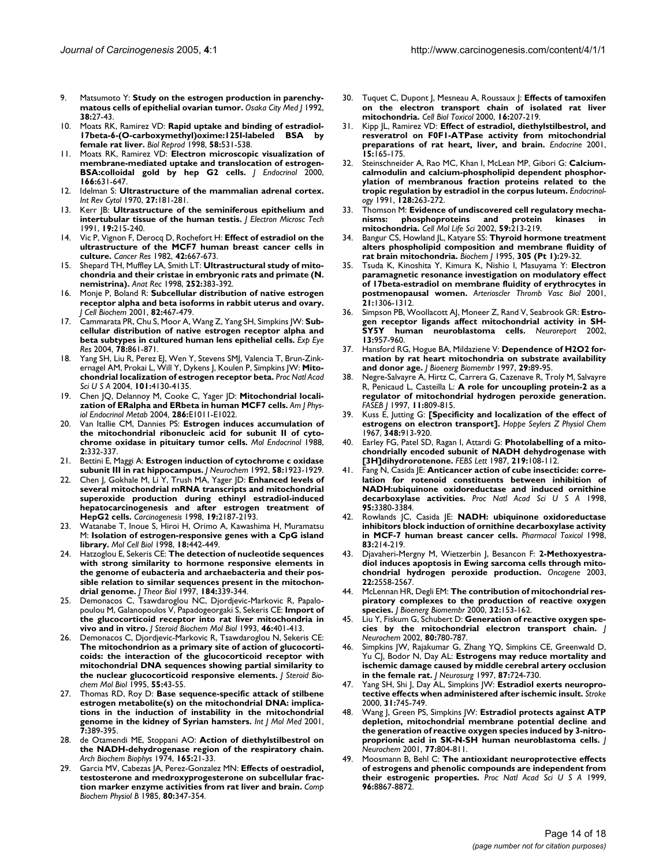- 9. Matsumoto Y: **[Study on the estrogen production in parenchy](http://www.ncbi.nlm.nih.gov/entrez/query.fcgi?cmd=Retrieve&db=PubMed&dopt=Abstract&list_uids=1528579)[matous cells of epithelial ovarian tumor.](http://www.ncbi.nlm.nih.gov/entrez/query.fcgi?cmd=Retrieve&db=PubMed&dopt=Abstract&list_uids=1528579)** *Osaka City Med J* 1992, **38:**27-43.
- 10. Moats RK, Ramirez VD: **[Rapid uptake and binding of estradiol-](http://www.ncbi.nlm.nih.gov/entrez/query.fcgi?cmd=Retrieve&db=PubMed&dopt=Abstract&list_uids=9475411)[17beta-6-\(O-carboxymethyl\)oxime:125I-labeled BSA by](http://www.ncbi.nlm.nih.gov/entrez/query.fcgi?cmd=Retrieve&db=PubMed&dopt=Abstract&list_uids=9475411) [female rat liver.](http://www.ncbi.nlm.nih.gov/entrez/query.fcgi?cmd=Retrieve&db=PubMed&dopt=Abstract&list_uids=9475411)** *Biol Reprod* 1998, **58:**531-538.
- 11. Moats RK, Ramirez VD: **[Electron microscopic visualization of](http://www.ncbi.nlm.nih.gov/entrez/query.fcgi?cmd=Retrieve&db=PubMed&dopt=Abstract&list_uids=10974657) [membrane-mediated uptake and translocation of estrogen-](http://www.ncbi.nlm.nih.gov/entrez/query.fcgi?cmd=Retrieve&db=PubMed&dopt=Abstract&list_uids=10974657)[BSA:colloidal gold by hep G2 cells.](http://www.ncbi.nlm.nih.gov/entrez/query.fcgi?cmd=Retrieve&db=PubMed&dopt=Abstract&list_uids=10974657)** *J Endocrinol* 2000, **166:**631-647.
- 12. Idelman S: **[Ultrastructure of the mammalian adrenal cortex.](http://www.ncbi.nlm.nih.gov/entrez/query.fcgi?cmd=Retrieve&db=PubMed&dopt=Abstract&list_uids=4313670)** *Int Rev Cytol* 1970, **27:**181-281.
- 13. Kerr JB: **[Ultrastructure of the seminiferous epithelium and](http://www.ncbi.nlm.nih.gov/entrez/query.fcgi?cmd=Retrieve&db=PubMed&dopt=Abstract&list_uids=1748903) [intertubular tissue of the human testis.](http://www.ncbi.nlm.nih.gov/entrez/query.fcgi?cmd=Retrieve&db=PubMed&dopt=Abstract&list_uids=1748903)** *J Electron Microsc Tech* 1991, **19:**215-240.
- 14. Vic P, Vignon F, Derocq D, Rochefort H: **[Effect of estradiol on the](http://www.ncbi.nlm.nih.gov/entrez/query.fcgi?cmd=Retrieve&db=PubMed&dopt=Abstract&list_uids=7055809) [ultrastructure of the MCF7 human breast cancer cells in](http://www.ncbi.nlm.nih.gov/entrez/query.fcgi?cmd=Retrieve&db=PubMed&dopt=Abstract&list_uids=7055809) [culture.](http://www.ncbi.nlm.nih.gov/entrez/query.fcgi?cmd=Retrieve&db=PubMed&dopt=Abstract&list_uids=7055809)** *Cancer Res* 1982, **42:**667-673.
- 15. Shepard TH, Muffley LA, Smith LT: **[Ultrastructural study of mito](http://www.ncbi.nlm.nih.gov/entrez/query.fcgi?cmd=Retrieve&db=PubMed&dopt=Abstract&list_uids=9811216)[chondria and their cristae in embryonic rats and primate \(N.](http://www.ncbi.nlm.nih.gov/entrez/query.fcgi?cmd=Retrieve&db=PubMed&dopt=Abstract&list_uids=9811216) [nemistrina\).](http://www.ncbi.nlm.nih.gov/entrez/query.fcgi?cmd=Retrieve&db=PubMed&dopt=Abstract&list_uids=9811216)** *Anat Rec* 1998, **252:**383-392.
- 16. Monje P, Boland R: **[Subcellular distribution of native estrogen](http://www.ncbi.nlm.nih.gov/entrez/query.fcgi?cmd=Retrieve&db=PubMed&dopt=Abstract&list_uids=11500923) [receptor alpha and beta isoforms in rabbit uterus and ovary.](http://www.ncbi.nlm.nih.gov/entrez/query.fcgi?cmd=Retrieve&db=PubMed&dopt=Abstract&list_uids=11500923)** *J Cell Biochem* 2001, **82:**467-479.
- 17. Cammarata PR, Chu S, Moor A, Wang Z, Yang SH, Simpkins JW: **[Sub](http://www.ncbi.nlm.nih.gov/entrez/query.fcgi?cmd=Retrieve&db=PubMed&dopt=Abstract&list_uids=15037120)[cellular distribution of native estrogen receptor alpha and](http://www.ncbi.nlm.nih.gov/entrez/query.fcgi?cmd=Retrieve&db=PubMed&dopt=Abstract&list_uids=15037120) [beta subtypes in cultured human lens epithelial cells.](http://www.ncbi.nlm.nih.gov/entrez/query.fcgi?cmd=Retrieve&db=PubMed&dopt=Abstract&list_uids=15037120)** *Exp Eye Res* 2004, **78:**861-871.
- 18. Yang SH, Liu R, Perez EJ, Wen Y, Stevens SMJ, Valencia T, Brun-Zinkernagel AM, Prokai L, Will Y, Dykens J, Koulen P, Simpkins JW: **[Mito](http://www.ncbi.nlm.nih.gov/entrez/query.fcgi?cmd=Retrieve&db=PubMed&dopt=Abstract&list_uids=15024130)[chondrial localization of estrogen receptor beta.](http://www.ncbi.nlm.nih.gov/entrez/query.fcgi?cmd=Retrieve&db=PubMed&dopt=Abstract&list_uids=15024130)** *Proc Natl Acad Sci U S A* 2004, **101:**4130-4135.
- 19. Chen JQ, Delannoy M, Cooke C, Yager JD: **[Mitochondrial locali](http://www.ncbi.nlm.nih.gov/entrez/query.fcgi?cmd=Retrieve&db=PubMed&dopt=Abstract&list_uids=14736707)[zation of ERalpha and ERbeta in human MCF7 cells.](http://www.ncbi.nlm.nih.gov/entrez/query.fcgi?cmd=Retrieve&db=PubMed&dopt=Abstract&list_uids=14736707)** *Am J Physiol Endocrinol Metab* 2004, **286:**E1011-E1022.
- 20. Van Itallie CM, Dannies PS: **[Estrogen induces accumulation of](http://www.ncbi.nlm.nih.gov/entrez/query.fcgi?cmd=Retrieve&db=PubMed&dopt=Abstract&list_uids=2837664) [the mitochondrial ribonucleic acid for subunit II of cyto](http://www.ncbi.nlm.nih.gov/entrez/query.fcgi?cmd=Retrieve&db=PubMed&dopt=Abstract&list_uids=2837664)[chrome oxidase in pituitary tumor cells.](http://www.ncbi.nlm.nih.gov/entrez/query.fcgi?cmd=Retrieve&db=PubMed&dopt=Abstract&list_uids=2837664)** *Mol Endocrinol* 1988, **2:**332-337.
- 21. Bettini E, Maggi A: **[Estrogen induction of cytochrome c oxidase](http://www.ncbi.nlm.nih.gov/entrez/query.fcgi?cmd=Retrieve&db=PubMed&dopt=Abstract&list_uids=1373180) [subunit III in rat hippocampus.](http://www.ncbi.nlm.nih.gov/entrez/query.fcgi?cmd=Retrieve&db=PubMed&dopt=Abstract&list_uids=1373180)** *J Neurochem* 1992, **58:**1923-1929.
- 22. Chen J, Gokhale M, Li Y, Trush MA, Yager JD: **[Enhanced levels of](http://www.ncbi.nlm.nih.gov/entrez/query.fcgi?cmd=Retrieve&db=PubMed&dopt=Abstract&list_uids=9886577) [several mitochondrial mRNA transcripts and mitochondrial](http://www.ncbi.nlm.nih.gov/entrez/query.fcgi?cmd=Retrieve&db=PubMed&dopt=Abstract&list_uids=9886577) superoxide production during ethinyl estradiol-induced hepatocarcinogenesis and after estrogen treatment of [HepG2 cells.](http://www.ncbi.nlm.nih.gov/entrez/query.fcgi?cmd=Retrieve&db=PubMed&dopt=Abstract&list_uids=9886577)** *Carcinogenesis* 1998, **19:**2187-2193.
- 23. Watanabe T, Inoue S, Hiroi H, Orimo A, Kawashima H, Muramatsu M: **[Isolation of estrogen-responsive genes with a CpG island](http://www.ncbi.nlm.nih.gov/entrez/query.fcgi?cmd=Retrieve&db=PubMed&dopt=Abstract&list_uids=9418891) [library.](http://www.ncbi.nlm.nih.gov/entrez/query.fcgi?cmd=Retrieve&db=PubMed&dopt=Abstract&list_uids=9418891)** *Mol Cell Biol* 1998, **18:**442-449.
- 24. Hatzoglou E, Sekeris CE: **[The detection of nucleotide sequences](http://www.ncbi.nlm.nih.gov/entrez/query.fcgi?cmd=Retrieve&db=PubMed&dopt=Abstract&list_uids=9082070) [with strong similarity to hormone responsive elements in](http://www.ncbi.nlm.nih.gov/entrez/query.fcgi?cmd=Retrieve&db=PubMed&dopt=Abstract&list_uids=9082070) the genome of eubacteria and archaebacteria and their possible relation to similar sequences present in the mitochon[drial genome.](http://www.ncbi.nlm.nih.gov/entrez/query.fcgi?cmd=Retrieve&db=PubMed&dopt=Abstract&list_uids=9082070)** *J Theor Biol* 1997, **184:**339-344.
- 25. Demonacos C, Tsawdaroglou NC, Djordjevic-Markovic R, Papalopoulou M, Galanopoulos V, Papadogeorgaki S, Sekeris CE: **[Import of](http://www.ncbi.nlm.nih.gov/entrez/query.fcgi?cmd=Retrieve&db=PubMed&dopt=Abstract&list_uids=9831490) [the glucocorticoid receptor into rat liver mitochondria in](http://www.ncbi.nlm.nih.gov/entrez/query.fcgi?cmd=Retrieve&db=PubMed&dopt=Abstract&list_uids=9831490) [vivo and in vitro.](http://www.ncbi.nlm.nih.gov/entrez/query.fcgi?cmd=Retrieve&db=PubMed&dopt=Abstract&list_uids=9831490)** *J Steroid Biochem Mol Biol* 1993, **46:**401-413.
- 26. Demonacos C, Djordjevic-Markovic R, Tsawdaroglou N, Sekeris CE: **[The mitochondrion as a primary site of action of glucocorti](http://www.ncbi.nlm.nih.gov/entrez/query.fcgi?cmd=Retrieve&db=PubMed&dopt=Abstract&list_uids=7577720)coids: the interaction of the glucocorticoid receptor with mitochondrial DNA sequences showing partial similarity to [the nuclear glucocorticoid responsive elements.](http://www.ncbi.nlm.nih.gov/entrez/query.fcgi?cmd=Retrieve&db=PubMed&dopt=Abstract&list_uids=7577720)** *J Steroid Biochem Mol Biol* 1995, **55:**43-55.
- 27. Thomas RD, Roy D: **[Base sequence-specific attack of stilbene](http://www.ncbi.nlm.nih.gov/entrez/query.fcgi?cmd=Retrieve&db=PubMed&dopt=Abstract&list_uids=11254879) [estrogen metabolite\(s\) on the mitochondrial DNA: implica](http://www.ncbi.nlm.nih.gov/entrez/query.fcgi?cmd=Retrieve&db=PubMed&dopt=Abstract&list_uids=11254879)tions in the induction of instability in the mitochondrial [genome in the kidney of Syrian hamsters.](http://www.ncbi.nlm.nih.gov/entrez/query.fcgi?cmd=Retrieve&db=PubMed&dopt=Abstract&list_uids=11254879)** *Int J Mol Med* 2001, **7:**389-395.
- 28. de Otamendi ME, Stoppani AO: **[Action of diethylstilbestrol on](http://www.ncbi.nlm.nih.gov/entrez/query.fcgi?cmd=Retrieve&db=PubMed&dopt=Abstract&list_uids=4155266) [the NADH-dehydrogenase region of the respiratory chain.](http://www.ncbi.nlm.nih.gov/entrez/query.fcgi?cmd=Retrieve&db=PubMed&dopt=Abstract&list_uids=4155266)** *Arch Biochem Biophys* 1974, **165:**21-33.
- 29. Garcia MV, Cabezas JA, Perez-Gonzalez MN: **[Effects of oestradiol,](http://www.ncbi.nlm.nih.gov/entrez/query.fcgi?cmd=Retrieve&db=PubMed&dopt=Abstract&list_uids=2983929) [testosterone and medroxyprogesterone on subcellular frac](http://www.ncbi.nlm.nih.gov/entrez/query.fcgi?cmd=Retrieve&db=PubMed&dopt=Abstract&list_uids=2983929)[tion marker enzyme activities from rat liver and brain.](http://www.ncbi.nlm.nih.gov/entrez/query.fcgi?cmd=Retrieve&db=PubMed&dopt=Abstract&list_uids=2983929)** *Comp Biochem Physiol B* 1985, **80:**347-354.
- 30. Tuquet C, Dupont J, Mesneau A, Roussaux J: [Effects of tamoxifen](http://www.ncbi.nlm.nih.gov/entrez/query.fcgi?cmd=Retrieve&db=PubMed&dopt=Abstract&list_uids=11101003) **[on the electron transport chain of isolated rat liver](http://www.ncbi.nlm.nih.gov/entrez/query.fcgi?cmd=Retrieve&db=PubMed&dopt=Abstract&list_uids=11101003) [mitochondria.](http://www.ncbi.nlm.nih.gov/entrez/query.fcgi?cmd=Retrieve&db=PubMed&dopt=Abstract&list_uids=11101003)** *Cell Biol Toxicol* 2000, **16:**207-219.
- 31. Kipp JL, Ramirez VD: **[Effect of estradiol, diethylstilbestrol, and](http://www.ncbi.nlm.nih.gov/entrez/query.fcgi?cmd=Retrieve&db=PubMed&dopt=Abstract&list_uids=11720242) [resveratrol on F0F1-ATPase activity from mitochondrial](http://www.ncbi.nlm.nih.gov/entrez/query.fcgi?cmd=Retrieve&db=PubMed&dopt=Abstract&list_uids=11720242) [preparations of rat heart, liver, and brain.](http://www.ncbi.nlm.nih.gov/entrez/query.fcgi?cmd=Retrieve&db=PubMed&dopt=Abstract&list_uids=11720242)** *Endocrine* 2001, **15:**165-175.
- 32. Steinschneider A, Rao MC, Khan I, McLean MP, Gibori G: **[Calcium](http://www.ncbi.nlm.nih.gov/entrez/query.fcgi?cmd=Retrieve&db=PubMed&dopt=Abstract&list_uids=1986921)[calmodulin and calcium-phospholipid dependent phosphor](http://www.ncbi.nlm.nih.gov/entrez/query.fcgi?cmd=Retrieve&db=PubMed&dopt=Abstract&list_uids=1986921)ylation of membranous fraction proteins related to the [tropic regulation by estradiol in the corpus luteum.](http://www.ncbi.nlm.nih.gov/entrez/query.fcgi?cmd=Retrieve&db=PubMed&dopt=Abstract&list_uids=1986921)** *Endocrinology* 1991, **128:**263-272.
- 33. Thomson M: **[Evidence of undiscovered cell regulatory mecha](http://www.ncbi.nlm.nih.gov/entrez/query.fcgi?cmd=Retrieve&db=PubMed&dopt=Abstract&list_uids=11915939)[nisms: phosphoproteins and protein kinases in](http://www.ncbi.nlm.nih.gov/entrez/query.fcgi?cmd=Retrieve&db=PubMed&dopt=Abstract&list_uids=11915939) [mitochondria.](http://www.ncbi.nlm.nih.gov/entrez/query.fcgi?cmd=Retrieve&db=PubMed&dopt=Abstract&list_uids=11915939)** *Cell Mol Life Sci* 2002, **59:**213-219.
- 34. Bangur CS, Howland JL, Katyare SS: **Thyroid hormone treatment alters phospholipid composition and membrane fluidity of rat brain mitochondria.** *Biochem J* 1995, **305 (Pt 1):**29-32.
- 35. Tsuda K, Kinoshita Y, Kimura K, Nishio I, Masuyama Y: **[Electron](http://www.ncbi.nlm.nih.gov/entrez/query.fcgi?cmd=Retrieve&db=PubMed&dopt=Abstract&list_uids=11498458) [paramagnetic resonance investigation on modulatory effect](http://www.ncbi.nlm.nih.gov/entrez/query.fcgi?cmd=Retrieve&db=PubMed&dopt=Abstract&list_uids=11498458) of 17beta-estradiol on membrane fluidity of erythrocytes in [postmenopausal women.](http://www.ncbi.nlm.nih.gov/entrez/query.fcgi?cmd=Retrieve&db=PubMed&dopt=Abstract&list_uids=11498458)** *Arterioscler Thromb Vasc Biol* 2001, **21:**1306-1312.
- 36. Simpson PB, Woollacott AJ, Moneer Z, Rand V, Seabrook GR: **[Estro](http://www.ncbi.nlm.nih.gov/entrez/query.fcgi?cmd=Retrieve&db=PubMed&dopt=Abstract&list_uids=12004198)[gen receptor ligands affect mitochondrial activity in SH-](http://www.ncbi.nlm.nih.gov/entrez/query.fcgi?cmd=Retrieve&db=PubMed&dopt=Abstract&list_uids=12004198)[SY5Y human neuroblastoma cells.](http://www.ncbi.nlm.nih.gov/entrez/query.fcgi?cmd=Retrieve&db=PubMed&dopt=Abstract&list_uids=12004198)** *Neuroreport* 2002, **13:**957-960.
- 37. Hansford RG, Hogue BA, Mildaziene V: **[Dependence of H2O2 for](http://www.ncbi.nlm.nih.gov/entrez/query.fcgi?cmd=Retrieve&db=PubMed&dopt=Abstract&list_uids=9067806)[mation by rat heart mitochondria on substrate availability](http://www.ncbi.nlm.nih.gov/entrez/query.fcgi?cmd=Retrieve&db=PubMed&dopt=Abstract&list_uids=9067806) [and donor age.](http://www.ncbi.nlm.nih.gov/entrez/query.fcgi?cmd=Retrieve&db=PubMed&dopt=Abstract&list_uids=9067806)** *J Bioenerg Biomembr* 1997, **29:**89-95.
- 38. Negre-Salvayre A, Hirtz C, Carrera G, Cazenave R, Troly M, Salvayre R, Penicaud L, Casteilla L: **[A role for uncoupling protein-2 as a](http://www.ncbi.nlm.nih.gov/entrez/query.fcgi?cmd=Retrieve&db=PubMed&dopt=Abstract&list_uids=9271366) [regulator of mitochondrial hydrogen peroxide generation.](http://www.ncbi.nlm.nih.gov/entrez/query.fcgi?cmd=Retrieve&db=PubMed&dopt=Abstract&list_uids=9271366)** *FASEB J* 1997, **11:**809-815.
- 39. Kuss E, Jutting G: **[\[Specificity and localization of the effect of](http://www.ncbi.nlm.nih.gov/entrez/query.fcgi?cmd=Retrieve&db=PubMed&dopt=Abstract&list_uids=4298583) [estrogens on electron transport\].](http://www.ncbi.nlm.nih.gov/entrez/query.fcgi?cmd=Retrieve&db=PubMed&dopt=Abstract&list_uids=4298583)** *Hoppe Seylers Z Physiol Chem* 1967, **348:**913-920.
- 40. Earley FG, Patel SD, Ragan I, Attardi G: **[Photolabelling of a mito](http://www.ncbi.nlm.nih.gov/entrez/query.fcgi?cmd=Retrieve&db=PubMed&dopt=Abstract&list_uids=3297786)[chondrially encoded subunit of NADH dehydrogenase with](http://www.ncbi.nlm.nih.gov/entrez/query.fcgi?cmd=Retrieve&db=PubMed&dopt=Abstract&list_uids=3297786) [\[3H\]dihydrorotenone.](http://www.ncbi.nlm.nih.gov/entrez/query.fcgi?cmd=Retrieve&db=PubMed&dopt=Abstract&list_uids=3297786)** *FEBS Lett* 1987, **219:**108-112.
- Fang N, Casida JE: [Anticancer action of cube insecticide: corre](http://www.ncbi.nlm.nih.gov/entrez/query.fcgi?cmd=Retrieve&db=PubMed&dopt=Abstract&list_uids=9520374)**[lation for rotenoid constituents between inhibition of](http://www.ncbi.nlm.nih.gov/entrez/query.fcgi?cmd=Retrieve&db=PubMed&dopt=Abstract&list_uids=9520374) NADH:ubiquinone oxidoreductase and induced ornithine [decarboxylase activities.](http://www.ncbi.nlm.nih.gov/entrez/query.fcgi?cmd=Retrieve&db=PubMed&dopt=Abstract&list_uids=9520374)** *Proc Natl Acad Sci U S A* 1998, **95:**3380-3384.
- 42. Rowlands JC, Casida JE: **[NADH: ubiquinone oxidoreductase](http://www.ncbi.nlm.nih.gov/entrez/query.fcgi?cmd=Retrieve&db=PubMed&dopt=Abstract&list_uids=9834970) [inhibitors block induction of ornithine decarboxylase activity](http://www.ncbi.nlm.nih.gov/entrez/query.fcgi?cmd=Retrieve&db=PubMed&dopt=Abstract&list_uids=9834970) [in MCF-7 human breast cancer cells.](http://www.ncbi.nlm.nih.gov/entrez/query.fcgi?cmd=Retrieve&db=PubMed&dopt=Abstract&list_uids=9834970)** *Pharmacol Toxicol* 1998, **83:**214-219.
- 43. Djavaheri-Mergny M, Wietzerbin J, Besancon F: **[2-Methoxyestra](http://www.ncbi.nlm.nih.gov/entrez/query.fcgi?cmd=Retrieve&db=PubMed&dopt=Abstract&list_uids=12730670)[diol induces apoptosis in Ewing sarcoma cells through mito](http://www.ncbi.nlm.nih.gov/entrez/query.fcgi?cmd=Retrieve&db=PubMed&dopt=Abstract&list_uids=12730670)[chondrial hydrogen peroxide production.](http://www.ncbi.nlm.nih.gov/entrez/query.fcgi?cmd=Retrieve&db=PubMed&dopt=Abstract&list_uids=12730670)** *Oncogene* 2003, **22:**2558-2567.
- 44. McLennan HR, Degli EM: **[The contribution of mitochondrial res](http://www.ncbi.nlm.nih.gov/entrez/query.fcgi?cmd=Retrieve&db=PubMed&dopt=Abstract&list_uids=11768748)[piratory complexes to the production of reactive oxygen](http://www.ncbi.nlm.nih.gov/entrez/query.fcgi?cmd=Retrieve&db=PubMed&dopt=Abstract&list_uids=11768748) [species.](http://www.ncbi.nlm.nih.gov/entrez/query.fcgi?cmd=Retrieve&db=PubMed&dopt=Abstract&list_uids=11768748)** *J Bioenerg Biomembr* 2000, **32:**153-162.
- 45. Liu Y, Fiskum G, Schubert D: **[Generation of reactive oxygen spe](http://www.ncbi.nlm.nih.gov/entrez/query.fcgi?cmd=Retrieve&db=PubMed&dopt=Abstract&list_uids=11948241)[cies by the mitochondrial electron transport chain.](http://www.ncbi.nlm.nih.gov/entrez/query.fcgi?cmd=Retrieve&db=PubMed&dopt=Abstract&list_uids=11948241)** *J Neurochem* 2002, **80:**780-787.
- 46. Simpkins JW, Rajakumar G, Zhang YQ, Simpkins CE, Greenwald D, Yu CJ, Bodor N, Day AL: **[Estrogens may reduce mortality and](http://www.ncbi.nlm.nih.gov/entrez/query.fcgi?cmd=Retrieve&db=PubMed&dopt=Abstract&list_uids=9347981) [ischemic damage caused by middle cerebral artery occlusion](http://www.ncbi.nlm.nih.gov/entrez/query.fcgi?cmd=Retrieve&db=PubMed&dopt=Abstract&list_uids=9347981) [in the female rat.](http://www.ncbi.nlm.nih.gov/entrez/query.fcgi?cmd=Retrieve&db=PubMed&dopt=Abstract&list_uids=9347981)** *J Neurosurg* 1997, **87:**724-730.
- 47. Yang SH, Shi J, Day AL, Simpkins JW: **[Estradiol exerts neuropro](http://www.ncbi.nlm.nih.gov/entrez/query.fcgi?cmd=Retrieve&db=PubMed&dopt=Abstract&list_uids=10700514)[tective effects when administered after ischemic insult.](http://www.ncbi.nlm.nih.gov/entrez/query.fcgi?cmd=Retrieve&db=PubMed&dopt=Abstract&list_uids=10700514)** *Stroke* 2000, **31:**745-749.
- 48. Wang J, Green PS, Simpkins JW: **[Estradiol protects against ATP](http://www.ncbi.nlm.nih.gov/entrez/query.fcgi?cmd=Retrieve&db=PubMed&dopt=Abstract&list_uids=11331409) [depletion, mitochondrial membrane potential decline and](http://www.ncbi.nlm.nih.gov/entrez/query.fcgi?cmd=Retrieve&db=PubMed&dopt=Abstract&list_uids=11331409) the generation of reactive oxygen species induced by 3-nitro[proprionic acid in SK-N-SH human neuroblastoma cells.](http://www.ncbi.nlm.nih.gov/entrez/query.fcgi?cmd=Retrieve&db=PubMed&dopt=Abstract&list_uids=11331409)** *J Neurochem* 2001, **77:**804-811.
- 49. Moosmann B, Behl C: **[The antioxidant neuroprotective effects](http://www.ncbi.nlm.nih.gov/entrez/query.fcgi?cmd=Retrieve&db=PubMed&dopt=Abstract&list_uids=10430862) [of estrogens and phenolic compounds are independent from](http://www.ncbi.nlm.nih.gov/entrez/query.fcgi?cmd=Retrieve&db=PubMed&dopt=Abstract&list_uids=10430862) [their estrogenic properties.](http://www.ncbi.nlm.nih.gov/entrez/query.fcgi?cmd=Retrieve&db=PubMed&dopt=Abstract&list_uids=10430862)** *Proc Natl Acad Sci U S A* 1999, **96:**8867-8872.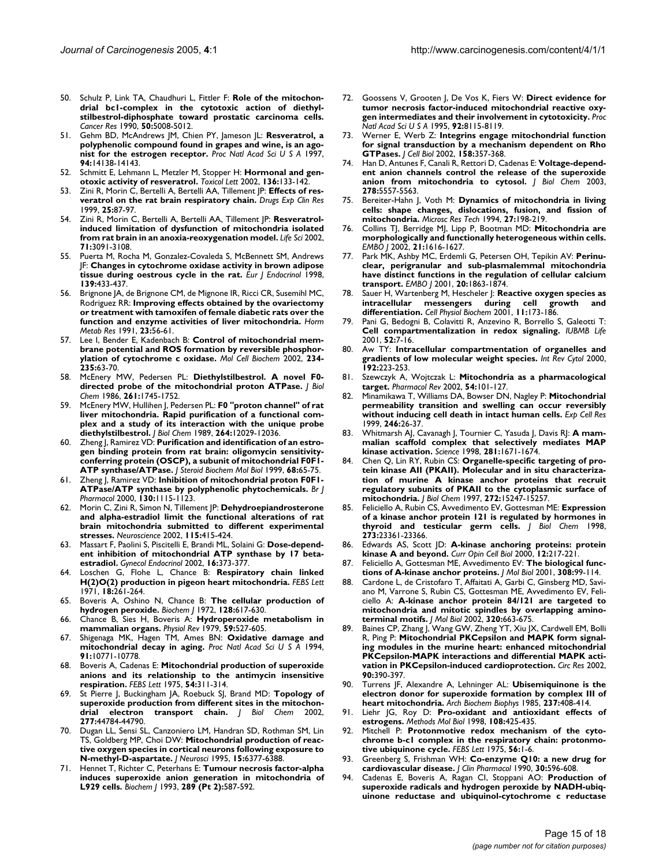- 50. Schulz P, Link TA, Chaudhuri L, Fittler F: **[Role of the mitochon](http://www.ncbi.nlm.nih.gov/entrez/query.fcgi?cmd=Retrieve&db=PubMed&dopt=Abstract&list_uids=2165852)[drial bc1-complex in the cytotoxic action of diethyl](http://www.ncbi.nlm.nih.gov/entrez/query.fcgi?cmd=Retrieve&db=PubMed&dopt=Abstract&list_uids=2165852)stilbestrol-diphosphate toward prostatic carcinoma cells.** *Cancer Res* 1990, **50:**5008-5012.
- 51. Gehm BD, McAndrews JM, Chien PY, Jameson JL: **[Resveratrol, a](http://www.ncbi.nlm.nih.gov/entrez/query.fcgi?cmd=Retrieve&db=PubMed&dopt=Abstract&list_uids=9391166) [polyphenolic compound found in grapes and wine, is an ago](http://www.ncbi.nlm.nih.gov/entrez/query.fcgi?cmd=Retrieve&db=PubMed&dopt=Abstract&list_uids=9391166)[nist for the estrogen receptor.](http://www.ncbi.nlm.nih.gov/entrez/query.fcgi?cmd=Retrieve&db=PubMed&dopt=Abstract&list_uids=9391166)** *Proc Natl Acad Sci U S A* 1997, **94:**14138-14143.
- 52. Schmitt E, Lehmann L, Metzler M, Stopper H: **[Hormonal and gen](http://www.ncbi.nlm.nih.gov/entrez/query.fcgi?cmd=Retrieve&db=PubMed&dopt=Abstract&list_uids=12425963)[otoxic activity of resveratrol.](http://www.ncbi.nlm.nih.gov/entrez/query.fcgi?cmd=Retrieve&db=PubMed&dopt=Abstract&list_uids=12425963)** *Toxicol Lett* 2002, **136:**133-142.
- 53. Zini R, Morin C, Bertelli A, Bertelli AA, Tillement JP: **[Effects of res](http://www.ncbi.nlm.nih.gov/entrez/query.fcgi?cmd=Retrieve&db=PubMed&dopt=Abstract&list_uids=10370869)[veratrol on the rat brain respiratory chain.](http://www.ncbi.nlm.nih.gov/entrez/query.fcgi?cmd=Retrieve&db=PubMed&dopt=Abstract&list_uids=10370869)** *Drugs Exp Clin Res* 1999, **25:**87-97.
- Zini R, Morin C, Bertelli A, Bertelli AA, Tillement JP: [Resveratrol](http://www.ncbi.nlm.nih.gov/entrez/query.fcgi?cmd=Retrieve&db=PubMed&dopt=Abstract&list_uids=12408876)**[induced limitation of dysfunction of mitochondria isolated](http://www.ncbi.nlm.nih.gov/entrez/query.fcgi?cmd=Retrieve&db=PubMed&dopt=Abstract&list_uids=12408876) [from rat brain in an anoxia-reoxygenation model.](http://www.ncbi.nlm.nih.gov/entrez/query.fcgi?cmd=Retrieve&db=PubMed&dopt=Abstract&list_uids=12408876)** *Life Sci* 2002, **71:**3091-3108.
- 55. Puerta M, Rocha M, Gonzalez-Covaleda S, McBennett SM, Andrews JF: **[Changes in cytochrome oxidase activity in brown adipose](http://www.ncbi.nlm.nih.gov/entrez/query.fcgi?cmd=Retrieve&db=PubMed&dopt=Abstract&list_uids=9820622) [tissue during oestrous cycle in the rat.](http://www.ncbi.nlm.nih.gov/entrez/query.fcgi?cmd=Retrieve&db=PubMed&dopt=Abstract&list_uids=9820622)** *Eur J Endocrinol* 1998, **139:**433-437.
- 56. Brignone JA, de Brignone CM, de Mignone IR, Ricci CR, Susemihl MC, Rodriguez RR: **[Improving effects obtained by the ovariectomy](http://www.ncbi.nlm.nih.gov/entrez/query.fcgi?cmd=Retrieve&db=PubMed&dopt=Abstract&list_uids=1646149) [or treatment with tamoxifen of female diabetic rats over the](http://www.ncbi.nlm.nih.gov/entrez/query.fcgi?cmd=Retrieve&db=PubMed&dopt=Abstract&list_uids=1646149) [function and enzyme activities of liver mitochondria.](http://www.ncbi.nlm.nih.gov/entrez/query.fcgi?cmd=Retrieve&db=PubMed&dopt=Abstract&list_uids=1646149)** *Horm Metab Res* 1991, **23:**56-61.
- 57. Lee I, Bender E, Kadenbach B: **[Control of mitochondrial mem](http://www.ncbi.nlm.nih.gov/entrez/query.fcgi?cmd=Retrieve&db=PubMed&dopt=Abstract&list_uids=12162461)[brane potential and ROS formation by reversible phosphor](http://www.ncbi.nlm.nih.gov/entrez/query.fcgi?cmd=Retrieve&db=PubMed&dopt=Abstract&list_uids=12162461)[ylation of cytochrome c oxidase.](http://www.ncbi.nlm.nih.gov/entrez/query.fcgi?cmd=Retrieve&db=PubMed&dopt=Abstract&list_uids=12162461)** *Mol Cell Biochem* 2002, **234- 235:**63-70.
- 58. McEnery MW, Pedersen PL: **[Diethylstilbestrol. A novel F0](http://www.ncbi.nlm.nih.gov/entrez/query.fcgi?cmd=Retrieve&db=PubMed&dopt=Abstract&list_uids=2868005) [directed probe of the mitochondrial proton ATPase.](http://www.ncbi.nlm.nih.gov/entrez/query.fcgi?cmd=Retrieve&db=PubMed&dopt=Abstract&list_uids=2868005)** *J Biol Chem* 1986, **261:**1745-1752.
- 59. McEnery MW, Hullihen J, Pedersen PL: **[F0 "proton channel" of rat](http://www.ncbi.nlm.nih.gov/entrez/query.fcgi?cmd=Retrieve&db=PubMed&dopt=Abstract&list_uids=2545697) liver mitochondria. Rapid purification of a functional com[plex and a study of its interaction with the unique probe](http://www.ncbi.nlm.nih.gov/entrez/query.fcgi?cmd=Retrieve&db=PubMed&dopt=Abstract&list_uids=2545697) [diethylstilbestrol.](http://www.ncbi.nlm.nih.gov/entrez/query.fcgi?cmd=Retrieve&db=PubMed&dopt=Abstract&list_uids=2545697)** *J Biol Chem* 1989, **264:**12029-12036.
- 60. Zheng J, Ramirez VD: **[Purification and identification of an estro](http://www.ncbi.nlm.nih.gov/entrez/query.fcgi?cmd=Retrieve&db=PubMed&dopt=Abstract&list_uids=10215039)[gen binding protein from rat brain: oligomycin sensitivity](http://www.ncbi.nlm.nih.gov/entrez/query.fcgi?cmd=Retrieve&db=PubMed&dopt=Abstract&list_uids=10215039)conferring protein (OSCP), a subunit of mitochondrial F0F1- [ATP synthase/ATPase.](http://www.ncbi.nlm.nih.gov/entrez/query.fcgi?cmd=Retrieve&db=PubMed&dopt=Abstract&list_uids=10215039)** *J Steroid Biochem Mol Biol* 1999, **68:**65-75.
- 61. Zheng J, Ramirez VD: **[Inhibition of mitochondrial proton F0F1-](http://www.ncbi.nlm.nih.gov/entrez/query.fcgi?cmd=Retrieve&db=PubMed&dopt=Abstract&list_uids=10882397) [ATPase/ATP synthase by polyphenolic phytochemicals.](http://www.ncbi.nlm.nih.gov/entrez/query.fcgi?cmd=Retrieve&db=PubMed&dopt=Abstract&list_uids=10882397)** *Br J Pharmacol* 2000, **130:**1115-1123.
- 62. Morin C, Zini R, Simon N, Tillement JP: **[Dehydroepiandrosterone](http://www.ncbi.nlm.nih.gov/entrez/query.fcgi?cmd=Retrieve&db=PubMed&dopt=Abstract&list_uids=12421607) [and alpha-estradiol limit the functional alterations of rat](http://www.ncbi.nlm.nih.gov/entrez/query.fcgi?cmd=Retrieve&db=PubMed&dopt=Abstract&list_uids=12421607) brain mitochondria submitted to different experimental [stresses.](http://www.ncbi.nlm.nih.gov/entrez/query.fcgi?cmd=Retrieve&db=PubMed&dopt=Abstract&list_uids=12421607)** *Neuroscience* 2002, **115:**415-424.
- 63. Massart F, Paolini S, Piscitelli E, Brandi ML, Solaini G: **[Dose-depend](http://www.ncbi.nlm.nih.gov/entrez/query.fcgi?cmd=Retrieve&db=PubMed&dopt=Abstract&list_uids=12587531)[ent inhibition of mitochondrial ATP synthase by 17 beta](http://www.ncbi.nlm.nih.gov/entrez/query.fcgi?cmd=Retrieve&db=PubMed&dopt=Abstract&list_uids=12587531)[estradiol.](http://www.ncbi.nlm.nih.gov/entrez/query.fcgi?cmd=Retrieve&db=PubMed&dopt=Abstract&list_uids=12587531)** *Gynecol Endocrinol* 2002, **16:**373-377.
- 64. Loschen G, Flohe L, Chance B: **[Respiratory chain linked](http://www.ncbi.nlm.nih.gov/entrez/query.fcgi?cmd=Retrieve&db=PubMed&dopt=Abstract&list_uids=11946135) [H\(2\)O\(2\) production in pigeon heart mitochondria.](http://www.ncbi.nlm.nih.gov/entrez/query.fcgi?cmd=Retrieve&db=PubMed&dopt=Abstract&list_uids=11946135)** *FEBS Lett* 1971, **18:**261-264.
- 65. Boveris A, Oshino N, Chance B: **[The cellular production of](http://www.ncbi.nlm.nih.gov/entrez/query.fcgi?cmd=Retrieve&db=PubMed&dopt=Abstract&list_uids=4404507) [hydrogen peroxide.](http://www.ncbi.nlm.nih.gov/entrez/query.fcgi?cmd=Retrieve&db=PubMed&dopt=Abstract&list_uids=4404507)** *Biochem J* 1972, **128:**617-630.
- 66. Chance B, Sies H, Boveris A: **[Hydroperoxide metabolism in](http://www.ncbi.nlm.nih.gov/entrez/query.fcgi?cmd=Retrieve&db=PubMed&dopt=Abstract&list_uids=37532) [mammalian organs.](http://www.ncbi.nlm.nih.gov/entrez/query.fcgi?cmd=Retrieve&db=PubMed&dopt=Abstract&list_uids=37532)** *Physiol Rev* 1979, **59:**527-605.
- 67. Shigenaga MK, Hagen TM, Ames BN: **[Oxidative damage and](http://www.ncbi.nlm.nih.gov/entrez/query.fcgi?cmd=Retrieve&db=PubMed&dopt=Abstract&list_uids=7971961) [mitochondrial decay in aging.](http://www.ncbi.nlm.nih.gov/entrez/query.fcgi?cmd=Retrieve&db=PubMed&dopt=Abstract&list_uids=7971961)** *Proc Natl Acad Sci U S A* 1994, **91:**10771-10778.
- 68. Boveris A, Cadenas E: **[Mitochondrial production of superoxide](http://www.ncbi.nlm.nih.gov/entrez/query.fcgi?cmd=Retrieve&db=PubMed&dopt=Abstract&list_uids=236930) [anions and its relationship to the antimycin insensitive](http://www.ncbi.nlm.nih.gov/entrez/query.fcgi?cmd=Retrieve&db=PubMed&dopt=Abstract&list_uids=236930) [respiration.](http://www.ncbi.nlm.nih.gov/entrez/query.fcgi?cmd=Retrieve&db=PubMed&dopt=Abstract&list_uids=236930)** *FEBS Lett* 1975, **54:**311-314.
- 69. St Pierre J, Buckingham JA, Roebuck SJ, Brand MD: **[Topology of](http://www.ncbi.nlm.nih.gov/entrez/query.fcgi?cmd=Retrieve&db=PubMed&dopt=Abstract&list_uids=12237311) [superoxide production from different sites in the mitochon](http://www.ncbi.nlm.nih.gov/entrez/query.fcgi?cmd=Retrieve&db=PubMed&dopt=Abstract&list_uids=12237311)[drial electron transport chain.](http://www.ncbi.nlm.nih.gov/entrez/query.fcgi?cmd=Retrieve&db=PubMed&dopt=Abstract&list_uids=12237311)** *J Biol Chem* 2002, **277:**44784-44790.
- 70. Dugan LL, Sensi SL, Canzoniero LM, Handran SD, Rothman SM, Lin TS, Goldberg MP, Choi DW: **[Mitochondrial production of reac](http://www.ncbi.nlm.nih.gov/entrez/query.fcgi?cmd=Retrieve&db=PubMed&dopt=Abstract&list_uids=7472402)[tive oxygen species in cortical neurons following exposure to](http://www.ncbi.nlm.nih.gov/entrez/query.fcgi?cmd=Retrieve&db=PubMed&dopt=Abstract&list_uids=7472402) [N-methyl-D-aspartate.](http://www.ncbi.nlm.nih.gov/entrez/query.fcgi?cmd=Retrieve&db=PubMed&dopt=Abstract&list_uids=7472402)** *J Neurosci* 1995, **15:**6377-6388.
- 71. Hennet T, Richter C, Peterhans E: **Tumour necrosis factor-alpha induces superoxide anion generation in mitochondria of L929 cells.** *Biochem J* 1993, **289 (Pt 2):**587-592.
- 72. Goossens V, Grooten J, De Vos K, Fiers W: **[Direct evidence for](http://www.ncbi.nlm.nih.gov/entrez/query.fcgi?cmd=Retrieve&db=PubMed&dopt=Abstract&list_uids=7667254) [tumor necrosis factor-induced mitochondrial reactive oxy](http://www.ncbi.nlm.nih.gov/entrez/query.fcgi?cmd=Retrieve&db=PubMed&dopt=Abstract&list_uids=7667254)[gen intermediates and their involvement in cytotoxicity.](http://www.ncbi.nlm.nih.gov/entrez/query.fcgi?cmd=Retrieve&db=PubMed&dopt=Abstract&list_uids=7667254)** *Proc Natl Acad Sci U S A* 1995, **92:**8115-8119.
- 73. Werner E, Werb Z: **[Integrins engage mitochondrial function](http://www.ncbi.nlm.nih.gov/entrez/query.fcgi?cmd=Retrieve&db=PubMed&dopt=Abstract&list_uids=12119354) [for signal transduction by a mechanism dependent on Rho](http://www.ncbi.nlm.nih.gov/entrez/query.fcgi?cmd=Retrieve&db=PubMed&dopt=Abstract&list_uids=12119354) [GTPases.](http://www.ncbi.nlm.nih.gov/entrez/query.fcgi?cmd=Retrieve&db=PubMed&dopt=Abstract&list_uids=12119354)** *J Cell Biol* 2002, **158:**357-368.
- 74. Han D, Antunes F, Canali R, Rettori D, Cadenas E: **[Voltage-depend](http://www.ncbi.nlm.nih.gov/entrez/query.fcgi?cmd=Retrieve&db=PubMed&dopt=Abstract&list_uids=12482755)[ent anion channels control the release of the superoxide](http://www.ncbi.nlm.nih.gov/entrez/query.fcgi?cmd=Retrieve&db=PubMed&dopt=Abstract&list_uids=12482755) [anion from mitochondria to cytosol.](http://www.ncbi.nlm.nih.gov/entrez/query.fcgi?cmd=Retrieve&db=PubMed&dopt=Abstract&list_uids=12482755)** *J Biol Chem* 2003, **278:**5557-5563.
- 75. Bereiter-Hahn J, Voth M: **[Dynamics of mitochondria in living](http://www.ncbi.nlm.nih.gov/entrez/query.fcgi?cmd=Retrieve&db=PubMed&dopt=Abstract&list_uids=8204911) [cells: shape changes, dislocations, fusion, and fission of](http://www.ncbi.nlm.nih.gov/entrez/query.fcgi?cmd=Retrieve&db=PubMed&dopt=Abstract&list_uids=8204911) [mitochondria.](http://www.ncbi.nlm.nih.gov/entrez/query.fcgi?cmd=Retrieve&db=PubMed&dopt=Abstract&list_uids=8204911)** *Microsc Res Tech* 1994, **27:**198-219.
- 76. Collins TJ, Berridge MJ, Lipp P, Bootman MD: **[Mitochondria are](http://www.ncbi.nlm.nih.gov/entrez/query.fcgi?cmd=Retrieve&db=PubMed&dopt=Abstract&list_uids=11927546) [morphologically and functionally heterogeneous within cells.](http://www.ncbi.nlm.nih.gov/entrez/query.fcgi?cmd=Retrieve&db=PubMed&dopt=Abstract&list_uids=11927546)** *EMBO J* 2002, **21:**1616-1627.
- 77. Park MK, Ashby MC, Erdemli G, Petersen OH, Tepikin AV: **[Perinu](http://www.ncbi.nlm.nih.gov/entrez/query.fcgi?cmd=Retrieve&db=PubMed&dopt=Abstract&list_uids=11296220)[clear, perigranular and sub-plasmalemmal mitochondria](http://www.ncbi.nlm.nih.gov/entrez/query.fcgi?cmd=Retrieve&db=PubMed&dopt=Abstract&list_uids=11296220) have distinct functions in the regulation of cellular calcium [transport.](http://www.ncbi.nlm.nih.gov/entrez/query.fcgi?cmd=Retrieve&db=PubMed&dopt=Abstract&list_uids=11296220)** *EMBO J* 2001, **20:**1863-1874.
- 78. Sauer H, Wartenberg M, Hescheler J: **[Reactive oxygen species as](http://www.ncbi.nlm.nih.gov/entrez/query.fcgi?cmd=Retrieve&db=PubMed&dopt=Abstract&list_uids=11509825) [intracellular messengers during cell growth and](http://www.ncbi.nlm.nih.gov/entrez/query.fcgi?cmd=Retrieve&db=PubMed&dopt=Abstract&list_uids=11509825) [differentiation.](http://www.ncbi.nlm.nih.gov/entrez/query.fcgi?cmd=Retrieve&db=PubMed&dopt=Abstract&list_uids=11509825)** *Cell Physiol Biochem* 2001, **11:**173-186.
- 79. Pani G, Bedogni B, Colavitti R, Anzevino R, Borrello S, Galeotti T: **[Cell compartmentalization in redox signaling.](http://www.ncbi.nlm.nih.gov/entrez/query.fcgi?cmd=Retrieve&db=PubMed&dopt=Abstract&list_uids=11795597)** *IUBMB Life* 2001, **52:**7-16.
- 80. Aw TY: **[Intracellular compartmentation of organelles and](http://www.ncbi.nlm.nih.gov/entrez/query.fcgi?cmd=Retrieve&db=PubMed&dopt=Abstract&list_uids=10553281) [gradients of low molecular weight species.](http://www.ncbi.nlm.nih.gov/entrez/query.fcgi?cmd=Retrieve&db=PubMed&dopt=Abstract&list_uids=10553281)** *Int Rev Cytol* 2000, **192:**223-253.
- 81. Szewczyk A, Wojtczak L: **[Mitochondria as a pharmacological](http://www.ncbi.nlm.nih.gov/entrez/query.fcgi?cmd=Retrieve&db=PubMed&dopt=Abstract&list_uids=11870261) [target.](http://www.ncbi.nlm.nih.gov/entrez/query.fcgi?cmd=Retrieve&db=PubMed&dopt=Abstract&list_uids=11870261)** *Pharmacol Rev* 2002, **54:**101-127.
- 82. Minamikawa T, Williams DA, Bowser DN, Nagley P: **[Mitochondrial](http://www.ncbi.nlm.nih.gov/entrez/query.fcgi?cmd=Retrieve&db=PubMed&dopt=Abstract&list_uids=9882512) [permeability transition and swelling can occur reversibly](http://www.ncbi.nlm.nih.gov/entrez/query.fcgi?cmd=Retrieve&db=PubMed&dopt=Abstract&list_uids=9882512) [without inducing cell death in intact human cells.](http://www.ncbi.nlm.nih.gov/entrez/query.fcgi?cmd=Retrieve&db=PubMed&dopt=Abstract&list_uids=9882512)** *Exp Cell Res* 1999, **246:**26-37.
- 83. Whitmarsh AJ, Cavanagh J, Tournier C, Yasuda J, Davis RJ: **[A mam](http://www.ncbi.nlm.nih.gov/entrez/query.fcgi?cmd=Retrieve&db=PubMed&dopt=Abstract&list_uids=9733513)[malian scaffold complex that selectively mediates MAP](http://www.ncbi.nlm.nih.gov/entrez/query.fcgi?cmd=Retrieve&db=PubMed&dopt=Abstract&list_uids=9733513) [kinase activation.](http://www.ncbi.nlm.nih.gov/entrez/query.fcgi?cmd=Retrieve&db=PubMed&dopt=Abstract&list_uids=9733513)** *Science* 1998, **281:**1671-1674.
- 84. Chen Q, Lin RY, Rubin CS: **[Organelle-specific targeting of pro](http://www.ncbi.nlm.nih.gov/entrez/query.fcgi?cmd=Retrieve&db=PubMed&dopt=Abstract&list_uids=9182549)[tein kinase AII \(PKAII\). Molecular and in situ characteriza](http://www.ncbi.nlm.nih.gov/entrez/query.fcgi?cmd=Retrieve&db=PubMed&dopt=Abstract&list_uids=9182549)tion of murine A kinase anchor proteins that recruit regulatory subunits of PKAII to the cytoplasmic surface of [mitochondria.](http://www.ncbi.nlm.nih.gov/entrez/query.fcgi?cmd=Retrieve&db=PubMed&dopt=Abstract&list_uids=9182549)** *J Biol Chem* 1997, **272:**15247-15257.
- 85. Feliciello A, Rubin CS, Avvedimento EV, Gottesman ME: **[Expression](http://www.ncbi.nlm.nih.gov/entrez/query.fcgi?cmd=Retrieve&db=PubMed&dopt=Abstract&list_uids=9722570) [of a kinase anchor protein 121 is regulated by hormones in](http://www.ncbi.nlm.nih.gov/entrez/query.fcgi?cmd=Retrieve&db=PubMed&dopt=Abstract&list_uids=9722570) [thyroid and testicular germ cells.](http://www.ncbi.nlm.nih.gov/entrez/query.fcgi?cmd=Retrieve&db=PubMed&dopt=Abstract&list_uids=9722570)** *J Biol Chem* 1998, **273:**23361-23366.
- 86. Edwards AS, Scott JD: **[A-kinase anchoring proteins: protein](http://www.ncbi.nlm.nih.gov/entrez/query.fcgi?cmd=Retrieve&db=PubMed&dopt=Abstract&list_uids=10712918) [kinase A and beyond.](http://www.ncbi.nlm.nih.gov/entrez/query.fcgi?cmd=Retrieve&db=PubMed&dopt=Abstract&list_uids=10712918)** *Curr Opin Cell Biol* 2000, **12:**217-221.
- 87. Feliciello A, Gottesman ME, Avvedimento EV: **[The biological func](http://www.ncbi.nlm.nih.gov/entrez/query.fcgi?cmd=Retrieve&db=PubMed&dopt=Abstract&list_uids=11327755)[tions of A-kinase anchor proteins.](http://www.ncbi.nlm.nih.gov/entrez/query.fcgi?cmd=Retrieve&db=PubMed&dopt=Abstract&list_uids=11327755)** *J Mol Biol* 2001, **308:**99-114.
- 88. Cardone L, de Cristofaro T, Affaitati A, Garbi C, Ginsberg MD, Saviano M, Varrone S, Rubin CS, Gottesman ME, Avvedimento EV, Feliciello A: **[A-kinase anchor protein 84/121 are targeted to](http://www.ncbi.nlm.nih.gov/entrez/query.fcgi?cmd=Retrieve&db=PubMed&dopt=Abstract&list_uids=12096916) [mitochondria and mitotic spindles by overlapping amino](http://www.ncbi.nlm.nih.gov/entrez/query.fcgi?cmd=Retrieve&db=PubMed&dopt=Abstract&list_uids=12096916)[terminal motifs.](http://www.ncbi.nlm.nih.gov/entrez/query.fcgi?cmd=Retrieve&db=PubMed&dopt=Abstract&list_uids=12096916)** *J Mol Biol* 2002, **320:**663-675.
- 89. Baines CP, Zhang J, Wang GW, Zheng YT, Xiu JX, Cardwell EM, Bolli R, Ping P: **[Mitochondrial PKCepsilon and MAPK form signal](http://www.ncbi.nlm.nih.gov/entrez/query.fcgi?cmd=Retrieve&db=PubMed&dopt=Abstract&list_uids=11884367)[ing modules in the murine heart: enhanced mitochondrial](http://www.ncbi.nlm.nih.gov/entrez/query.fcgi?cmd=Retrieve&db=PubMed&dopt=Abstract&list_uids=11884367) PKCepsilon-MAPK interactions and differential MAPK acti[vation in PKCepsilon-induced cardioprotection.](http://www.ncbi.nlm.nih.gov/entrez/query.fcgi?cmd=Retrieve&db=PubMed&dopt=Abstract&list_uids=11884367)** *Circ Res* 2002, **90:**390-397.
- 90. Turrens JF, Alexandre A, Lehninger AL: **[Ubisemiquinone is the](http://www.ncbi.nlm.nih.gov/entrez/query.fcgi?cmd=Retrieve&db=PubMed&dopt=Abstract&list_uids=2983613) [electron donor for superoxide formation by complex III of](http://www.ncbi.nlm.nih.gov/entrez/query.fcgi?cmd=Retrieve&db=PubMed&dopt=Abstract&list_uids=2983613) [heart mitochondria.](http://www.ncbi.nlm.nih.gov/entrez/query.fcgi?cmd=Retrieve&db=PubMed&dopt=Abstract&list_uids=2983613)** *Arch Biochem Biophys* 1985, **237:**408-414.
- 91. Liehr JG, Roy D: **[Pro-oxidant and antioxidant effects of](http://www.ncbi.nlm.nih.gov/entrez/query.fcgi?cmd=Retrieve&db=PubMed&dopt=Abstract&list_uids=9921549) [estrogens.](http://www.ncbi.nlm.nih.gov/entrez/query.fcgi?cmd=Retrieve&db=PubMed&dopt=Abstract&list_uids=9921549)** *Methods Mol Biol* 1998, **108:**425-435.
- 92. Mitchell P: **[Protonmotive redox mechanism of the cyto](http://www.ncbi.nlm.nih.gov/entrez/query.fcgi?cmd=Retrieve&db=PubMed&dopt=Abstract&list_uids=239860)[chrome b-c1 complex in the respiratory chain: protonmo](http://www.ncbi.nlm.nih.gov/entrez/query.fcgi?cmd=Retrieve&db=PubMed&dopt=Abstract&list_uids=239860)[tive ubiquinone cycle.](http://www.ncbi.nlm.nih.gov/entrez/query.fcgi?cmd=Retrieve&db=PubMed&dopt=Abstract&list_uids=239860)** *FEBS Lett* 1975, **56:**1-6.
- 93. Greenberg S, Frishman WH: **[Co-enzyme Q10: a new drug for](http://www.ncbi.nlm.nih.gov/entrez/query.fcgi?cmd=Retrieve&db=PubMed&dopt=Abstract&list_uids=2202752) [cardiovascular disease.](http://www.ncbi.nlm.nih.gov/entrez/query.fcgi?cmd=Retrieve&db=PubMed&dopt=Abstract&list_uids=2202752)** *J Clin Pharmacol* 1990, **30:**596-608.
- 94. Cadenas E, Boveris A, Ragan CI, Stoppani AO: **[Production of](http://www.ncbi.nlm.nih.gov/entrez/query.fcgi?cmd=Retrieve&db=PubMed&dopt=Abstract&list_uids=195520) [superoxide radicals and hydrogen peroxide by NADH-ubiq](http://www.ncbi.nlm.nih.gov/entrez/query.fcgi?cmd=Retrieve&db=PubMed&dopt=Abstract&list_uids=195520)[uinone reductase and ubiquinol-cytochrome c reductase](http://www.ncbi.nlm.nih.gov/entrez/query.fcgi?cmd=Retrieve&db=PubMed&dopt=Abstract&list_uids=195520)**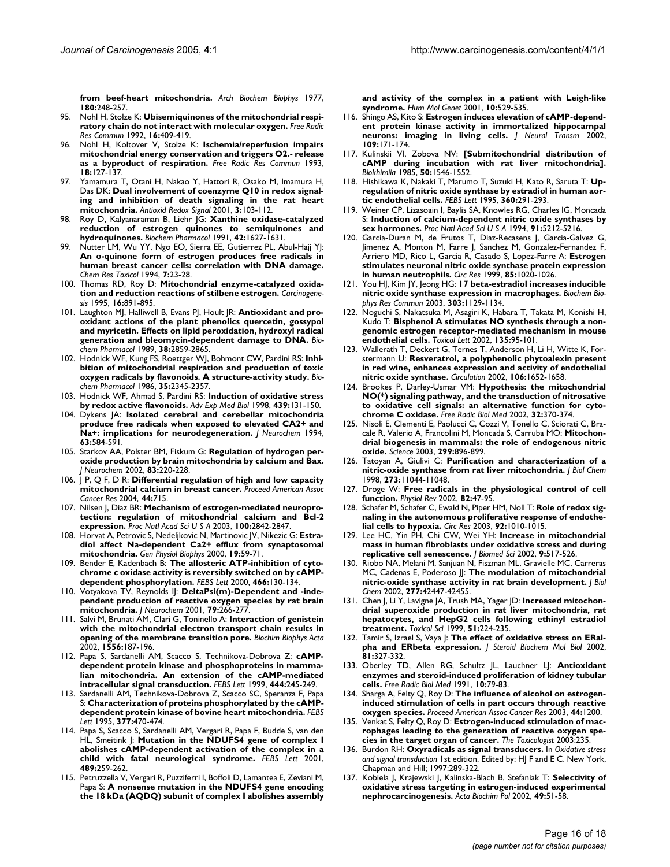**[from beef-heart mitochondria.](http://www.ncbi.nlm.nih.gov/entrez/query.fcgi?cmd=Retrieve&db=PubMed&dopt=Abstract&list_uids=195520)** *Arch Biochem Biophys* 1977, **180:**248-257.

- 95. Nohl H, Stolze K: **[Ubisemiquinones of the mitochondrial respi](http://www.ncbi.nlm.nih.gov/entrez/query.fcgi?cmd=Retrieve&db=PubMed&dopt=Abstract&list_uids=1516850)[ratory chain do not interact with molecular oxygen.](http://www.ncbi.nlm.nih.gov/entrez/query.fcgi?cmd=Retrieve&db=PubMed&dopt=Abstract&list_uids=1516850)** *Free Radic Res Commun* 1992, **16:**409-419.
- 96. Nohl H, Koltover V, Stolze K: **[Ischemia/reperfusion impairs](http://www.ncbi.nlm.nih.gov/entrez/query.fcgi?cmd=Retrieve&db=PubMed&dopt=Abstract&list_uids=8319923) [mitochondrial energy conservation and triggers O2.- release](http://www.ncbi.nlm.nih.gov/entrez/query.fcgi?cmd=Retrieve&db=PubMed&dopt=Abstract&list_uids=8319923) [as a byproduct of respiration.](http://www.ncbi.nlm.nih.gov/entrez/query.fcgi?cmd=Retrieve&db=PubMed&dopt=Abstract&list_uids=8319923)** *Free Radic Res Commun* 1993, **18:**127-137.
- 97. Yamamura T, Otani H, Nakao Y, Hattori R, Osako M, Imamura H, Das DK: **[Dual involvement of coenzyme Q10 in redox signal](http://www.ncbi.nlm.nih.gov/entrez/query.fcgi?cmd=Retrieve&db=PubMed&dopt=Abstract&list_uids=11291590)[ing and inhibition of death signaling in the rat heart](http://www.ncbi.nlm.nih.gov/entrez/query.fcgi?cmd=Retrieve&db=PubMed&dopt=Abstract&list_uids=11291590) [mitochondria.](http://www.ncbi.nlm.nih.gov/entrez/query.fcgi?cmd=Retrieve&db=PubMed&dopt=Abstract&list_uids=11291590)** *Antioxid Redox Signal* 2001, **3:**103-112.
- 98. Roy D, Kalyanaraman B, Liehr JG: **[Xanthine oxidase-catalyzed](http://www.ncbi.nlm.nih.gov/entrez/query.fcgi?cmd=Retrieve&db=PubMed&dopt=Abstract&list_uids=1656992) [reduction of estrogen quinones to semiquinones and](http://www.ncbi.nlm.nih.gov/entrez/query.fcgi?cmd=Retrieve&db=PubMed&dopt=Abstract&list_uids=1656992) [hydroquinones.](http://www.ncbi.nlm.nih.gov/entrez/query.fcgi?cmd=Retrieve&db=PubMed&dopt=Abstract&list_uids=1656992)** *Biochem Pharmacol* 1991, **42:**1627-1631.
- 99. Nutter LM, Wu YY, Ngo EO, Sierra EE, Gutierrez PL, Abul-Hajj YJ: **[An o-quinone form of estrogen produces free radicals in](http://www.ncbi.nlm.nih.gov/entrez/query.fcgi?cmd=Retrieve&db=PubMed&dopt=Abstract&list_uids=8155821) human breast cancer cells: correlation with DNA damage.** *Chem Res Toxicol* 1994, **7:**23-28.
- 100. Thomas RD, Roy D: **[Mitochondrial enzyme-catalyzed oxida](http://www.ncbi.nlm.nih.gov/entrez/query.fcgi?cmd=Retrieve&db=PubMed&dopt=Abstract&list_uids=7728971)[tion and reduction reactions of stilbene estrogen.](http://www.ncbi.nlm.nih.gov/entrez/query.fcgi?cmd=Retrieve&db=PubMed&dopt=Abstract&list_uids=7728971)** *Carcinogenesis* 1995, **16:**891-895.
- 101. Laughton MJ, Halliwell B, Evans PJ, Hoult JR: **[Antioxidant and pro](http://www.ncbi.nlm.nih.gov/entrez/query.fcgi?cmd=Retrieve&db=PubMed&dopt=Abstract&list_uids=2476132)[oxidant actions of the plant phenolics quercetin, gossypol](http://www.ncbi.nlm.nih.gov/entrez/query.fcgi?cmd=Retrieve&db=PubMed&dopt=Abstract&list_uids=2476132) and myricetin. Effects on lipid peroxidation, hydroxyl radical [generation and bleomycin-dependent damage to DNA.](http://www.ncbi.nlm.nih.gov/entrez/query.fcgi?cmd=Retrieve&db=PubMed&dopt=Abstract&list_uids=2476132)** *Biochem Pharmacol* 1989, **38:**2859-2865.
- 102. Hodnick WF, Kung FS, Roettger WJ, Bohmont CW, Pardini RS: **[Inhi](http://www.ncbi.nlm.nih.gov/entrez/query.fcgi?cmd=Retrieve&db=PubMed&dopt=Abstract&list_uids=3729991)[bition of mitochondrial respiration and production of toxic](http://www.ncbi.nlm.nih.gov/entrez/query.fcgi?cmd=Retrieve&db=PubMed&dopt=Abstract&list_uids=3729991) [oxygen radicals by flavonoids. A structure-activity study.](http://www.ncbi.nlm.nih.gov/entrez/query.fcgi?cmd=Retrieve&db=PubMed&dopt=Abstract&list_uids=3729991)** *Biochem Pharmacol* 1986, **35:**2345-2357.
- 103. Hodnick WF, Ahmad S, Pardini RS: **[Induction of oxidative stress](http://www.ncbi.nlm.nih.gov/entrez/query.fcgi?cmd=Retrieve&db=PubMed&dopt=Abstract&list_uids=9781300) [by redox active flavonoids.](http://www.ncbi.nlm.nih.gov/entrez/query.fcgi?cmd=Retrieve&db=PubMed&dopt=Abstract&list_uids=9781300)** *Adv Exp Med Biol* 1998, **439:**131-150.
- 104. Dykens JA: **[Isolated cerebral and cerebellar mitochondria](http://www.ncbi.nlm.nih.gov/entrez/query.fcgi?cmd=Retrieve&db=PubMed&dopt=Abstract&list_uids=8035183) [produce free radicals when exposed to elevated CA2+ and](http://www.ncbi.nlm.nih.gov/entrez/query.fcgi?cmd=Retrieve&db=PubMed&dopt=Abstract&list_uids=8035183) [Na+: implications for neurodegeneration.](http://www.ncbi.nlm.nih.gov/entrez/query.fcgi?cmd=Retrieve&db=PubMed&dopt=Abstract&list_uids=8035183)** *J Neurochem* 1994, **63:**584-591.
- 105. Starkov AA, Polster BM, Fiskum G: **[Regulation of hydrogen per](http://www.ncbi.nlm.nih.gov/entrez/query.fcgi?cmd=Retrieve&db=PubMed&dopt=Abstract&list_uids=12358746)[oxide production by brain mitochondria by calcium and Bax.](http://www.ncbi.nlm.nih.gov/entrez/query.fcgi?cmd=Retrieve&db=PubMed&dopt=Abstract&list_uids=12358746)** *J Neurochem* 2002, **83:**220-228.
- 106. J P, Q F, D R: **Differential regulation of high and low capacity mitochondrial calcium in breast cancer.** *Proceed American Assoc Cancer Res* 2004, **44:**715.
- 107. Nilsen J, Diaz BR: **[Mechanism of estrogen-mediated neuropro](http://www.ncbi.nlm.nih.gov/entrez/query.fcgi?cmd=Retrieve&db=PubMed&dopt=Abstract&list_uids=12604781)[tection: regulation of mitochondrial calcium and Bcl-2](http://www.ncbi.nlm.nih.gov/entrez/query.fcgi?cmd=Retrieve&db=PubMed&dopt=Abstract&list_uids=12604781) [expression.](http://www.ncbi.nlm.nih.gov/entrez/query.fcgi?cmd=Retrieve&db=PubMed&dopt=Abstract&list_uids=12604781)** *Proc Natl Acad Sci U S A* 2003, **100:**2842-2847.
- 108. Horvat A, Petrovic S, Nedeljkovic N, Martinovic JV, Nikezic G: **[Estra](http://www.ncbi.nlm.nih.gov/entrez/query.fcgi?cmd=Retrieve&db=PubMed&dopt=Abstract&list_uids=10930139)[diol affect Na-dependent Ca2+ efflux from synaptosomal](http://www.ncbi.nlm.nih.gov/entrez/query.fcgi?cmd=Retrieve&db=PubMed&dopt=Abstract&list_uids=10930139) [mitochondria.](http://www.ncbi.nlm.nih.gov/entrez/query.fcgi?cmd=Retrieve&db=PubMed&dopt=Abstract&list_uids=10930139)** *Gen Physiol Biophys* 2000, **19:**59-71.
- 109. Bender E, Kadenbach B: **[The allosteric ATP-inhibition of cyto](http://www.ncbi.nlm.nih.gov/entrez/query.fcgi?cmd=Retrieve&db=PubMed&dopt=Abstract&list_uids=10648827)[chrome c oxidase activity is reversibly switched on by cAMP](http://www.ncbi.nlm.nih.gov/entrez/query.fcgi?cmd=Retrieve&db=PubMed&dopt=Abstract&list_uids=10648827)[dependent phosphorylation.](http://www.ncbi.nlm.nih.gov/entrez/query.fcgi?cmd=Retrieve&db=PubMed&dopt=Abstract&list_uids=10648827)** *FEBS Lett* 2000, **466:**130-134.
- 110. Votyakova TV, Reynolds IJ: **[DeltaPsi\(m\)-Dependent and -inde](http://www.ncbi.nlm.nih.gov/entrez/query.fcgi?cmd=Retrieve&db=PubMed&dopt=Abstract&list_uids=11677254)[pendent production of reactive oxygen species by rat brain](http://www.ncbi.nlm.nih.gov/entrez/query.fcgi?cmd=Retrieve&db=PubMed&dopt=Abstract&list_uids=11677254) [mitochondria.](http://www.ncbi.nlm.nih.gov/entrez/query.fcgi?cmd=Retrieve&db=PubMed&dopt=Abstract&list_uids=11677254)** *J Neurochem* 2001, **79:**266-277.
- 111. Salvi M, Brunati AM, Clari G, Toninello A: **[Interaction of genistein](http://www.ncbi.nlm.nih.gov/entrez/query.fcgi?cmd=Retrieve&db=PubMed&dopt=Abstract&list_uids=12460676) [with the mitochondrial electron transport chain results in](http://www.ncbi.nlm.nih.gov/entrez/query.fcgi?cmd=Retrieve&db=PubMed&dopt=Abstract&list_uids=12460676) [opening of the membrane transition pore.](http://www.ncbi.nlm.nih.gov/entrez/query.fcgi?cmd=Retrieve&db=PubMed&dopt=Abstract&list_uids=12460676)** *Biochim Biophys Acta* 2002, **1556:**187-196.
- 112. Papa S, Sardanelli AM, Scacco S, Technikova-Dobrova Z: **[cAMP](http://www.ncbi.nlm.nih.gov/entrez/query.fcgi?cmd=Retrieve&db=PubMed&dopt=Abstract&list_uids=10050768)[dependent protein kinase and phosphoproteins in mamma](http://www.ncbi.nlm.nih.gov/entrez/query.fcgi?cmd=Retrieve&db=PubMed&dopt=Abstract&list_uids=10050768)lian mitochondria. An extension of the cAMP-mediated [intracellular signal transduction.](http://www.ncbi.nlm.nih.gov/entrez/query.fcgi?cmd=Retrieve&db=PubMed&dopt=Abstract&list_uids=10050768)** *FEBS Lett* 1999, **444:**245-249.
- 113. Sardanelli AM, Technikova-Dobrova Z, Scacco SC, Speranza F, Papa S: **[Characterization of proteins phosphorylated by the cAMP](http://www.ncbi.nlm.nih.gov/entrez/query.fcgi?cmd=Retrieve&db=PubMed&dopt=Abstract&list_uids=8549778)[dependent protein kinase of bovine heart mitochondria.](http://www.ncbi.nlm.nih.gov/entrez/query.fcgi?cmd=Retrieve&db=PubMed&dopt=Abstract&list_uids=8549778)** *FEBS Lett* 1995, **377:**470-474.
- 114. Papa S, Scacco S, Sardanelli AM, Vergari R, Papa F, Budde S, van den HL, Smeitink J: **[Mutation in the NDUFS4 gene of complex I](http://www.ncbi.nlm.nih.gov/entrez/query.fcgi?cmd=Retrieve&db=PubMed&dopt=Abstract&list_uids=11165261) [abolishes cAMP-dependent activation of the complex in a](http://www.ncbi.nlm.nih.gov/entrez/query.fcgi?cmd=Retrieve&db=PubMed&dopt=Abstract&list_uids=11165261) [child with fatal neurological syndrome.](http://www.ncbi.nlm.nih.gov/entrez/query.fcgi?cmd=Retrieve&db=PubMed&dopt=Abstract&list_uids=11165261)** *FEBS Lett* 2001, **489:**259-262.
- 115. Petruzzella V, Vergari R, Puzziferri I, Boffoli D, Lamantea E, Zeviani M, Papa S: **[A nonsense mutation in the NDUFS4 gene encoding](http://www.ncbi.nlm.nih.gov/entrez/query.fcgi?cmd=Retrieve&db=PubMed&dopt=Abstract&list_uids=11181577) [the 18 kDa \(AQDQ\) subunit of complex I abolishes assembly](http://www.ncbi.nlm.nih.gov/entrez/query.fcgi?cmd=Retrieve&db=PubMed&dopt=Abstract&list_uids=11181577)**

**[and activity of the complex in a patient with Leigh-like](http://www.ncbi.nlm.nih.gov/entrez/query.fcgi?cmd=Retrieve&db=PubMed&dopt=Abstract&list_uids=11181577) [syndrome.](http://www.ncbi.nlm.nih.gov/entrez/query.fcgi?cmd=Retrieve&db=PubMed&dopt=Abstract&list_uids=11181577)** *Hum Mol Genet* 2001, **10:**529-535.

- 116. Shingo AS, Kito S: **[Estrogen induces elevation of cAMP-depend](http://www.ncbi.nlm.nih.gov/entrez/query.fcgi?cmd=Retrieve&db=PubMed&dopt=Abstract&list_uids=12075856)[ent protein kinase activity in immortalized hippocampal](http://www.ncbi.nlm.nih.gov/entrez/query.fcgi?cmd=Retrieve&db=PubMed&dopt=Abstract&list_uids=12075856) [neurons: imaging in living cells.](http://www.ncbi.nlm.nih.gov/entrez/query.fcgi?cmd=Retrieve&db=PubMed&dopt=Abstract&list_uids=12075856)** *J Neural Transm* 2002, **109:**171-174.
- 117. Kulinskii VI, Zobova NV: **[\[Submitochondrial distribution of](http://www.ncbi.nlm.nih.gov/entrez/query.fcgi?cmd=Retrieve&db=PubMed&dopt=Abstract&list_uids=2996639) [cAMP during incubation with rat liver mitochondria\].](http://www.ncbi.nlm.nih.gov/entrez/query.fcgi?cmd=Retrieve&db=PubMed&dopt=Abstract&list_uids=2996639)** *Biokhimiia* 1985, **50:**1546-1552.
- 118. Hishikawa K, Nakaki T, Marumo T, Suzuki H, Kato R, Saruta T: **[Up](http://www.ncbi.nlm.nih.gov/entrez/query.fcgi?cmd=Retrieve&db=PubMed&dopt=Abstract&list_uids=7533729)[regulation of nitric oxide synthase by estradiol in human aor](http://www.ncbi.nlm.nih.gov/entrez/query.fcgi?cmd=Retrieve&db=PubMed&dopt=Abstract&list_uids=7533729)[tic endothelial cells.](http://www.ncbi.nlm.nih.gov/entrez/query.fcgi?cmd=Retrieve&db=PubMed&dopt=Abstract&list_uids=7533729)** *FEBS Lett* 1995, **360:**291-293.
- 119. Weiner CP, Lizasoain I, Baylis SA, Knowles RG, Charles IG, Moncada S: **[Induction of calcium-dependent nitric oxide synthases by](http://www.ncbi.nlm.nih.gov/entrez/query.fcgi?cmd=Retrieve&db=PubMed&dopt=Abstract&list_uids=7515189) [sex hormones.](http://www.ncbi.nlm.nih.gov/entrez/query.fcgi?cmd=Retrieve&db=PubMed&dopt=Abstract&list_uids=7515189)** *Proc Natl Acad Sci U S A* 1994, **91:**5212-5216.
- 120. Garcia-Duran M, de Frutos T, Diaz-Recasens J, Garcia-Galvez G, Jimenez A, Monton M, Farre J, Sanchez M, Gonzalez-Fernandez F, Arriero MD, Rico L, Garcia R, Casado S, Lopez-Farre A: **[Estrogen](http://www.ncbi.nlm.nih.gov/entrez/query.fcgi?cmd=Retrieve&db=PubMed&dopt=Abstract&list_uids=10571532) [stimulates neuronal nitric oxide synthase protein expression](http://www.ncbi.nlm.nih.gov/entrez/query.fcgi?cmd=Retrieve&db=PubMed&dopt=Abstract&list_uids=10571532) [in human neutrophils.](http://www.ncbi.nlm.nih.gov/entrez/query.fcgi?cmd=Retrieve&db=PubMed&dopt=Abstract&list_uids=10571532)** *Circ Res* 1999, **85:**1020-1026.
- 121. You HJ, Kim JY, Jeong HG: **[17 beta-estradiol increases inducible](http://www.ncbi.nlm.nih.gov/entrez/query.fcgi?cmd=Retrieve&db=PubMed&dopt=Abstract&list_uids=12684053) [nitric oxide synthase expression in macrophages.](http://www.ncbi.nlm.nih.gov/entrez/query.fcgi?cmd=Retrieve&db=PubMed&dopt=Abstract&list_uids=12684053)** *Biochem Biophys Res Commun* 2003, **303:**1129-1134.
- 122. Noguchi S, Nakatsuka M, Asagiri K, Habara T, Takata M, Konishi H, Kudo T: **[Bisphenol A stimulates NO synthesis through a non](http://www.ncbi.nlm.nih.gov/entrez/query.fcgi?cmd=Retrieve&db=PubMed&dopt=Abstract&list_uids=12243868)[genomic estrogen receptor-mediated mechanism in mouse](http://www.ncbi.nlm.nih.gov/entrez/query.fcgi?cmd=Retrieve&db=PubMed&dopt=Abstract&list_uids=12243868) [endothelial cells.](http://www.ncbi.nlm.nih.gov/entrez/query.fcgi?cmd=Retrieve&db=PubMed&dopt=Abstract&list_uids=12243868)** *Toxicol Lett* 2002, **135:**95-101.
- 123. Wallerath T, Deckert G, Ternes T, Anderson H, Li H, Witte K, Forstermann U: **[Resveratrol, a polyphenolic phytoalexin present](http://www.ncbi.nlm.nih.gov/entrez/query.fcgi?cmd=Retrieve&db=PubMed&dopt=Abstract&list_uids=12270858) [in red wine, enhances expression and activity of endothelial](http://www.ncbi.nlm.nih.gov/entrez/query.fcgi?cmd=Retrieve&db=PubMed&dopt=Abstract&list_uids=12270858) [nitric oxide synthase.](http://www.ncbi.nlm.nih.gov/entrez/query.fcgi?cmd=Retrieve&db=PubMed&dopt=Abstract&list_uids=12270858)** *Circulation* 2002, **106:**1652-1658.
- 124. Brookes P, Darley-Usmar VM: **[Hypothesis: the mitochondrial](http://www.ncbi.nlm.nih.gov/entrez/query.fcgi?cmd=Retrieve&db=PubMed&dopt=Abstract&list_uids=11841927) [NO\(\\*\) signaling pathway, and the transduction of nitrosative](http://www.ncbi.nlm.nih.gov/entrez/query.fcgi?cmd=Retrieve&db=PubMed&dopt=Abstract&list_uids=11841927) to oxidative cell signals: an alternative function for cyto[chrome C oxidase.](http://www.ncbi.nlm.nih.gov/entrez/query.fcgi?cmd=Retrieve&db=PubMed&dopt=Abstract&list_uids=11841927)** *Free Radic Biol Med* 2002, **32:**370-374.
- 125. Nisoli E, Clementi E, Paolucci C, Cozzi V, Tonello C, Sciorati C, Bracale R, Valerio A, Francolini M, Moncada S, Carruba MO: **[Mitochon](http://www.ncbi.nlm.nih.gov/entrez/query.fcgi?cmd=Retrieve&db=PubMed&dopt=Abstract&list_uids=12574632)[drial biogenesis in mammals: the role of endogenous nitric](http://www.ncbi.nlm.nih.gov/entrez/query.fcgi?cmd=Retrieve&db=PubMed&dopt=Abstract&list_uids=12574632) [oxide.](http://www.ncbi.nlm.nih.gov/entrez/query.fcgi?cmd=Retrieve&db=PubMed&dopt=Abstract&list_uids=12574632)** *Science* 2003, **299:**896-899.
- 126. Tatoyan A, Giulivi C: **[Purification and characterization of a](http://www.ncbi.nlm.nih.gov/entrez/query.fcgi?cmd=Retrieve&db=PubMed&dopt=Abstract&list_uids=9556587) [nitric-oxide synthase from rat liver mitochondria.](http://www.ncbi.nlm.nih.gov/entrez/query.fcgi?cmd=Retrieve&db=PubMed&dopt=Abstract&list_uids=9556587)** *J Biol Chem* 1998, **273:**11044-11048.
- 127. Droge W: **[Free radicals in the physiological control of cell](http://www.ncbi.nlm.nih.gov/entrez/query.fcgi?cmd=Retrieve&db=PubMed&dopt=Abstract&list_uids=11773609) [function.](http://www.ncbi.nlm.nih.gov/entrez/query.fcgi?cmd=Retrieve&db=PubMed&dopt=Abstract&list_uids=11773609)** *Physiol Rev* 2002, **82:**47-95.
- 128. Schafer M, Schafer C, Ewald N, Piper HM, Noll T: **[Role of redox sig](http://www.ncbi.nlm.nih.gov/entrez/query.fcgi?cmd=Retrieve&db=PubMed&dopt=Abstract&list_uids=12690038)[naling in the autonomous proliferative response of endothe](http://www.ncbi.nlm.nih.gov/entrez/query.fcgi?cmd=Retrieve&db=PubMed&dopt=Abstract&list_uids=12690038)[lial cells to hypoxia.](http://www.ncbi.nlm.nih.gov/entrez/query.fcgi?cmd=Retrieve&db=PubMed&dopt=Abstract&list_uids=12690038)** *Circ Res* 2003, **92:**1010-1015.
- 129. Lee HC, Yin PH, Chi CW, Wei YH: **[Increase in mitochondrial](http://www.ncbi.nlm.nih.gov/entrez/query.fcgi?cmd=Retrieve&db=PubMed&dopt=Abstract&list_uids=12372989) [mass in human fibroblasts under oxidative stress and during](http://www.ncbi.nlm.nih.gov/entrez/query.fcgi?cmd=Retrieve&db=PubMed&dopt=Abstract&list_uids=12372989) [replicative cell senescence.](http://www.ncbi.nlm.nih.gov/entrez/query.fcgi?cmd=Retrieve&db=PubMed&dopt=Abstract&list_uids=12372989)** *J Biomed Sci* 2002, **9:**517-526.
- 130. Riobo NA, Melani M, Sanjuan N, Fiszman ML, Gravielle MC, Carreras MC, Cadenas E, Poderoso JJ: **[The modulation of mitochondrial](http://www.ncbi.nlm.nih.gov/entrez/query.fcgi?cmd=Retrieve&db=PubMed&dopt=Abstract&list_uids=12202479) [nitric-oxide synthase activity in rat brain development.](http://www.ncbi.nlm.nih.gov/entrez/query.fcgi?cmd=Retrieve&db=PubMed&dopt=Abstract&list_uids=12202479)** *J Biol Chem* 2002, **277:**42447-42455.
- 131. Chen J, Li Y, Lavigne JA, Trush MA, Yager JD: **[Increased mitochon](http://www.ncbi.nlm.nih.gov/entrez/query.fcgi?cmd=Retrieve&db=PubMed&dopt=Abstract&list_uids=10543024)[drial superoxide production in rat liver mitochondria, rat](http://www.ncbi.nlm.nih.gov/entrez/query.fcgi?cmd=Retrieve&db=PubMed&dopt=Abstract&list_uids=10543024) hepatocytes, and HepG2 cells following ethinyl estradiol [treatment.](http://www.ncbi.nlm.nih.gov/entrez/query.fcgi?cmd=Retrieve&db=PubMed&dopt=Abstract&list_uids=10543024)** *Toxicol Sci* 1999, **51:**224-235.
- 132. Tamir S, Izrael S, Vaya J: **[The effect of oxidative stress on ERal](http://www.ncbi.nlm.nih.gov/entrez/query.fcgi?cmd=Retrieve&db=PubMed&dopt=Abstract&list_uids=12361722)[pha and ERbeta expression.](http://www.ncbi.nlm.nih.gov/entrez/query.fcgi?cmd=Retrieve&db=PubMed&dopt=Abstract&list_uids=12361722)** *J Steroid Biochem Mol Biol* 2002, **81:**327-332.
- 133. Oberley TD, Allen RG, Schultz JL, Lauchner LJ: **[Antioxidant](http://www.ncbi.nlm.nih.gov/entrez/query.fcgi?cmd=Retrieve&db=PubMed&dopt=Abstract&list_uids=2050299) [enzymes and steroid-induced proliferation of kidney tubular](http://www.ncbi.nlm.nih.gov/entrez/query.fcgi?cmd=Retrieve&db=PubMed&dopt=Abstract&list_uids=2050299) [cells.](http://www.ncbi.nlm.nih.gov/entrez/query.fcgi?cmd=Retrieve&db=PubMed&dopt=Abstract&list_uids=2050299)** *Free Radic Biol Med* 1991, **10:**79-83.
- 134. Sharga A, Felty Q, Roy D: **The influence of alcohol on estrogeninduced stimulation of cells in part occurs through reactive oxygen species.** *Proceed American Assoc Cancer Res* 2003, **44:**1200.
- 135. Venkat S, Felty Q, Roy D: **Estrogen-induced stimulation of macrophages leading to the generation of reactive oxygen species in the target organ of cancer.** *The Toxicologist* 2003:235.
- 136. Burdon RH: **Oxyradicals as signal transducers.** In *Oxidative stress and signal transduction* 1st edition. Edited by: HJ F and E C. New York, Chapman and Hill; 1997:289-322.
- 137. Kobiela J, Krajewski J, Kalinska-Blach B, Stefaniak T: **[Selectivity of](http://www.ncbi.nlm.nih.gov/entrez/query.fcgi?cmd=Retrieve&db=PubMed&dopt=Abstract&list_uids=12136956) [oxidative stress targeting in estrogen-induced experimental](http://www.ncbi.nlm.nih.gov/entrez/query.fcgi?cmd=Retrieve&db=PubMed&dopt=Abstract&list_uids=12136956) [nephrocarcinogenesis.](http://www.ncbi.nlm.nih.gov/entrez/query.fcgi?cmd=Retrieve&db=PubMed&dopt=Abstract&list_uids=12136956)** *Acta Biochim Pol* 2002, **49:**51-58.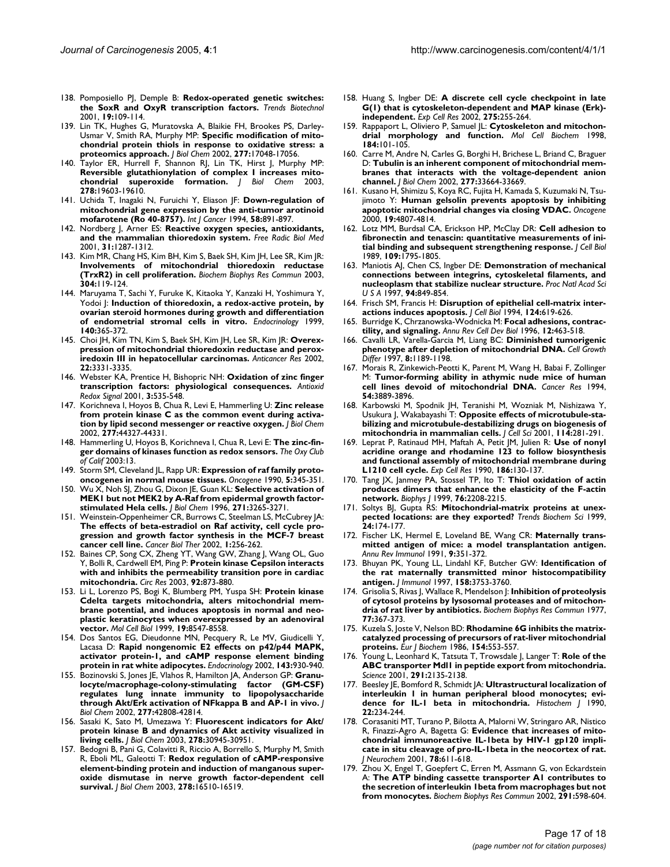- 138. Pomposiello PJ, Demple B: **[Redox-operated genetic switches:](http://www.ncbi.nlm.nih.gov/entrez/query.fcgi?cmd=Retrieve&db=PubMed&dopt=Abstract&list_uids=11179804) [the SoxR and OxyR transcription factors.](http://www.ncbi.nlm.nih.gov/entrez/query.fcgi?cmd=Retrieve&db=PubMed&dopt=Abstract&list_uids=11179804)** *Trends Biotechnol* 2001, **19:**109-114.
- 139. Lin TK, Hughes G, Muratovska A, Blaikie FH, Brookes PS, Darley-Usmar V, Smith RA, Murphy MP: **[Specific modification of mito](http://www.ncbi.nlm.nih.gov/entrez/query.fcgi?cmd=Retrieve&db=PubMed&dopt=Abstract&list_uids=11861642)[chondrial protein thiols in response to oxidative stress: a](http://www.ncbi.nlm.nih.gov/entrez/query.fcgi?cmd=Retrieve&db=PubMed&dopt=Abstract&list_uids=11861642) [proteomics approach.](http://www.ncbi.nlm.nih.gov/entrez/query.fcgi?cmd=Retrieve&db=PubMed&dopt=Abstract&list_uids=11861642)** *J Biol Chem* 2002, **277:**17048-17056.
- 140. Taylor ER, Hurrell F, Shannon RJ, Lin TK, Hirst J, Murphy MP: **[Reversible glutathionylation of complex I increases mito](http://www.ncbi.nlm.nih.gov/entrez/query.fcgi?cmd=Retrieve&db=PubMed&dopt=Abstract&list_uids=12649289)[chondrial superoxide formation.](http://www.ncbi.nlm.nih.gov/entrez/query.fcgi?cmd=Retrieve&db=PubMed&dopt=Abstract&list_uids=12649289)** *J Biol Chem* 2003, **278:**19603-19610.
- 141. Uchida T, Inagaki N, Furuichi Y, Eliason JF: **[Down-regulation of](http://www.ncbi.nlm.nih.gov/entrez/query.fcgi?cmd=Retrieve&db=PubMed&dopt=Abstract&list_uids=7927884) [mitochondrial gene expression by the anti-tumor arotinoid](http://www.ncbi.nlm.nih.gov/entrez/query.fcgi?cmd=Retrieve&db=PubMed&dopt=Abstract&list_uids=7927884) [mofarotene \(Ro 40-8757\).](http://www.ncbi.nlm.nih.gov/entrez/query.fcgi?cmd=Retrieve&db=PubMed&dopt=Abstract&list_uids=7927884)** *Int J Cancer* 1994, **58:**891-897.
- 142. Nordberg J, Arner ES: **[Reactive oxygen species, antioxidants,](http://www.ncbi.nlm.nih.gov/entrez/query.fcgi?cmd=Retrieve&db=PubMed&dopt=Abstract&list_uids=11728801) [and the mammalian thioredoxin system.](http://www.ncbi.nlm.nih.gov/entrez/query.fcgi?cmd=Retrieve&db=PubMed&dopt=Abstract&list_uids=11728801)** *Free Radic Biol Med* 2001, **31:**1287-1312.
- 143. Kim MR, Chang HS, Kim BH, Kim S, Baek SH, Kim JH, Lee SR, Kim JR: **[Involvements of mitochondrial thioredoxin reductase](http://www.ncbi.nlm.nih.gov/entrez/query.fcgi?cmd=Retrieve&db=PubMed&dopt=Abstract&list_uids=12705894) [\(TrxR2\) in cell proliferation.](http://www.ncbi.nlm.nih.gov/entrez/query.fcgi?cmd=Retrieve&db=PubMed&dopt=Abstract&list_uids=12705894)** *Biochem Biophys Res Commun* 2003, **304:**119-124.
- 144. Maruyama T, Sachi Y, Furuke K, Kitaoka Y, Kanzaki H, Yoshimura Y, Yodoi J: **[Induction of thioredoxin, a redox-active protein, by](http://www.ncbi.nlm.nih.gov/entrez/query.fcgi?cmd=Retrieve&db=PubMed&dopt=Abstract&list_uids=9886847) [ovarian steroid hormones during growth and differentiation](http://www.ncbi.nlm.nih.gov/entrez/query.fcgi?cmd=Retrieve&db=PubMed&dopt=Abstract&list_uids=9886847) [of endometrial stromal cells in vitro.](http://www.ncbi.nlm.nih.gov/entrez/query.fcgi?cmd=Retrieve&db=PubMed&dopt=Abstract&list_uids=9886847)** *Endocrinology* 1999, **140:**365-372.
- 145. Choi JH, Kim TN, Kim S, Baek SH, Kim JH, Lee SR, Kim JR: **[Overex](http://www.ncbi.nlm.nih.gov/entrez/query.fcgi?cmd=Retrieve&db=PubMed&dopt=Abstract&list_uids=12530083)[pression of mitochondrial thioredoxin reductase and perox](http://www.ncbi.nlm.nih.gov/entrez/query.fcgi?cmd=Retrieve&db=PubMed&dopt=Abstract&list_uids=12530083)[iredoxin III in hepatocellular carcinomas.](http://www.ncbi.nlm.nih.gov/entrez/query.fcgi?cmd=Retrieve&db=PubMed&dopt=Abstract&list_uids=12530083)** *Anticancer Res* 2002, **22:**3331-3335.
- 146. Webster KA, Prentice H, Bishopric NH: **[Oxidation of zinc finger](http://www.ncbi.nlm.nih.gov/entrez/query.fcgi?cmd=Retrieve&db=PubMed&dopt=Abstract&list_uids=11554443) [transcription factors: physiological consequences.](http://www.ncbi.nlm.nih.gov/entrez/query.fcgi?cmd=Retrieve&db=PubMed&dopt=Abstract&list_uids=11554443)** *Antioxid Redox Signal* 2001, **3:**535-548.
- 147. Korichneva I, Hoyos B, Chua R, Levi E, Hammerling U: **[Zinc release](http://www.ncbi.nlm.nih.gov/entrez/query.fcgi?cmd=Retrieve&db=PubMed&dopt=Abstract&list_uids=12213816) [from protein kinase C as the common event during activa](http://www.ncbi.nlm.nih.gov/entrez/query.fcgi?cmd=Retrieve&db=PubMed&dopt=Abstract&list_uids=12213816)[tion by lipid second messenger or reactive oxygen.](http://www.ncbi.nlm.nih.gov/entrez/query.fcgi?cmd=Retrieve&db=PubMed&dopt=Abstract&list_uids=12213816)** *J Biol Chem* 2002, **277:**44327-44331.
- 148. Hammerling U, Hoyos B, Korichneva I, Chua R, Levi E: **The zinc-finger domains of kinases function as redox sensors.** *The Oxy Club of Calif* 2003:13.
- 149. Storm SM, Cleveland JL, Rapp UR: **[Expression of raf family proto](http://www.ncbi.nlm.nih.gov/entrez/query.fcgi?cmd=Retrieve&db=PubMed&dopt=Abstract&list_uids=1690378)[oncogenes in normal mouse tissues.](http://www.ncbi.nlm.nih.gov/entrez/query.fcgi?cmd=Retrieve&db=PubMed&dopt=Abstract&list_uids=1690378)** *Oncogene* 1990, **5:**345-351.
- 150. Wu X, Noh SJ, Zhou G, Dixon JE, Guan KL: **[Selective activation of](http://www.ncbi.nlm.nih.gov/entrez/query.fcgi?cmd=Retrieve&db=PubMed&dopt=Abstract&list_uids=8621729) [MEK1 but not MEK2 by A-Raf from epidermal growth factor](http://www.ncbi.nlm.nih.gov/entrez/query.fcgi?cmd=Retrieve&db=PubMed&dopt=Abstract&list_uids=8621729)[stimulated Hela cells.](http://www.ncbi.nlm.nih.gov/entrez/query.fcgi?cmd=Retrieve&db=PubMed&dopt=Abstract&list_uids=8621729)** *J Biol Chem* 1996, **271:**3265-3271.
- 151. Weinstein-Oppenheimer CR, Burrows C, Steelman LS, McCubrey JA: **[The effects of beta-estradiol on Raf activity, cell cycle pro](http://www.ncbi.nlm.nih.gov/entrez/query.fcgi?cmd=Retrieve&db=PubMed&dopt=Abstract&list_uids=12432273)gression and growth factor synthesis in the MCF-7 breast [cancer cell line.](http://www.ncbi.nlm.nih.gov/entrez/query.fcgi?cmd=Retrieve&db=PubMed&dopt=Abstract&list_uids=12432273)** *Cancer Biol Ther* 2002, **1:**256-262.
- 152. Baines CP, Song CX, Zheng YT, Wang GW, Zhang J, Wang OL, Guo Y, Bolli R, Cardwell EM, Ping P: **[Protein kinase Cepsilon interacts](http://www.ncbi.nlm.nih.gov/entrez/query.fcgi?cmd=Retrieve&db=PubMed&dopt=Abstract&list_uids=12663490) [with and inhibits the permeability transition pore in cardiac](http://www.ncbi.nlm.nih.gov/entrez/query.fcgi?cmd=Retrieve&db=PubMed&dopt=Abstract&list_uids=12663490) [mitochondria.](http://www.ncbi.nlm.nih.gov/entrez/query.fcgi?cmd=Retrieve&db=PubMed&dopt=Abstract&list_uids=12663490)** *Circ Res* 2003, **92:**873-880.
- 153. Li L, Lorenzo PS, Bogi K, Blumberg PM, Yuspa SH: **[Protein kinase](http://www.ncbi.nlm.nih.gov/entrez/query.fcgi?cmd=Retrieve&db=PubMed&dopt=Abstract&list_uids=10567579) Cdelta targets mitochondria, alters mitochondrial membrane potential, and induces apoptosis in normal and neo[plastic keratinocytes when overexpressed by an adenoviral](http://www.ncbi.nlm.nih.gov/entrez/query.fcgi?cmd=Retrieve&db=PubMed&dopt=Abstract&list_uids=10567579) [vector.](http://www.ncbi.nlm.nih.gov/entrez/query.fcgi?cmd=Retrieve&db=PubMed&dopt=Abstract&list_uids=10567579)** *Mol Cell Biol* 1999, **19:**8547-8558.
- 154. Dos Santos EG, Dieudonne MN, Pecquery R, Le MV, Giudicelli Y, Lacasa D: **[Rapid nongenomic E2 effects on p42/p44 MAPK,](http://www.ncbi.nlm.nih.gov/entrez/query.fcgi?cmd=Retrieve&db=PubMed&dopt=Abstract&list_uids=11861515) [activator protein-1, and cAMP response element binding](http://www.ncbi.nlm.nih.gov/entrez/query.fcgi?cmd=Retrieve&db=PubMed&dopt=Abstract&list_uids=11861515) [protein in rat white adipocytes.](http://www.ncbi.nlm.nih.gov/entrez/query.fcgi?cmd=Retrieve&db=PubMed&dopt=Abstract&list_uids=11861515)** *Endocrinology* 2002, **143:**930-940.
- 155. Bozinovski S, Jones JE, Vlahos R, Hamilton JA, Anderson GP: **[Granu](http://www.ncbi.nlm.nih.gov/entrez/query.fcgi?cmd=Retrieve&db=PubMed&dopt=Abstract&list_uids=12208854)[locyte/macrophage-colony-stimulating factor \(GM-CSF\)](http://www.ncbi.nlm.nih.gov/entrez/query.fcgi?cmd=Retrieve&db=PubMed&dopt=Abstract&list_uids=12208854) regulates lung innate immunity to lipopolysaccharide [through Akt/Erk activation of NFkappa B and AP-1 in vivo.](http://www.ncbi.nlm.nih.gov/entrez/query.fcgi?cmd=Retrieve&db=PubMed&dopt=Abstract&list_uids=12208854)** *J Biol Chem* 2002, **277:**42808-42814.
- 156. Sasaki K, Sato M, Umezawa Y: **[Fluorescent indicators for Akt/](http://www.ncbi.nlm.nih.gov/entrez/query.fcgi?cmd=Retrieve&db=PubMed&dopt=Abstract&list_uids=12773546) [protein kinase B and dynamics of Akt activity visualized in](http://www.ncbi.nlm.nih.gov/entrez/query.fcgi?cmd=Retrieve&db=PubMed&dopt=Abstract&list_uids=12773546) [living cells.](http://www.ncbi.nlm.nih.gov/entrez/query.fcgi?cmd=Retrieve&db=PubMed&dopt=Abstract&list_uids=12773546)** *J Biol Chem* 2003, **278:**30945-30951.
- 157. Bedogni B, Pani G, Colavitti R, Riccio A, Borrello S, Murphy M, Smith R, Eboli ML, Galeotti T: **[Redox regulation of cAMP-responsive](http://www.ncbi.nlm.nih.gov/entrez/query.fcgi?cmd=Retrieve&db=PubMed&dopt=Abstract&list_uids=12609977) [element-binding protein and induction of manganous super](http://www.ncbi.nlm.nih.gov/entrez/query.fcgi?cmd=Retrieve&db=PubMed&dopt=Abstract&list_uids=12609977)oxide dismutase in nerve growth factor-dependent cell [survival.](http://www.ncbi.nlm.nih.gov/entrez/query.fcgi?cmd=Retrieve&db=PubMed&dopt=Abstract&list_uids=12609977)** *J Biol Chem* 2003, **278:**16510-16519.
- 158. Huang S, Ingber DE: **[A discrete cell cycle checkpoint in late](http://www.ncbi.nlm.nih.gov/entrez/query.fcgi?cmd=Retrieve&db=PubMed&dopt=Abstract&list_uids=11969294) [G\(1\) that is cytoskeleton-dependent and MAP kinase \(Erk\)](http://www.ncbi.nlm.nih.gov/entrez/query.fcgi?cmd=Retrieve&db=PubMed&dopt=Abstract&list_uids=11969294) [independent.](http://www.ncbi.nlm.nih.gov/entrez/query.fcgi?cmd=Retrieve&db=PubMed&dopt=Abstract&list_uids=11969294)** *Exp Cell Res* 2002, **275:**255-264.
- 159. Rappaport L, Oliviero P, Samuel JL: **[Cytoskeleton and mitochon](http://www.ncbi.nlm.nih.gov/entrez/query.fcgi?cmd=Retrieve&db=PubMed&dopt=Abstract&list_uids=9746315)[drial morphology and function.](http://www.ncbi.nlm.nih.gov/entrez/query.fcgi?cmd=Retrieve&db=PubMed&dopt=Abstract&list_uids=9746315)** *Mol Cell Biochem* 1998, **184:**101-105.
- 160. Carre M, Andre N, Carles G, Borghi H, Brichese L, Briand C, Braguer D: **[Tubulin is an inherent component of mitochondrial mem](http://www.ncbi.nlm.nih.gov/entrez/query.fcgi?cmd=Retrieve&db=PubMed&dopt=Abstract&list_uids=12087096)[branes that interacts with the voltage-dependent anion](http://www.ncbi.nlm.nih.gov/entrez/query.fcgi?cmd=Retrieve&db=PubMed&dopt=Abstract&list_uids=12087096) [channel.](http://www.ncbi.nlm.nih.gov/entrez/query.fcgi?cmd=Retrieve&db=PubMed&dopt=Abstract&list_uids=12087096)** *J Biol Chem* 2002, **277:**33664-33669.
- 161. Kusano H, Shimizu S, Koya RC, Fujita H, Kamada S, Kuzumaki N, Tsujimoto Y: **[Human gelsolin prevents apoptosis by inhibiting](http://www.ncbi.nlm.nih.gov/entrez/query.fcgi?cmd=Retrieve&db=PubMed&dopt=Abstract&list_uids=11039896) [apoptotic mitochondrial changes via closing VDAC.](http://www.ncbi.nlm.nih.gov/entrez/query.fcgi?cmd=Retrieve&db=PubMed&dopt=Abstract&list_uids=11039896)** *Oncogene* 2000, **19:**4807-4814.
- 162. Lotz MM, Burdsal CA, Erickson HP, McClay DR: **[Cell adhesion to](http://www.ncbi.nlm.nih.gov/entrez/query.fcgi?cmd=Retrieve&db=PubMed&dopt=Abstract&list_uids=2477381) [fibronectin and tenascin: quantitative measurements of ini](http://www.ncbi.nlm.nih.gov/entrez/query.fcgi?cmd=Retrieve&db=PubMed&dopt=Abstract&list_uids=2477381)[tial binding and subsequent strengthening response.](http://www.ncbi.nlm.nih.gov/entrez/query.fcgi?cmd=Retrieve&db=PubMed&dopt=Abstract&list_uids=2477381)** *J Cell Biol* 1989, **109:**1795-1805.
- 163. Maniotis AJ, Chen CS, Ingber DE: **[Demonstration of mechanical](http://www.ncbi.nlm.nih.gov/entrez/query.fcgi?cmd=Retrieve&db=PubMed&dopt=Abstract&list_uids=9023345) [connections between integrins, cytoskeletal filaments, and](http://www.ncbi.nlm.nih.gov/entrez/query.fcgi?cmd=Retrieve&db=PubMed&dopt=Abstract&list_uids=9023345) [nucleoplasm that stabilize nuclear structure.](http://www.ncbi.nlm.nih.gov/entrez/query.fcgi?cmd=Retrieve&db=PubMed&dopt=Abstract&list_uids=9023345)** *Proc Natl Acad Sci U S A* 1997, **94:**849-854.
- 164. Frisch SM, Francis H: **[Disruption of epithelial cell-matrix inter](http://www.ncbi.nlm.nih.gov/entrez/query.fcgi?cmd=Retrieve&db=PubMed&dopt=Abstract&list_uids=8106557)[actions induces apoptosis.](http://www.ncbi.nlm.nih.gov/entrez/query.fcgi?cmd=Retrieve&db=PubMed&dopt=Abstract&list_uids=8106557)** *J Cell Biol* 1994, **124:**619-626.
- 165. Burridge K, Chrzanowska-Wodnicka M: **[Focal adhesions, contrac](http://www.ncbi.nlm.nih.gov/entrez/query.fcgi?cmd=Retrieve&db=PubMed&dopt=Abstract&list_uids=8970735)[tility, and signaling.](http://www.ncbi.nlm.nih.gov/entrez/query.fcgi?cmd=Retrieve&db=PubMed&dopt=Abstract&list_uids=8970735)** *Annu Rev Cell Dev Biol* 1996, **12:**463-518.
- 166. Cavalli LR, Varella-Garcia M, Liang BC: **[Diminished tumorigenic](http://www.ncbi.nlm.nih.gov/entrez/query.fcgi?cmd=Retrieve&db=PubMed&dopt=Abstract&list_uids=9372242) [phenotype after depletion of mitochondrial DNA.](http://www.ncbi.nlm.nih.gov/entrez/query.fcgi?cmd=Retrieve&db=PubMed&dopt=Abstract&list_uids=9372242)** *Cell Growth Differ* 1997, **8:**1189-1198.
- 167. Morais R, Zinkewich-Peotti K, Parent M, Wang H, Babai F, Zollinger M: **[Tumor-forming ability in athymic nude mice of human](http://www.ncbi.nlm.nih.gov/entrez/query.fcgi?cmd=Retrieve&db=PubMed&dopt=Abstract&list_uids=8033112) [cell lines devoid of mitochondrial DNA.](http://www.ncbi.nlm.nih.gov/entrez/query.fcgi?cmd=Retrieve&db=PubMed&dopt=Abstract&list_uids=8033112)** *Cancer Res* 1994, **54:**3889-3896.
- 168. Karbowski M, Spodnik JH, Teranishi M, Wozniak M, Nishizawa Y, Usukura J, Wakabayashi T: **[Opposite effects of microtubule-sta](http://www.ncbi.nlm.nih.gov/entrez/query.fcgi?cmd=Retrieve&db=PubMed&dopt=Abstract&list_uids=11148130)[bilizing and microtubule-destabilizing drugs on biogenesis of](http://www.ncbi.nlm.nih.gov/entrez/query.fcgi?cmd=Retrieve&db=PubMed&dopt=Abstract&list_uids=11148130) [mitochondria in mammalian cells.](http://www.ncbi.nlm.nih.gov/entrez/query.fcgi?cmd=Retrieve&db=PubMed&dopt=Abstract&list_uids=11148130)** *J Cell Sci* 2001, **114:**281-291.
- 169. Leprat P, Ratinaud MH, Maftah A, Petit JM, Julien R: **[Use of nonyl](http://www.ncbi.nlm.nih.gov/entrez/query.fcgi?cmd=Retrieve&db=PubMed&dopt=Abstract&list_uids=1688800) [acridine orange and rhodamine 123 to follow biosynthesis](http://www.ncbi.nlm.nih.gov/entrez/query.fcgi?cmd=Retrieve&db=PubMed&dopt=Abstract&list_uids=1688800) and functional assembly of mitochondrial membrane during [L1210 cell cycle.](http://www.ncbi.nlm.nih.gov/entrez/query.fcgi?cmd=Retrieve&db=PubMed&dopt=Abstract&list_uids=1688800)** *Exp Cell Res* 1990, **186:**130-137.
- 170. Tang JX, Janmey PA, Stossel TP, Ito T: **[Thiol oxidation of actin](http://www.ncbi.nlm.nih.gov/entrez/query.fcgi?cmd=Retrieve&db=PubMed&dopt=Abstract&list_uids=10096915) [produces dimers that enhance the elasticity of the F-actin](http://www.ncbi.nlm.nih.gov/entrez/query.fcgi?cmd=Retrieve&db=PubMed&dopt=Abstract&list_uids=10096915) [network.](http://www.ncbi.nlm.nih.gov/entrez/query.fcgi?cmd=Retrieve&db=PubMed&dopt=Abstract&list_uids=10096915)** *Biophys J* 1999, **76:**2208-2215.
- 171. Soltys BJ, Gupta RS: **[Mitochondrial-matrix proteins at unex](http://www.ncbi.nlm.nih.gov/entrez/query.fcgi?cmd=Retrieve&db=PubMed&dopt=Abstract&list_uids=10322429)[pected locations: are they exported?](http://www.ncbi.nlm.nih.gov/entrez/query.fcgi?cmd=Retrieve&db=PubMed&dopt=Abstract&list_uids=10322429)** *Trends Biochem Sci* 1999, **24:**174-177.
- 172. Fischer LK, Hermel E, Loveland BE, Wang CR: **[Maternally trans](http://www.ncbi.nlm.nih.gov/entrez/query.fcgi?cmd=Retrieve&db=PubMed&dopt=Abstract&list_uids=1910682)[mitted antigen of mice: a model transplantation antigen.](http://www.ncbi.nlm.nih.gov/entrez/query.fcgi?cmd=Retrieve&db=PubMed&dopt=Abstract&list_uids=1910682)** *Annu Rev Immunol* 1991, **9:**351-372.
- 173. Bhuyan PK, Young LL, Lindahl KF, Butcher GW: **[Identification of](http://www.ncbi.nlm.nih.gov/entrez/query.fcgi?cmd=Retrieve&db=PubMed&dopt=Abstract&list_uids=9103440) [the rat maternally transmitted minor histocompatibility](http://www.ncbi.nlm.nih.gov/entrez/query.fcgi?cmd=Retrieve&db=PubMed&dopt=Abstract&list_uids=9103440) [antigen.](http://www.ncbi.nlm.nih.gov/entrez/query.fcgi?cmd=Retrieve&db=PubMed&dopt=Abstract&list_uids=9103440)** *J Immunol* 1997, **158:**3753-3760.
- 174. Grisolia S, Rivas J, Wallace R, Mendelson J: **[Inhibition of proteolysis](http://www.ncbi.nlm.nih.gov/entrez/query.fcgi?cmd=Retrieve&db=PubMed&dopt=Abstract&list_uids=19020) [of cytosol proteins by lysosomal proteases and of mitochon](http://www.ncbi.nlm.nih.gov/entrez/query.fcgi?cmd=Retrieve&db=PubMed&dopt=Abstract&list_uids=19020)[dria of rat liver by antibiotics.](http://www.ncbi.nlm.nih.gov/entrez/query.fcgi?cmd=Retrieve&db=PubMed&dopt=Abstract&list_uids=19020)** *Biochem Biophys Res Commun* 1977, **77:**367-373.
- 175. Kuzela S, Joste V, Nelson BD: **[Rhodamine 6G inhibits the matrix](http://www.ncbi.nlm.nih.gov/entrez/query.fcgi?cmd=Retrieve&db=PubMed&dopt=Abstract&list_uids=2868895)[catalyzed processing of precursors of rat-liver mitochondrial](http://www.ncbi.nlm.nih.gov/entrez/query.fcgi?cmd=Retrieve&db=PubMed&dopt=Abstract&list_uids=2868895) [proteins.](http://www.ncbi.nlm.nih.gov/entrez/query.fcgi?cmd=Retrieve&db=PubMed&dopt=Abstract&list_uids=2868895)** *Eur J Biochem* 1986, **154:**553-557.
- 176. Young L, Leonhard K, Tatsuta T, Trowsdale J, Langer T: **[Role of the](http://www.ncbi.nlm.nih.gov/entrez/query.fcgi?cmd=Retrieve&db=PubMed&dopt=Abstract&list_uids=11251115) [ABC transporter Mdl1 in peptide export from mitochondria.](http://www.ncbi.nlm.nih.gov/entrez/query.fcgi?cmd=Retrieve&db=PubMed&dopt=Abstract&list_uids=11251115)** *Science* 2001, **291:**2135-2138.
- 177. Beesley JE, Bomford R, Schmidt JA: **[Ultrastructural localization of](http://www.ncbi.nlm.nih.gov/entrez/query.fcgi?cmd=Retrieve&db=PubMed&dopt=Abstract&list_uids=2387758) [interleukin 1 in human peripheral blood monocytes; evi](http://www.ncbi.nlm.nih.gov/entrez/query.fcgi?cmd=Retrieve&db=PubMed&dopt=Abstract&list_uids=2387758)[dence for IL-1 beta in mitochondria.](http://www.ncbi.nlm.nih.gov/entrez/query.fcgi?cmd=Retrieve&db=PubMed&dopt=Abstract&list_uids=2387758)** *Histochem J* 1990, **22:**234-244.
- 178. Corasaniti MT, Turano P, Bilotta A, Malorni W, Stringaro AR, Nistico R, Finazzi-Agro A, Bagetta G: **[Evidence that increases of mito](http://www.ncbi.nlm.nih.gov/entrez/query.fcgi?cmd=Retrieve&db=PubMed&dopt=Abstract&list_uids=11483664)[chondrial immunoreactive IL-1beta by HIV-1 gp120 impli](http://www.ncbi.nlm.nih.gov/entrez/query.fcgi?cmd=Retrieve&db=PubMed&dopt=Abstract&list_uids=11483664)cate in situ cleavage of pro-IL-1beta in the neocortex of rat.** *J Neurochem* 2001, **78:**611-618.
- 179. Zhou X, Engel T, Goepfert C, Erren M, Assmann G, von Eckardstein A: **[The ATP binding cassette transporter A1 contributes to](http://www.ncbi.nlm.nih.gov/entrez/query.fcgi?cmd=Retrieve&db=PubMed&dopt=Abstract&list_uids=11855831) [the secretion of interleukin 1beta from macrophages but not](http://www.ncbi.nlm.nih.gov/entrez/query.fcgi?cmd=Retrieve&db=PubMed&dopt=Abstract&list_uids=11855831) [from monocytes.](http://www.ncbi.nlm.nih.gov/entrez/query.fcgi?cmd=Retrieve&db=PubMed&dopt=Abstract&list_uids=11855831)** *Biochem Biophys Res Commun* 2002, **291:**598-604.